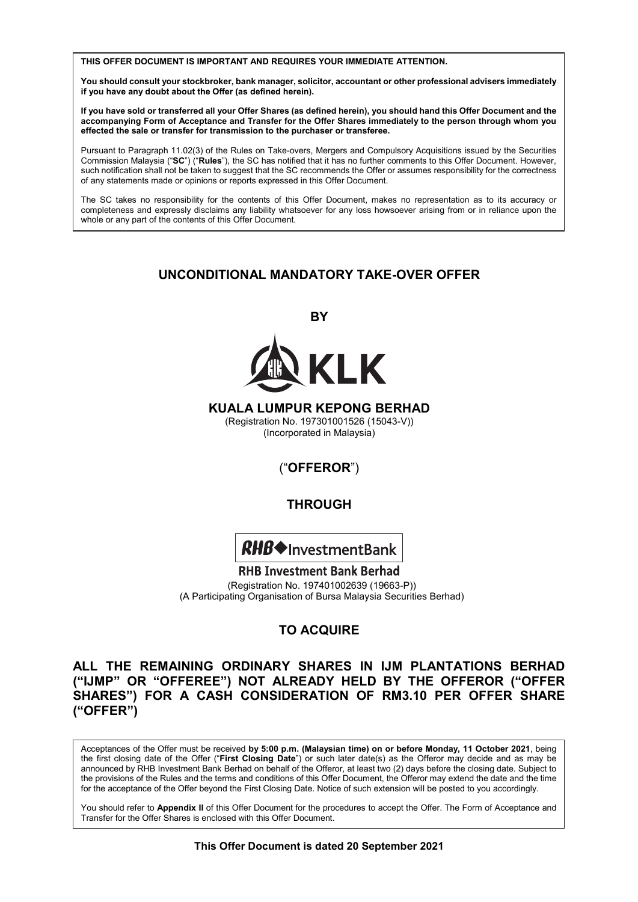**THIS OFFER DOCUMENT IS IMPORTANT AND REQUIRES YOUR IMMEDIATE ATTENTION.**

whole or any part of the contents of the contents of the contents of the contents of the contents of this Offer

.<br>You should consult your stockbroker, bank manager, solicitor, accountant or other professional advisers immediately if you have any doubt about the Offer (as defined herein).

If you have sold or transferred all your Offer Shares (as defined herein), you should hand this Offer Document and the **If you have sold or transferred all your Offer Shares (as defined herein), you should hand this Offer Document and the If you have sold or transferred all your Offer Shares (as defined herein), you should hand this Offer Document and the accompanying Form of Acceptance and Transfer for the Offer Shares immediately to the person through whom you effected the sale or transfer for transmission to the purchaser or transferee.**  accompanying Form of Acceptance and Transfer for the Offer Shares immediately to the person through whom you **If you have sold or transferred all your Offer Shares (as defined herein), you should hand this Offer Document and the** 

Pursuant to Paragraph 11.02(3) of the Rules on Take-overs, Mergers and Compulsory Acquisitions issued by the Securities Such notification shall not be taken to suggest that the SC recommends the Offer or assumes responsibility for the correctness of any statements made or opinions or reports expressed in this Offer Document. Pursuant to Paragraph 11.02(3) of the Rules on Take-overs, Mergers and Compulsory Acquisitions issued by the Securities Commission Malaysia ("SC") ("Rules"), the SC has notified that it has no further comments to this Offer Document. However, of any statements made or opinions or reports expressed in this Offer Document. such notification shall not be taken to suggest that the SC recommends the Offer or assumes responsibility for the correctness<br>of any statements made or opinions or reports expressed in this Offer Document. Commission Malaysia ("**SC**") ("**Rules**"), the SC has notified that it has no further comments to this Offer Document. However,

The SC takes no responsibility for the contents of this Offer Document, makes no representation as to its accuracy or whole or any part of the contents of this Offer Document. completeness and expressly disclaims any liability whatsoever for any loss howsoever arising from or in reliance upon the The SC takes no responsibility for the contents of this Offer Document, makes no representation as to its accuracy or completeness and expressly disclaims any liability whatsoever for any loss howsoever arising from or in reliance upon the<br>whole as a man expressive disclaims any liability whatsoever for any loss howsoever arising from or The SC takes no responsibility for the contents of this Offer Document, makes no representation as to its accuracy of the contents of the contents of the contents of the contents of the contents of the contents of the cont The SC takes no responsibility for the contents of this Offer Document, makes no representation as to its accuracy or Commission Malaysia ("**SC**") ("**Rules**"), the SC has notified that it has no further comments to this Offer Document. However, The SC takes no responsibility for the contents of this Offer Document, makes no representation as to its accuracy or  $\alpha$ 

The SC takes no responsibility for the contents of this Offer Document, makes no representation as to its accuracy or  $\alpha$ 

## **UNCONDITIONAL MANDATORY TAKE-OVER OFFER UNCONDITIONAL MANDATORY TAKE-OVER OFFER**

**BY BY BY BY** 



**KUALA LUMPUR KEPONG BERHAD** (Registration No. 197301001526 (15043-V)) (Incorporated in Malaysia) (Incorporated in Malaysia)<br>(Incorporated in Malaysia)  $(1)$  in Malaysia)

(Incorporated in Malaysia)

 $\sum_{i=1}^{n}$ 

(Incorporated in Malaysia)

("**OFFEROR**") ("**OFFEROR**") ("**OFFEROR**")  $($ **OFFEROR** $)$ 

#### **THROUGH THROUGH THROUGH THROUGH THROUGH**



RHB Investment Bank Berhad (Registration No. 197401002639 (19663-P)) (Registration No. 197401002639 (19663-P)) (A Participating Organisation of Bursa Malaysia Securities Berhad)

#### **TO ACQUIRE TO ACQUIRE TO ACQUIRE TO ACQUIRE TO ACQUIRE ALL THE REMAINING ORDINARY SHARES IN IJM PLANTATIONS BERHAD**

# **ALL THE REMAINING ORDINARY SHARES IN IJM PLANTATIONS BERHAD ALL THE REMAINING ORDINARY SHARES IN IJM PLANTATIONS BERHAD**  ("IJMP" OR "OFFEREE") NOT ALREADY HELD BY THE OFFEROR ("OFFER **SHARES") FOR A CASH CONSIDERATION OF RM3.10 PER OFFER SHARE ("IJMP" OR "OFFEREE") NOT ALREADY HELD BY THE OFFEROR ("OFFER ("OFFER")**  SHARES") FOR A CASH CONSIDERATION OF RM3.10 PER OFFER SHARE<br>"OFFER") **("OFFER") ("OFFER") ("OFFER") ("OFFER") ALL THE REMAINING ORDINARY SHARES IN IJM PLANTATIONS BERHAD ("IJMP" OR "OFFEREE") NOT ALREADY HELD BY THE OFFEROR ("OFFER ALL THE REMAINING ORDINARY SHARES IN IJM PLANTATIONS BERHAD ("IJMP" OR "OFFEREE") NOT ALREADY HELD BY THE OFFEROR ("OFFER**  ALL THE REMAINING ORDINARY SHARES IN IJM PLANTATIONS BERHAD<br>WITHOU OF WOTTERTWO HOT LIFTINY UTLE BY THE OFFERSE WOTTER Acceptances of the Offer must be received **by 5:00 p.m. (Malaysian time) on or before Monday, 11 October 2021**, being Transfer for the River for the Offer by 500 p.m. (Malaysia Maya is enclosed by Shares in the Offer Conduct of Conduct Conduct Conduct Conduct Conduct Conduct Conduct Conduct Conduct Conduct Conduct Conduct Conduct Conduct

-<br>Acceptances of the Offer must be received by 5:00 p.m. (Malaysian time) on or before Monday, 11 October 2021, being Acceptances of the Offer must be received by 5.00 p.m. (**malaysian time) on or before monday**, it **October 2021**, being<br>the first closing date of the Offer ("First Closing Date") or such later date(s) as the Offeror may de announced by RHB Investment Bank Berhad on behalf of the Offeror, at least two (2) days before the closing date. Subject to announced by KHD investment Bank Bernad on behalf of the Orletor, at least two (2) days before the closing date. Subject to<br>the provisions of the Rules and the terms and conditions of this Offer Document, the Offeror may You should refer to **Appendix II** of this Offer Document for the procedures to accept the Offer. The Form of Acceptance and the provisions of the Rules and the terms and conditions of this Offer Document, the Offeror may extend the date and the time<br>for the acceptance of the Offer beyond the First Closing Date. Notice of such extension will be the first closing date of the Offer ("First Closing Date") or such later date(s) as the Offeror may decide and as may be Acceptances of the Offer must be received by 5:00 p.m. (Malaysian time) on or before Monday, 11 October 2021, being

Acceptances of the Offer must be received **by 5:00 p.m. (Malaysian time) on or before Monday, 11 October 2021**, being

You should refer to Appendix II of this Offer Document for the procedures to accept the Offer. The Form of Acceptance and Transfer for the Offer Shares is enclosed with this Offer Document. **This Offer Document is dated 20 September 2021**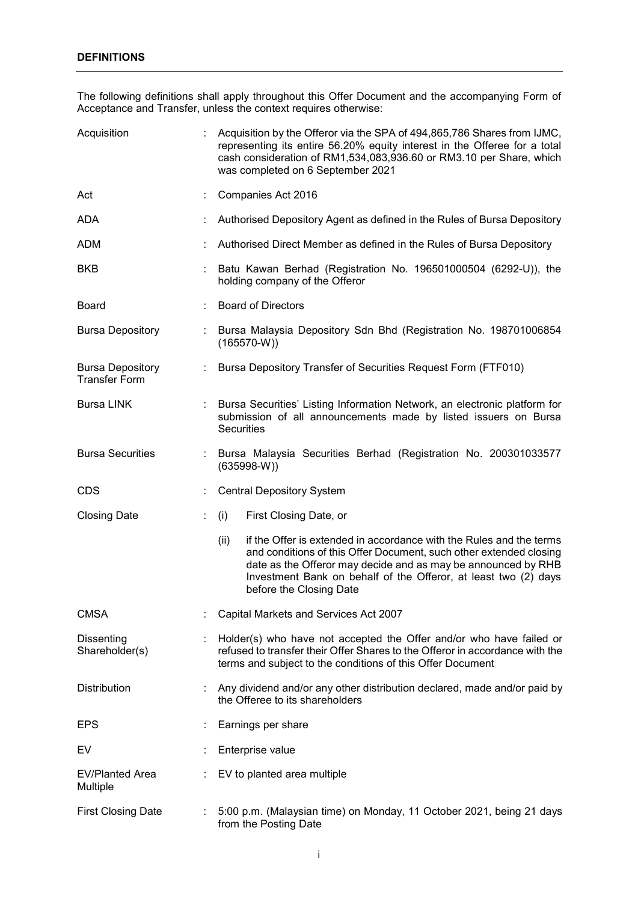The following definitions shall apply throughout this Offer Document and the accompanying Form of Acceptance and Transfer, unless the context requires otherwise:

| Acquisition                                     | Acquisition by the Offeror via the SPA of 494,865,786 Shares from IJMC,<br>representing its entire 56.20% equity interest in the Offeree for a total<br>cash consideration of RM1,534,083,936.60 or RM3.10 per Share, which<br>was completed on 6 September 2021                                                 |
|-------------------------------------------------|------------------------------------------------------------------------------------------------------------------------------------------------------------------------------------------------------------------------------------------------------------------------------------------------------------------|
| Act                                             | Companies Act 2016                                                                                                                                                                                                                                                                                               |
| <b>ADA</b>                                      | Authorised Depository Agent as defined in the Rules of Bursa Depository                                                                                                                                                                                                                                          |
| ADM                                             | Authorised Direct Member as defined in the Rules of Bursa Depository                                                                                                                                                                                                                                             |
| <b>BKB</b>                                      | Batu Kawan Berhad (Registration No. 196501000504 (6292-U)), the<br>holding company of the Offeror                                                                                                                                                                                                                |
| <b>Board</b>                                    | <b>Board of Directors</b>                                                                                                                                                                                                                                                                                        |
| <b>Bursa Depository</b>                         | Bursa Malaysia Depository Sdn Bhd (Registration No. 198701006854<br>$(165570-W))$                                                                                                                                                                                                                                |
| <b>Bursa Depository</b><br><b>Transfer Form</b> | Bursa Depository Transfer of Securities Request Form (FTF010)                                                                                                                                                                                                                                                    |
| <b>Bursa LINK</b>                               | Bursa Securities' Listing Information Network, an electronic platform for<br>submission of all announcements made by listed issuers on Bursa<br><b>Securities</b>                                                                                                                                                |
| <b>Bursa Securities</b>                         | Bursa Malaysia Securities Berhad (Registration No. 200301033577<br>$(635998-W)$                                                                                                                                                                                                                                  |
| <b>CDS</b>                                      | <b>Central Depository System</b>                                                                                                                                                                                                                                                                                 |
| <b>Closing Date</b>                             | (i)<br>First Closing Date, or                                                                                                                                                                                                                                                                                    |
|                                                 | if the Offer is extended in accordance with the Rules and the terms<br>(ii)<br>and conditions of this Offer Document, such other extended closing<br>date as the Offeror may decide and as may be announced by RHB<br>Investment Bank on behalf of the Offeror, at least two (2) days<br>before the Closing Date |
| <b>CMSA</b>                                     | Capital Markets and Services Act 2007                                                                                                                                                                                                                                                                            |
| Dissenting<br>Shareholder(s)                    | Holder(s) who have not accepted the Offer and/or who have failed or<br>refused to transfer their Offer Shares to the Offeror in accordance with the<br>terms and subject to the conditions of this Offer Document                                                                                                |
| Distribution                                    | Any dividend and/or any other distribution declared, made and/or paid by<br>the Offeree to its shareholders                                                                                                                                                                                                      |
| <b>EPS</b>                                      | Earnings per share                                                                                                                                                                                                                                                                                               |
| EV                                              | Enterprise value                                                                                                                                                                                                                                                                                                 |
| <b>EV/Planted Area</b><br>Multiple              | EV to planted area multiple                                                                                                                                                                                                                                                                                      |
| <b>First Closing Date</b>                       | 5:00 p.m. (Malaysian time) on Monday, 11 October 2021, being 21 days<br>from the Posting Date                                                                                                                                                                                                                    |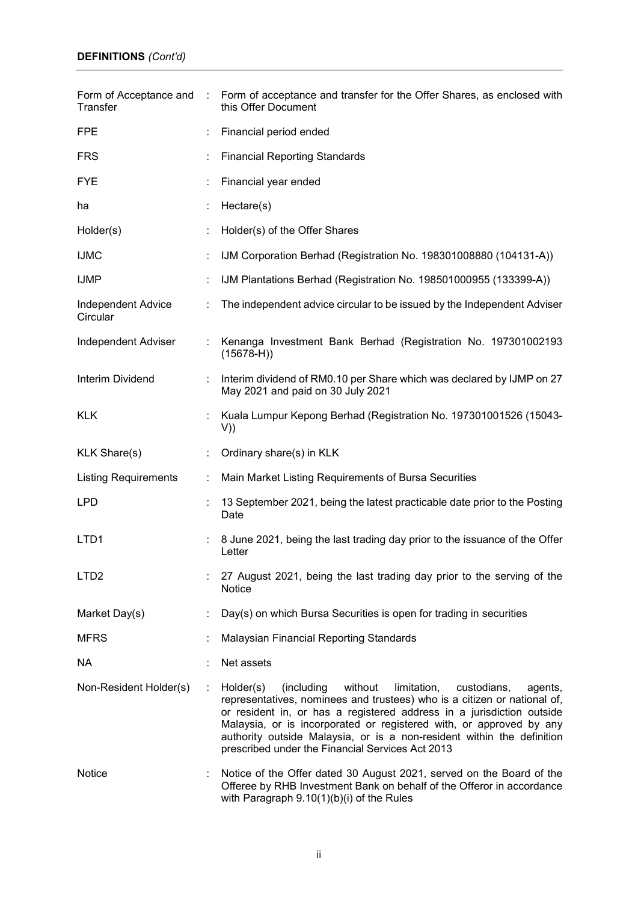| Form of Acceptance and<br>Transfer    |    | : Form of acceptance and transfer for the Offer Shares, as enclosed with<br>this Offer Document                                                                                                                                                                                                                                                                                                                                       |
|---------------------------------------|----|---------------------------------------------------------------------------------------------------------------------------------------------------------------------------------------------------------------------------------------------------------------------------------------------------------------------------------------------------------------------------------------------------------------------------------------|
| <b>FPE</b>                            |    | Financial period ended                                                                                                                                                                                                                                                                                                                                                                                                                |
| <b>FRS</b>                            |    | <b>Financial Reporting Standards</b>                                                                                                                                                                                                                                                                                                                                                                                                  |
| <b>FYE</b>                            |    | Financial year ended                                                                                                                                                                                                                                                                                                                                                                                                                  |
| ha                                    |    | Hectare(s)                                                                                                                                                                                                                                                                                                                                                                                                                            |
| Holder(s)                             |    | Holder(s) of the Offer Shares                                                                                                                                                                                                                                                                                                                                                                                                         |
| <b>IJMC</b>                           |    | IJM Corporation Berhad (Registration No. 198301008880 (104131-A))                                                                                                                                                                                                                                                                                                                                                                     |
| <b>IJMP</b>                           |    | IJM Plantations Berhad (Registration No. 198501000955 (133399-A))                                                                                                                                                                                                                                                                                                                                                                     |
| <b>Independent Advice</b><br>Circular |    | The independent advice circular to be issued by the Independent Adviser                                                                                                                                                                                                                                                                                                                                                               |
| <b>Independent Adviser</b>            |    | Kenanga Investment Bank Berhad (Registration No. 197301002193<br>$(15678-H))$                                                                                                                                                                                                                                                                                                                                                         |
| Interim Dividend                      |    | Interim dividend of RM0.10 per Share which was declared by IJMP on 27<br>May 2021 and paid on 30 July 2021                                                                                                                                                                                                                                                                                                                            |
| <b>KLK</b>                            |    | Kuala Lumpur Kepong Berhad (Registration No. 197301001526 (15043-<br>V)                                                                                                                                                                                                                                                                                                                                                               |
| <b>KLK Share(s)</b>                   |    | Ordinary share(s) in KLK                                                                                                                                                                                                                                                                                                                                                                                                              |
| <b>Listing Requirements</b>           | ÷. | Main Market Listing Requirements of Bursa Securities                                                                                                                                                                                                                                                                                                                                                                                  |
| <b>LPD</b>                            |    | 13 September 2021, being the latest practicable date prior to the Posting<br>Date                                                                                                                                                                                                                                                                                                                                                     |
| LTD1                                  |    | 8 June 2021, being the last trading day prior to the issuance of the Offer<br>Letter                                                                                                                                                                                                                                                                                                                                                  |
| LTD <sub>2</sub>                      |    | 27 August 2021, being the last trading day prior to the serving of the<br><b>Notice</b>                                                                                                                                                                                                                                                                                                                                               |
| Market Day(s)                         |    | Day(s) on which Bursa Securities is open for trading in securities                                                                                                                                                                                                                                                                                                                                                                    |
| <b>MFRS</b>                           |    | Malaysian Financial Reporting Standards                                                                                                                                                                                                                                                                                                                                                                                               |
| NA.                                   |    | Net assets                                                                                                                                                                                                                                                                                                                                                                                                                            |
| Non-Resident Holder(s)                | ÷  | (including<br>without<br>limitation,<br>Holder(s)<br>custodians,<br>agents,<br>representatives, nominees and trustees) who is a citizen or national of,<br>or resident in, or has a registered address in a jurisdiction outside<br>Malaysia, or is incorporated or registered with, or approved by any<br>authority outside Malaysia, or is a non-resident within the definition<br>prescribed under the Financial Services Act 2013 |
| <b>Notice</b>                         |    | Notice of the Offer dated 30 August 2021, served on the Board of the<br>Offeree by RHB Investment Bank on behalf of the Offeror in accordance<br>with Paragraph 9.10(1)(b)(i) of the Rules                                                                                                                                                                                                                                            |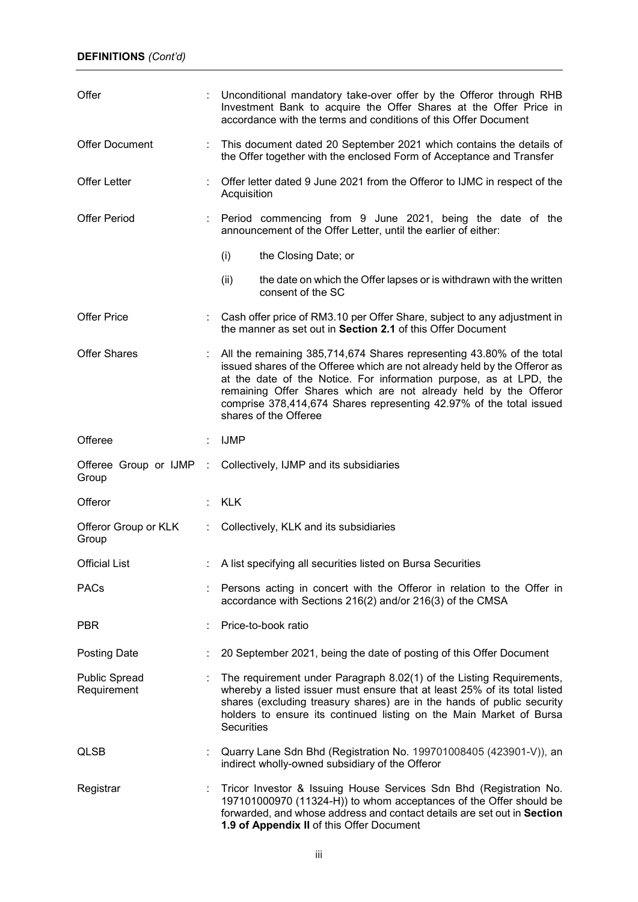| Offer                               |                          | Unconditional mandatory take-over offer by the Offeror through RHB<br>Investment Bank to acquire the Offer Shares at the Offer Price in<br>accordance with the terms and conditions of this Offer Document                                                                                                                                                                                   |
|-------------------------------------|--------------------------|----------------------------------------------------------------------------------------------------------------------------------------------------------------------------------------------------------------------------------------------------------------------------------------------------------------------------------------------------------------------------------------------|
| <b>Offer Document</b>               | ÷                        | This document dated 20 September 2021 which contains the details of<br>the Offer together with the enclosed Form of Acceptance and Transfer                                                                                                                                                                                                                                                  |
| <b>Offer Letter</b>                 |                          | Offer letter dated 9 June 2021 from the Offeror to IJMC in respect of the<br>Acquisition                                                                                                                                                                                                                                                                                                     |
| <b>Offer Period</b>                 |                          | Period commencing from 9 June 2021, being the date of the<br>announcement of the Offer Letter, until the earlier of either:                                                                                                                                                                                                                                                                  |
|                                     |                          | (i)<br>the Closing Date; or                                                                                                                                                                                                                                                                                                                                                                  |
|                                     |                          | the date on which the Offer lapses or is withdrawn with the written<br>(ii)<br>consent of the SC                                                                                                                                                                                                                                                                                             |
| <b>Offer Price</b>                  |                          | : Cash offer price of RM3.10 per Offer Share, subject to any adjustment in<br>the manner as set out in Section 2.1 of this Offer Document                                                                                                                                                                                                                                                    |
| <b>Offer Shares</b>                 |                          | All the remaining 385,714,674 Shares representing 43.80% of the total<br>issued shares of the Offeree which are not already held by the Offeror as<br>at the date of the Notice. For information purpose, as at LPD, the<br>remaining Offer Shares which are not already held by the Offeror<br>comprise 378,414,674 Shares representing 42.97% of the total issued<br>shares of the Offeree |
| Offeree                             |                          | <b>IJMP</b>                                                                                                                                                                                                                                                                                                                                                                                  |
| Group                               |                          | Offeree Group or IJMP : Collectively, IJMP and its subsidiaries                                                                                                                                                                                                                                                                                                                              |
| Offeror                             |                          | KLK                                                                                                                                                                                                                                                                                                                                                                                          |
| Offeror Group or KLK<br>Group       | $\mathcal{L}_{\rm{max}}$ | Collectively, KLK and its subsidiaries                                                                                                                                                                                                                                                                                                                                                       |
| <b>Official List</b>                |                          | A list specifying all securities listed on Bursa Securities                                                                                                                                                                                                                                                                                                                                  |
| <b>PACs</b>                         |                          | Persons acting in concert with the Offeror in relation to the Offer in<br>accordance with Sections 216(2) and/or 216(3) of the CMSA                                                                                                                                                                                                                                                          |
| <b>PBR</b>                          |                          | Price-to-book ratio                                                                                                                                                                                                                                                                                                                                                                          |
| <b>Posting Date</b>                 |                          | 20 September 2021, being the date of posting of this Offer Document                                                                                                                                                                                                                                                                                                                          |
| <b>Public Spread</b><br>Requirement |                          | The requirement under Paragraph 8.02(1) of the Listing Requirements,<br>whereby a listed issuer must ensure that at least 25% of its total listed<br>shares (excluding treasury shares) are in the hands of public security<br>holders to ensure its continued listing on the Main Market of Bursa<br>Securities                                                                             |
| <b>QLSB</b>                         |                          | Quarry Lane Sdn Bhd (Registration No. 199701008405 (423901-V)), an<br>indirect wholly-owned subsidiary of the Offeror                                                                                                                                                                                                                                                                        |
| Registrar                           |                          | Tricor Investor & Issuing House Services Sdn Bhd (Registration No.<br>197101000970 (11324-H)) to whom acceptances of the Offer should be<br>forwarded, and whose address and contact details are set out in Section<br>1.9 of Appendix II of this Offer Document                                                                                                                             |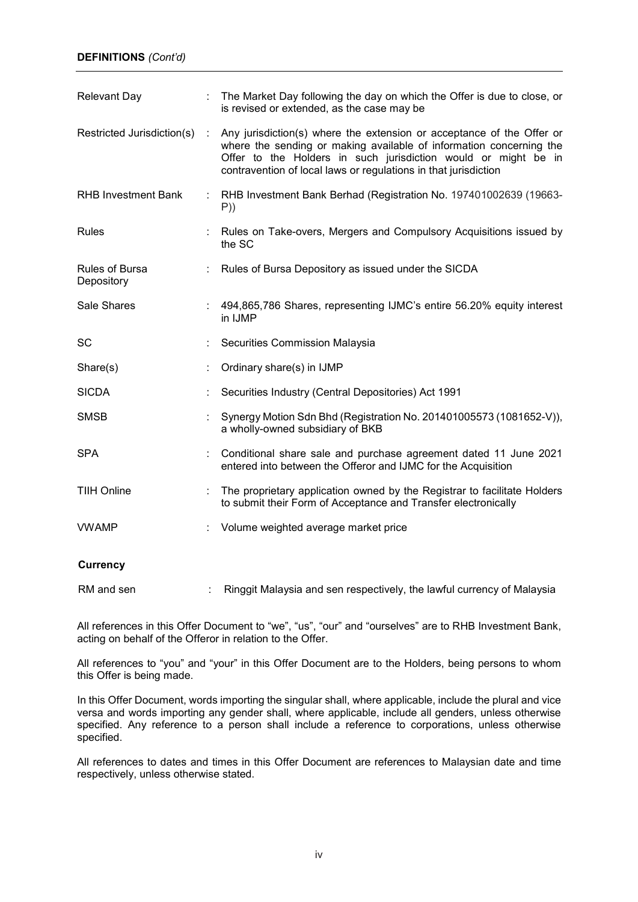### **DEFINITIONS** *(Cont'd)*

| <b>Relevant Day</b>          |   | The Market Day following the day on which the Offer is due to close, or<br>is revised or extended, as the case may be                                                                                                                                                             |
|------------------------------|---|-----------------------------------------------------------------------------------------------------------------------------------------------------------------------------------------------------------------------------------------------------------------------------------|
| Restricted Jurisdiction(s)   | ÷ | Any jurisdiction(s) where the extension or acceptance of the Offer or<br>where the sending or making available of information concerning the<br>Offer to the Holders in such jurisdiction would or might be in<br>contravention of local laws or regulations in that jurisdiction |
| <b>RHB Investment Bank</b>   |   | : RHB Investment Bank Berhad (Registration No. 197401002639 (19663-<br>P)                                                                                                                                                                                                         |
| <b>Rules</b>                 |   | Rules on Take-overs, Mergers and Compulsory Acquisitions issued by<br>the SC                                                                                                                                                                                                      |
| Rules of Bursa<br>Depository |   | Rules of Bursa Depository as issued under the SICDA                                                                                                                                                                                                                               |
| Sale Shares                  |   | : 494,865,786 Shares, representing IJMC's entire 56.20% equity interest<br>in IJMP                                                                                                                                                                                                |
| <b>SC</b>                    |   | Securities Commission Malaysia                                                                                                                                                                                                                                                    |
| Share(s)                     |   | Ordinary share(s) in IJMP                                                                                                                                                                                                                                                         |
| <b>SICDA</b>                 |   | Securities Industry (Central Depositories) Act 1991                                                                                                                                                                                                                               |
| <b>SMSB</b>                  |   | Synergy Motion Sdn Bhd (Registration No. 201401005573 (1081652-V)),<br>a wholly-owned subsidiary of BKB                                                                                                                                                                           |
| <b>SPA</b>                   |   | Conditional share sale and purchase agreement dated 11 June 2021<br>entered into between the Offeror and IJMC for the Acquisition                                                                                                                                                 |
| <b>TIIH Online</b>           |   | The proprietary application owned by the Registrar to facilitate Holders<br>to submit their Form of Acceptance and Transfer electronically                                                                                                                                        |
| <b>VWAMP</b>                 |   | Volume weighted average market price                                                                                                                                                                                                                                              |
| <b>Currency</b>              |   |                                                                                                                                                                                                                                                                                   |
| RM and sen                   |   | Ringgit Malaysia and sen respectively, the lawful currency of Malaysia                                                                                                                                                                                                            |

All references in this Offer Document to "we", "us", "our" and "ourselves" are to RHB Investment Bank, acting on behalf of the Offeror in relation to the Offer.

All references to "you" and "your" in this Offer Document are to the Holders, being persons to whom this Offer is being made.

In this Offer Document, words importing the singular shall, where applicable, include the plural and vice versa and words importing any gender shall, where applicable, include all genders, unless otherwise specified. Any reference to a person shall include a reference to corporations, unless otherwise specified.

All references to dates and times in this Offer Document are references to Malaysian date and time respectively, unless otherwise stated.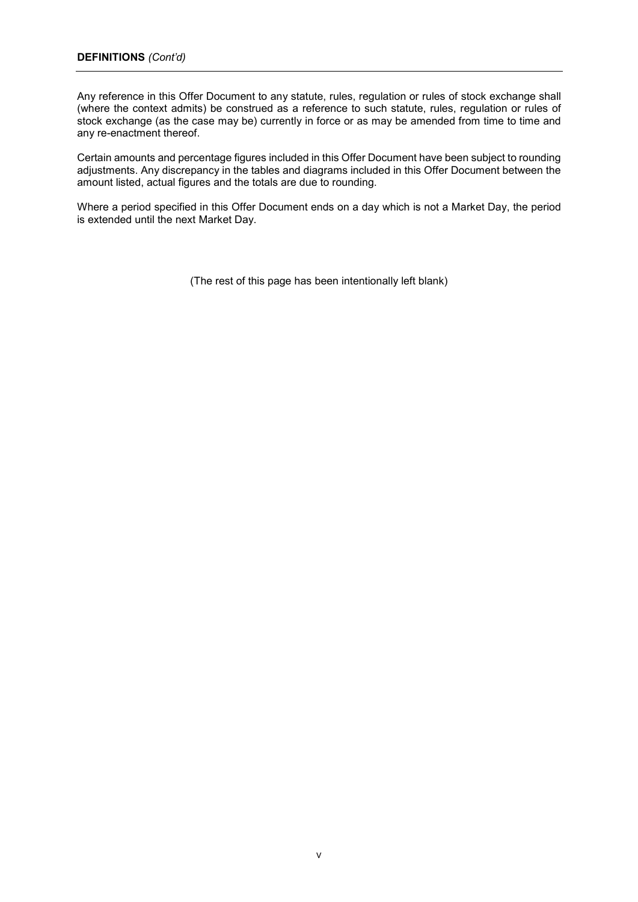Any reference in this Offer Document to any statute, rules, regulation or rules of stock exchange shall (where the context admits) be construed as a reference to such statute, rules, regulation or rules of stock exchange (as the case may be) currently in force or as may be amended from time to time and any re-enactment thereof.

Certain amounts and percentage figures included in this Offer Document have been subject to rounding adjustments. Any discrepancy in the tables and diagrams included in this Offer Document between the amount listed, actual figures and the totals are due to rounding.

Where a period specified in this Offer Document ends on a day which is not a Market Day, the period is extended until the next Market Day.

(The rest of this page has been intentionally left blank)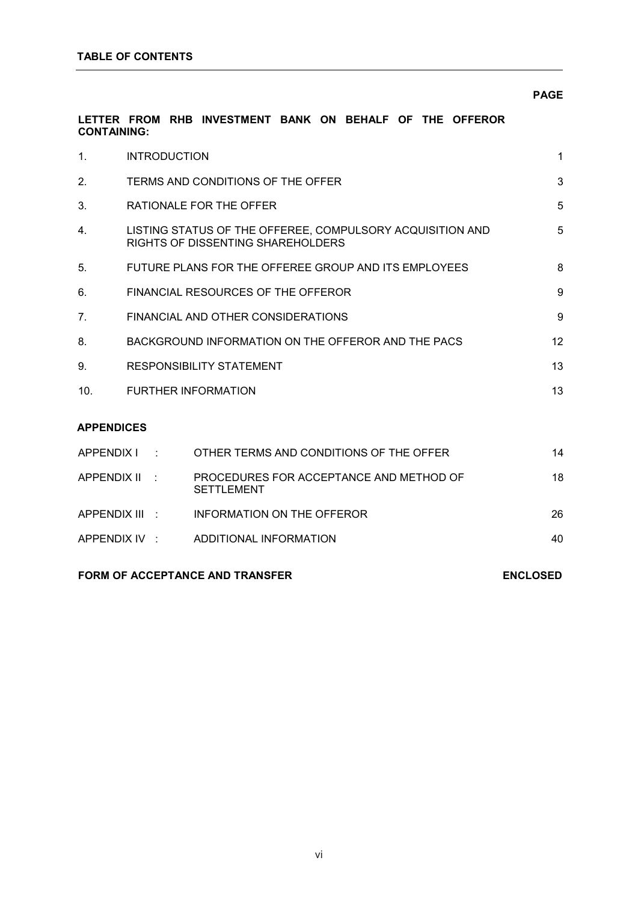### **PAGE PAGE**

### **LETTER FROM RHB INVESTMENT BANK ON BEHALF OF THE OFFEROR CONTAINING:**

| $\mathbf{1}$ .     | <b>INTRODUCTION</b> |                                                                                                | $\mathbf 1$ |
|--------------------|---------------------|------------------------------------------------------------------------------------------------|-------------|
| 2.                 |                     | TERMS AND CONDITIONS OF THE OFFER                                                              | 3           |
| 3.                 |                     | RATIONALE FOR THE OFFER                                                                        | 5           |
| 4.                 |                     | LISTING STATUS OF THE OFFEREE, COMPULSORY ACQUISITION AND<br>RIGHTS OF DISSENTING SHAREHOLDERS | 5           |
| 5.                 |                     | FUTURE PLANS FOR THE OFFEREE GROUP AND ITS EMPLOYEES                                           | 8           |
| 6.                 |                     | FINANCIAL RESOURCES OF THE OFFEROR                                                             | 9           |
| 7 <sub>1</sub>     |                     | FINANCIAL AND OTHER CONSIDERATIONS                                                             | 9           |
| 8.                 |                     | BACKGROUND INFORMATION ON THE OFFEROR AND THE PACS                                             | 12          |
| 9.                 |                     | <b>RESPONSIBILITY STATEMENT</b>                                                                | 13          |
| 10.                |                     | <b>FURTHER INFORMATION</b>                                                                     | 13          |
| <b>APPENDICES</b>  |                     |                                                                                                |             |
| APPENDIX I         |                     | OTHER TERMS AND CONDITIONS OF THE OFFER                                                        | 14          |
| <b>APPENDIX II</b> |                     | PROCEDURES FOR ACCEPTANCE AND METHOD OF<br><b>SETTLEMENT</b>                                   | 18          |
|                    | APPENDIX III        | <b>INFORMATION ON THE OFFEROR</b>                                                              | 26          |
|                    | APPENDIX IV :       | ADDITIONAL INFORMATION                                                                         | 40          |

### FORM OF ACCEPTANCE AND TRANSFER ENCLOSED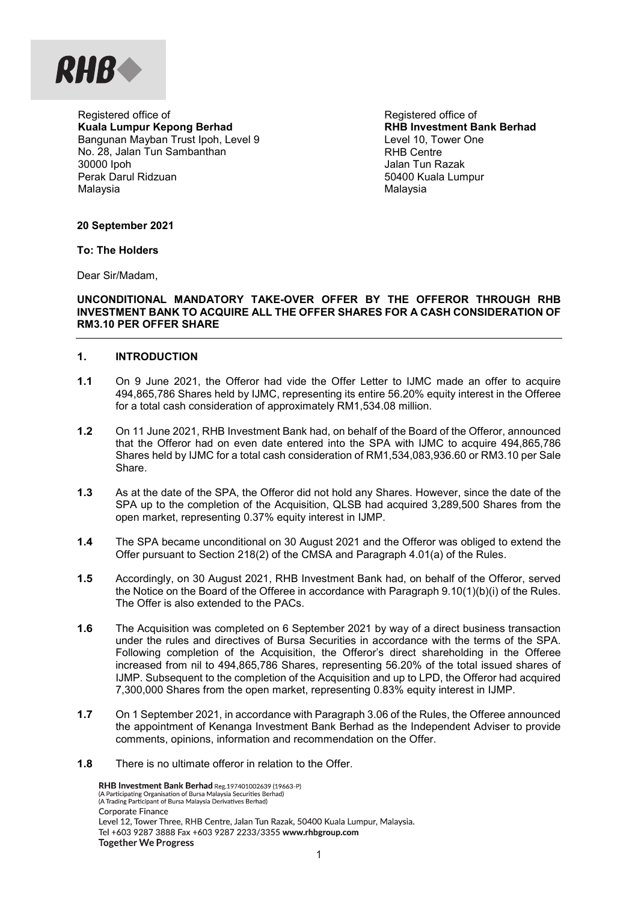

Registered office of **Kuala Lumpur Kepong Berhad**  Bangunan Mayban Trust Ipoh, Level 9 No. 28, Jalan Tun Sambanthan 30000 Ipoh Perak Darul Ridzuan Malaysia

Registered office of **RHB Investment Bank Berhad** Level 10, Tower One RHB Centre Jalan Tun Razak 50400 Kuala Lumpur Malaysia

**20 September 2021** 

**To: The Holders** 

Dear Sir/Madam,

### **UNCONDITIONAL MANDATORY TAKE-OVER OFFER BY THE OFFEROR THROUGH RHB INVESTMENT BANK TO ACQUIRE ALL THE OFFER SHARES FOR A CASH CONSIDERATION OF RM3.10 PER OFFER SHARE**

### **1. INTRODUCTION**

- **1.1** On 9 June 2021, the Offeror had vide the Offer Letter to IJMC made an offer to acquire 494,865,786 Shares held by IJMC, representing its entire 56.20% equity interest in the Offeree for a total cash consideration of approximately RM1,534.08 million.
- **1.2** On 11 June 2021, RHB Investment Bank had, on behalf of the Board of the Offeror, announced that the Offeror had on even date entered into the SPA with IJMC to acquire 494,865,786 Shares held by IJMC for a total cash consideration of RM1,534,083,936.60 or RM3.10 per Sale Share.
- **1.3** As at the date of the SPA, the Offeror did not hold any Shares. However, since the date of the SPA up to the completion of the Acquisition, QLSB had acquired 3,289,500 Shares from the open market, representing 0.37% equity interest in IJMP.
- **1.4** The SPA became unconditional on 30 August 2021 and the Offeror was obliged to extend the Offer pursuant to Section 218(2) of the CMSA and Paragraph 4.01(a) of the Rules.
- **1.5** Accordingly, on 30 August 2021, RHB Investment Bank had, on behalf of the Offeror, served the Notice on the Board of the Offeree in accordance with Paragraph 9.10(1)(b)(i) of the Rules. The Offer is also extended to the PACs.
- **1.6** The Acquisition was completed on 6 September 2021 by way of a direct business transaction under the rules and directives of Bursa Securities in accordance with the terms of the SPA. Following completion of the Acquisition, the Offeror's direct shareholding in the Offeree increased from nil to 494,865,786 Shares, representing 56.20% of the total issued shares of IJMP. Subsequent to the completion of the Acquisition and up to LPD, the Offeror had acquired 7,300,000 Shares from the open market, representing 0.83% equity interest in IJMP.
- **1.7** On 1 September 2021, in accordance with Paragraph 3.06 of the Rules, the Offeree announced the appointment of Kenanga Investment Bank Berhad as the Independent Adviser to provide comments, opinions, information and recommendation on the Offer.
- **1.8** There is no ultimate offeror in relation to the Offer.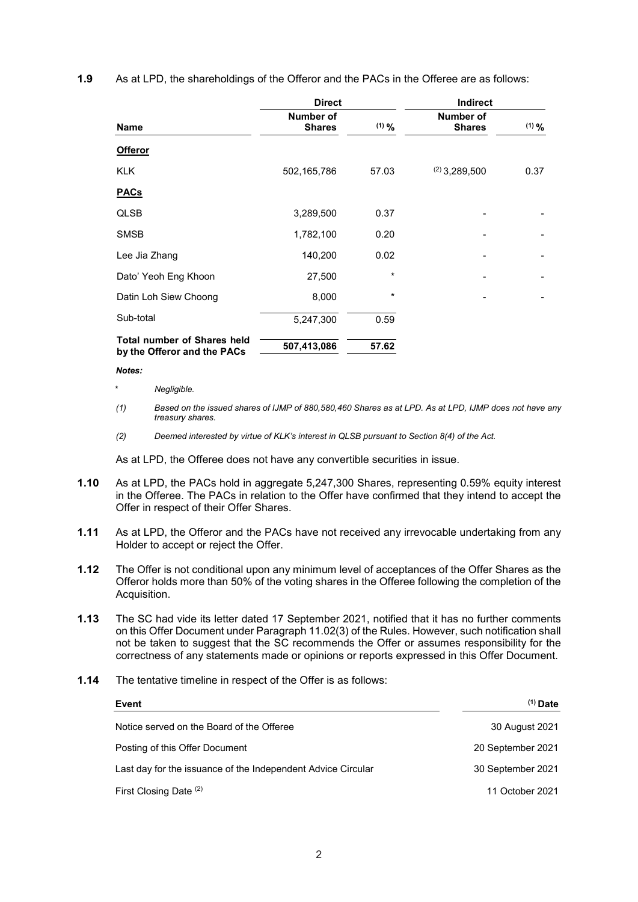| As at LPD, the shareholdings of the Offeror and the PACs in the Offeree are as follows:<br>1.9 |
|------------------------------------------------------------------------------------------------|
|------------------------------------------------------------------------------------------------|

|                                                                   | <b>Direct</b>                     |         | Indirect                   |         |  |
|-------------------------------------------------------------------|-----------------------------------|---------|----------------------------|---------|--|
| <b>Name</b>                                                       | <b>Number of</b><br><b>Shares</b> | $(1)$ % | Number of<br><b>Shares</b> | $(1)$ % |  |
| <b>Offeror</b>                                                    |                                   |         |                            |         |  |
| <b>KLK</b>                                                        | 502,165,786                       | 57.03   | $(2)$ 3,289,500            | 0.37    |  |
| <b>PACs</b>                                                       |                                   |         |                            |         |  |
| <b>QLSB</b>                                                       | 3,289,500                         | 0.37    |                            |         |  |
| <b>SMSB</b>                                                       | 1,782,100                         | 0.20    |                            |         |  |
| Lee Jia Zhang                                                     | 140,200                           | 0.02    |                            |         |  |
| Dato' Yeoh Eng Khoon                                              | 27,500                            | *       |                            |         |  |
| Datin Loh Siew Choong                                             | 8,000                             | *       |                            |         |  |
| Sub-total                                                         | 5,247,300                         | 0.59    |                            |         |  |
| <b>Total number of Shares held</b><br>by the Offeror and the PACs | 507,413,086                       | 57.62   |                            |         |  |

### *Notes:*

- \* *Negligible.*
- *(1) Based on the issued shares of IJMP of 880,580,460 Shares as at LPD. As at LPD, IJMP does not have any treasury shares.*
- *(2) Deemed interested by virtue of KLK's interest in QLSB pursuant to Section 8(4) of the Act.*

As at LPD, the Offeree does not have any convertible securities in issue.

- **1.10** As at LPD, the PACs hold in aggregate 5,247,300 Shares, representing 0.59% equity interest in the Offeree. The PACs in relation to the Offer have confirmed that they intend to accept the Offer in respect of their Offer Shares.
- **1.11** As at LPD, the Offeror and the PACs have not received any irrevocable undertaking from any Holder to accept or reject the Offer.
- **1.12** The Offer is not conditional upon any minimum level of acceptances of the Offer Shares as the Offeror holds more than 50% of the voting shares in the Offeree following the completion of the Acquisition.
- **1.13** The SC had vide its letter dated 17 September 2021, notified that it has no further comments on this Offer Document under Paragraph 11.02(3) of the Rules. However, such notification shall not be taken to suggest that the SC recommends the Offer or assumes responsibility for the correctness of any statements made or opinions or reports expressed in this Offer Document.
- **1.14** The tentative timeline in respect of the Offer is as follows:

| Event                                                        | $(1)$ Date        |
|--------------------------------------------------------------|-------------------|
| Notice served on the Board of the Offeree                    | 30 August 2021    |
| Posting of this Offer Document                               | 20 September 2021 |
| Last day for the issuance of the Independent Advice Circular | 30 September 2021 |
| First Closing Date (2)                                       | 11 October 2021   |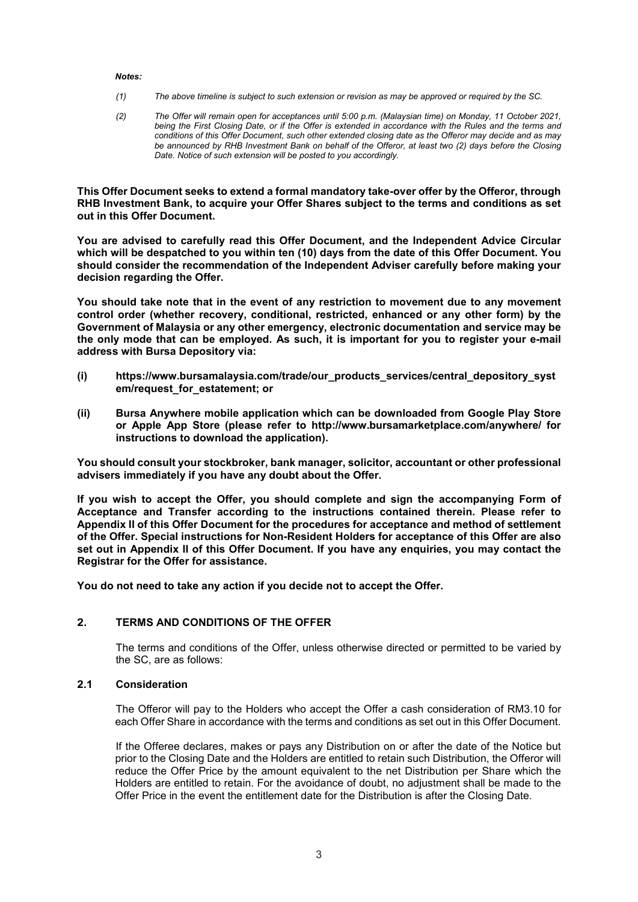### *Notes:*

- *(1) The above timeline is subject to such extension or revision as may be approved or required by the SC.*
- *(2) The Offer will remain open for acceptances until 5:00 p.m. (Malaysian time) on Monday, 11 October 2021,*  being the First Closing Date, or if the Offer is extended in accordance with the Rules and the terms and *conditions of this Offer Document, such other extended closing date as the Offeror may decide and as may be announced by RHB Investment Bank on behalf of the Offeror, at least two (2) days before the Closing Date. Notice of such extension will be posted to you accordingly.*

**This Offer Document seeks to extend a formal mandatory take-over offer by the Offeror, through RHB Investment Bank, to acquire your Offer Shares subject to the terms and conditions as set out in this Offer Document.**

**You are advised to carefully read this Offer Document, and the Independent Advice Circular which will be despatched to you within ten (10) days from the date of this Offer Document. You should consider the recommendation of the Independent Adviser carefully before making your decision regarding the Offer.** 

**You should take note that in the event of any restriction to movement due to any movement control order (whether recovery, conditional, restricted, enhanced or any other form) by the Government of Malaysia or any other emergency, electronic documentation and service may be the only mode that can be employed. As such, it is important for you to register your e-mail address with Bursa Depository via:** 

- **(i) https://www.bursamalaysia.com/trade/our\_products\_services/central\_depository\_syst em/request\_for\_estatement; or**
- **(ii) Bursa Anywhere mobile application which can be downloaded from Google Play Store or Apple App Store (please refer to http://www.bursamarketplace.com/anywhere/ for instructions to download the application).**

**You should consult your stockbroker, bank manager, solicitor, accountant or other professional advisers immediately if you have any doubt about the Offer.** 

**If you wish to accept the Offer, you should complete and sign the accompanying Form of Acceptance and Transfer according to the instructions contained therein. Please refer to Appendix II of this Offer Document for the procedures for acceptance and method of settlement of the Offer. Special instructions for Non-Resident Holders for acceptance of this Offer are also set out in Appendix II of this Offer Document. If you have any enquiries, you may contact the Registrar for the Offer for assistance.** 

**You do not need to take any action if you decide not to accept the Offer.** 

### **2. TERMS AND CONDITIONS OF THE OFFER**

The terms and conditions of the Offer, unless otherwise directed or permitted to be varied by the SC, are as follows:

### **2.1 Consideration**

The Offeror will pay to the Holders who accept the Offer a cash consideration of RM3.10 for each Offer Share in accordance with the terms and conditions as set out in this Offer Document.

If the Offeree declares, makes or pays any Distribution on or after the date of the Notice but prior to the Closing Date and the Holders are entitled to retain such Distribution, the Offeror will reduce the Offer Price by the amount equivalent to the net Distribution per Share which the Holders are entitled to retain. For the avoidance of doubt, no adjustment shall be made to the Offer Price in the event the entitlement date for the Distribution is after the Closing Date.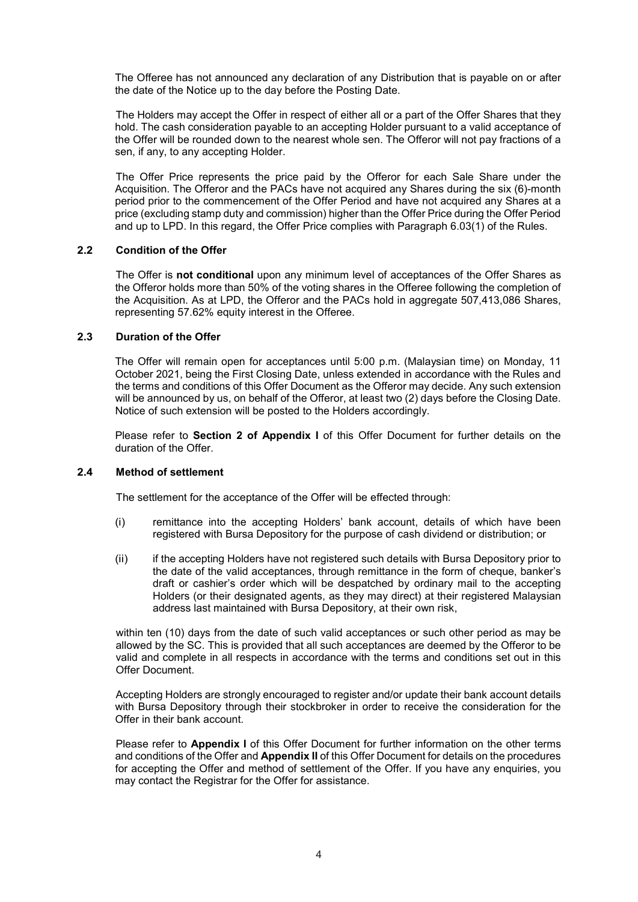The Offeree has not announced any declaration of any Distribution that is payable on or after the date of the Notice up to the day before the Posting Date.

The Holders may accept the Offer in respect of either all or a part of the Offer Shares that they hold. The cash consideration payable to an accepting Holder pursuant to a valid acceptance of the Offer will be rounded down to the nearest whole sen. The Offeror will not pay fractions of a sen, if any, to any accepting Holder.

The Offer Price represents the price paid by the Offeror for each Sale Share under the Acquisition. The Offeror and the PACs have not acquired any Shares during the six (6)-month period prior to the commencement of the Offer Period and have not acquired any Shares at a price (excluding stamp duty and commission) higher than the Offer Price during the Offer Period and up to LPD. In this regard, the Offer Price complies with Paragraph 6.03(1) of the Rules.

### **2.2 Condition of the Offer**

The Offer is **not conditional** upon any minimum level of acceptances of the Offer Shares as the Offeror holds more than 50% of the voting shares in the Offeree following the completion of the Acquisition. As at LPD, the Offeror and the PACs hold in aggregate 507,413,086 Shares, representing 57.62% equity interest in the Offeree.

### **2.3 Duration of the Offer**

The Offer will remain open for acceptances until 5:00 p.m. (Malaysian time) on Monday, 11 October 2021, being the First Closing Date, unless extended in accordance with the Rules and the terms and conditions of this Offer Document as the Offeror may decide. Any such extension will be announced by us, on behalf of the Offeror, at least two (2) days before the Closing Date. Notice of such extension will be posted to the Holders accordingly.

Please refer to **Section 2 of Appendix I** of this Offer Document for further details on the duration of the Offer.

### **2.4 Method of settlement**

The settlement for the acceptance of the Offer will be effected through:

- (i) remittance into the accepting Holders' bank account, details of which have been registered with Bursa Depository for the purpose of cash dividend or distribution; or
- (ii) if the accepting Holders have not registered such details with Bursa Depository prior to the date of the valid acceptances, through remittance in the form of cheque, banker's draft or cashier's order which will be despatched by ordinary mail to the accepting Holders (or their designated agents, as they may direct) at their registered Malaysian address last maintained with Bursa Depository, at their own risk,

within ten (10) days from the date of such valid acceptances or such other period as may be allowed by the SC. This is provided that all such acceptances are deemed by the Offeror to be valid and complete in all respects in accordance with the terms and conditions set out in this Offer Document.

Accepting Holders are strongly encouraged to register and/or update their bank account details with Bursa Depository through their stockbroker in order to receive the consideration for the Offer in their bank account.

Please refer to **Appendix I** of this Offer Document for further information on the other terms and conditions of the Offer and **Appendix II** of this Offer Document for details on the procedures for accepting the Offer and method of settlement of the Offer. If you have any enquiries, you may contact the Registrar for the Offer for assistance.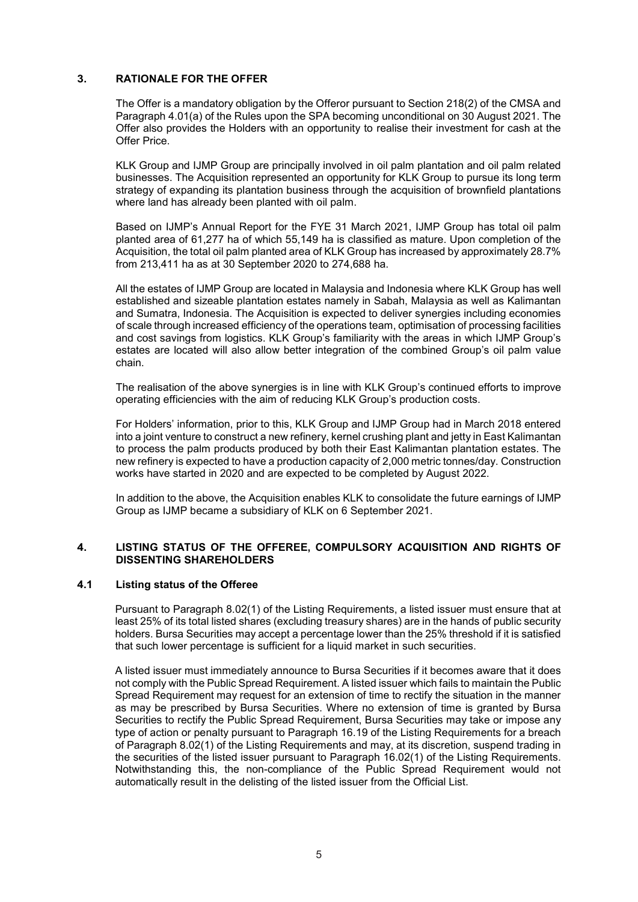### **3. RATIONALE FOR THE OFFER**

The Offer is a mandatory obligation by the Offeror pursuant to Section 218(2) of the CMSA and Paragraph 4.01(a) of the Rules upon the SPA becoming unconditional on 30 August 2021. The Offer also provides the Holders with an opportunity to realise their investment for cash at the Offer Price.

KLK Group and IJMP Group are principally involved in oil palm plantation and oil palm related businesses. The Acquisition represented an opportunity for KLK Group to pursue its long term strategy of expanding its plantation business through the acquisition of brownfield plantations where land has already been planted with oil palm.

Based on IJMP's Annual Report for the FYE 31 March 2021, IJMP Group has total oil palm planted area of 61,277 ha of which 55,149 ha is classified as mature. Upon completion of the Acquisition, the total oil palm planted area of KLK Group has increased by approximately 28.7% from 213,411 ha as at 30 September 2020 to 274,688 ha.

All the estates of IJMP Group are located in Malaysia and Indonesia where KLK Group has well established and sizeable plantation estates namely in Sabah, Malaysia as well as Kalimantan and Sumatra, Indonesia. The Acquisition is expected to deliver synergies including economies of scale through increased efficiency of the operations team, optimisation of processing facilities and cost savings from logistics. KLK Group's familiarity with the areas in which IJMP Group's estates are located will also allow better integration of the combined Group's oil palm value chain.

The realisation of the above synergies is in line with KLK Group's continued efforts to improve operating efficiencies with the aim of reducing KLK Group's production costs.

For Holders' information, prior to this, KLK Group and IJMP Group had in March 2018 entered into a joint venture to construct a new refinery, kernel crushing plant and jetty in East Kalimantan to process the palm products produced by both their East Kalimantan plantation estates. The new refinery is expected to have a production capacity of 2,000 metric tonnes/day. Construction works have started in 2020 and are expected to be completed by August 2022.

In addition to the above, the Acquisition enables KLK to consolidate the future earnings of IJMP Group as IJMP became a subsidiary of KLK on 6 September 2021.

### **4. LISTING STATUS OF THE OFFEREE, COMPULSORY ACQUISITION AND RIGHTS OF DISSENTING SHAREHOLDERS**

### **4.1 Listing status of the Offeree**

Pursuant to Paragraph 8.02(1) of the Listing Requirements, a listed issuer must ensure that at least 25% of its total listed shares (excluding treasury shares) are in the hands of public security holders. Bursa Securities may accept a percentage lower than the 25% threshold if it is satisfied that such lower percentage is sufficient for a liquid market in such securities.

A listed issuer must immediately announce to Bursa Securities if it becomes aware that it does not comply with the Public Spread Requirement. A listed issuer which fails to maintain the Public Spread Requirement may request for an extension of time to rectify the situation in the manner as may be prescribed by Bursa Securities. Where no extension of time is granted by Bursa Securities to rectify the Public Spread Requirement, Bursa Securities may take or impose any type of action or penalty pursuant to Paragraph 16.19 of the Listing Requirements for a breach of Paragraph 8.02(1) of the Listing Requirements and may, at its discretion, suspend trading in the securities of the listed issuer pursuant to Paragraph 16.02(1) of the Listing Requirements. Notwithstanding this, the non-compliance of the Public Spread Requirement would not automatically result in the delisting of the listed issuer from the Official List.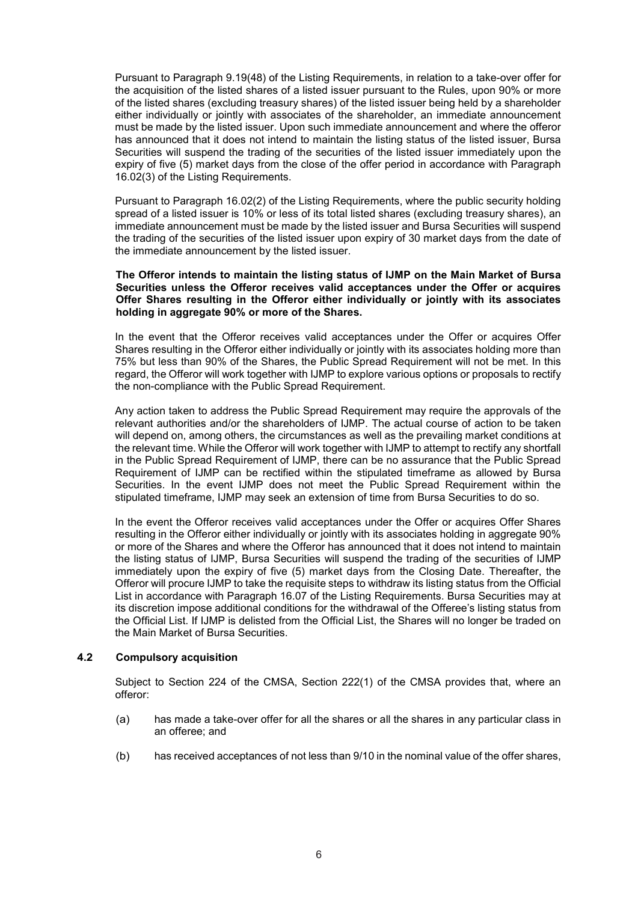Pursuant to Paragraph 9.19(48) of the Listing Requirements, in relation to a take-over offer for the acquisition of the listed shares of a listed issuer pursuant to the Rules, upon 90% or more of the listed shares (excluding treasury shares) of the listed issuer being held by a shareholder either individually or jointly with associates of the shareholder, an immediate announcement must be made by the listed issuer. Upon such immediate announcement and where the offeror has announced that it does not intend to maintain the listing status of the listed issuer, Bursa Securities will suspend the trading of the securities of the listed issuer immediately upon the expiry of five (5) market days from the close of the offer period in accordance with Paragraph 16.02(3) of the Listing Requirements.

Pursuant to Paragraph 16.02(2) of the Listing Requirements, where the public security holding spread of a listed issuer is 10% or less of its total listed shares (excluding treasury shares), an immediate announcement must be made by the listed issuer and Bursa Securities will suspend the trading of the securities of the listed issuer upon expiry of 30 market days from the date of the immediate announcement by the listed issuer.

### **The Offeror intends to maintain the listing status of IJMP on the Main Market of Bursa Securities unless the Offeror receives valid acceptances under the Offer or acquires Offer Shares resulting in the Offeror either individually or jointly with its associates holding in aggregate 90% or more of the Shares.**

In the event that the Offeror receives valid acceptances under the Offer or acquires Offer Shares resulting in the Offeror either individually or jointly with its associates holding more than 75% but less than 90% of the Shares, the Public Spread Requirement will not be met. In this regard, the Offeror will work together with IJMP to explore various options or proposals to rectify the non-compliance with the Public Spread Requirement.

Any action taken to address the Public Spread Requirement may require the approvals of the relevant authorities and/or the shareholders of IJMP. The actual course of action to be taken will depend on, among others, the circumstances as well as the prevailing market conditions at the relevant time. While the Offeror will work together with IJMP to attempt to rectify any shortfall in the Public Spread Requirement of IJMP, there can be no assurance that the Public Spread Requirement of IJMP can be rectified within the stipulated timeframe as allowed by Bursa Securities. In the event IJMP does not meet the Public Spread Requirement within the stipulated timeframe, IJMP may seek an extension of time from Bursa Securities to do so.

In the event the Offeror receives valid acceptances under the Offer or acquires Offer Shares resulting in the Offeror either individually or jointly with its associates holding in aggregate 90% or more of the Shares and where the Offeror has announced that it does not intend to maintain the listing status of IJMP, Bursa Securities will suspend the trading of the securities of IJMP immediately upon the expiry of five (5) market days from the Closing Date. Thereafter, the Offeror will procure IJMP to take the requisite steps to withdraw its listing status from the Official List in accordance with Paragraph 16.07 of the Listing Requirements. Bursa Securities may at its discretion impose additional conditions for the withdrawal of the Offeree's listing status from the Official List. If IJMP is delisted from the Official List, the Shares will no longer be traded on the Main Market of Bursa Securities.

### **4.2 Compulsory acquisition**

Subject to Section 224 of the CMSA, Section 222(1) of the CMSA provides that, where an offeror:

- (a) has made a take-over offer for all the shares or all the shares in any particular class in an offeree; and
- (b) has received acceptances of not less than 9/10 in the nominal value of the offer shares,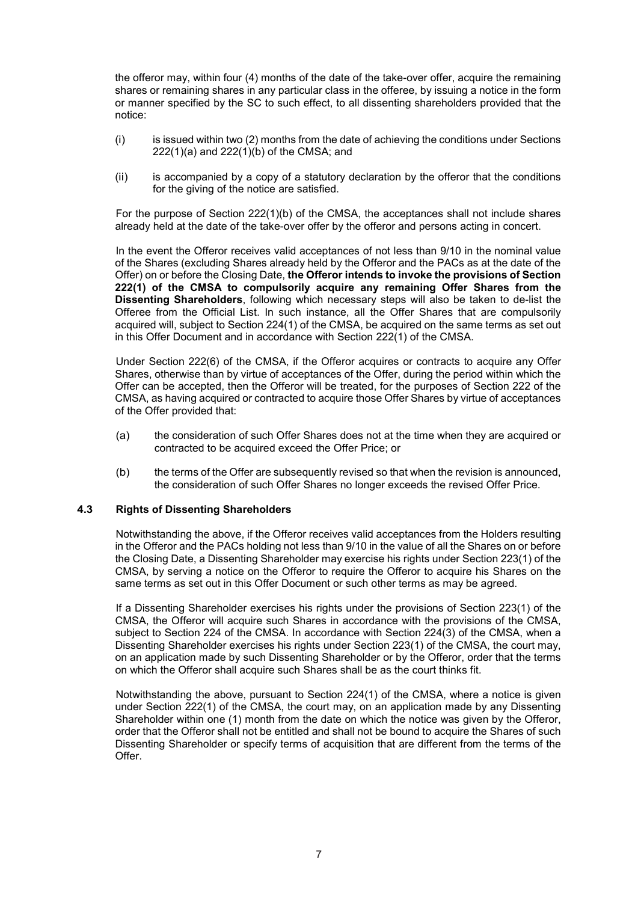the offeror may, within four (4) months of the date of the take-over offer, acquire the remaining shares or remaining shares in any particular class in the offeree, by issuing a notice in the form or manner specified by the SC to such effect, to all dissenting shareholders provided that the notice:

- (i) is issued within two (2) months from the date of achieving the conditions under Sections 222(1)(a) and 222(1)(b) of the CMSA; and
- (ii) is accompanied by a copy of a statutory declaration by the offeror that the conditions for the giving of the notice are satisfied.

For the purpose of Section 222(1)(b) of the CMSA, the acceptances shall not include shares already held at the date of the take-over offer by the offeror and persons acting in concert.

In the event the Offeror receives valid acceptances of not less than 9/10 in the nominal value of the Shares (excluding Shares already held by the Offeror and the PACs as at the date of the Offer) on or before the Closing Date, **the Offeror intends to invoke the provisions of Section 222(1) of the CMSA to compulsorily acquire any remaining Offer Shares from the Dissenting Shareholders**, following which necessary steps will also be taken to de-list the Offeree from the Official List. In such instance, all the Offer Shares that are compulsorily acquired will, subject to Section 224(1) of the CMSA, be acquired on the same terms as set out in this Offer Document and in accordance with Section 222(1) of the CMSA.

Under Section 222(6) of the CMSA, if the Offeror acquires or contracts to acquire any Offer Shares, otherwise than by virtue of acceptances of the Offer, during the period within which the Offer can be accepted, then the Offeror will be treated, for the purposes of Section 222 of the CMSA, as having acquired or contracted to acquire those Offer Shares by virtue of acceptances of the Offer provided that:

- (a) the consideration of such Offer Shares does not at the time when they are acquired or contracted to be acquired exceed the Offer Price; or
- (b) the terms of the Offer are subsequently revised so that when the revision is announced, the consideration of such Offer Shares no longer exceeds the revised Offer Price.

### **4.3 Rights of Dissenting Shareholders**

Notwithstanding the above, if the Offeror receives valid acceptances from the Holders resulting in the Offeror and the PACs holding not less than 9/10 in the value of all the Shares on or before the Closing Date, a Dissenting Shareholder may exercise his rights under Section 223(1) of the CMSA, by serving a notice on the Offeror to require the Offeror to acquire his Shares on the same terms as set out in this Offer Document or such other terms as may be agreed.

If a Dissenting Shareholder exercises his rights under the provisions of Section 223(1) of the CMSA, the Offeror will acquire such Shares in accordance with the provisions of the CMSA, subject to Section 224 of the CMSA. In accordance with Section 224(3) of the CMSA, when a Dissenting Shareholder exercises his rights under Section 223(1) of the CMSA, the court may, on an application made by such Dissenting Shareholder or by the Offeror, order that the terms on which the Offeror shall acquire such Shares shall be as the court thinks fit.

Notwithstanding the above, pursuant to Section 224(1) of the CMSA, where a notice is given under Section 222(1) of the CMSA, the court may, on an application made by any Dissenting Shareholder within one (1) month from the date on which the notice was given by the Offeror, order that the Offeror shall not be entitled and shall not be bound to acquire the Shares of such Dissenting Shareholder or specify terms of acquisition that are different from the terms of the Offer.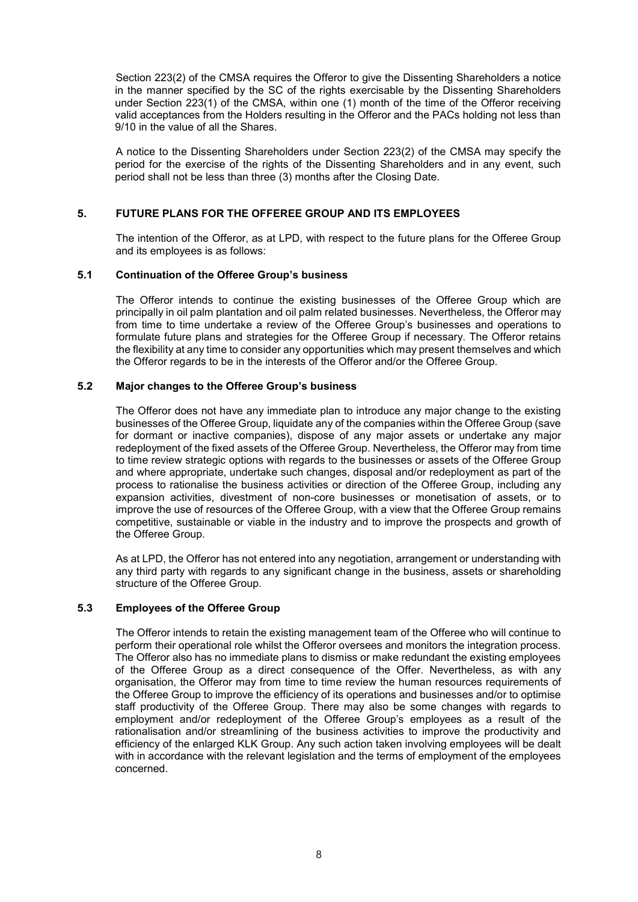Section 223(2) of the CMSA requires the Offeror to give the Dissenting Shareholders a notice in the manner specified by the SC of the rights exercisable by the Dissenting Shareholders under Section 223(1) of the CMSA, within one (1) month of the time of the Offeror receiving valid acceptances from the Holders resulting in the Offeror and the PACs holding not less than 9/10 in the value of all the Shares.

A notice to the Dissenting Shareholders under Section 223(2) of the CMSA may specify the period for the exercise of the rights of the Dissenting Shareholders and in any event, such period shall not be less than three (3) months after the Closing Date.

### **5. FUTURE PLANS FOR THE OFFEREE GROUP AND ITS EMPLOYEES**

The intention of the Offeror, as at LPD, with respect to the future plans for the Offeree Group and its employees is as follows:

### **5.1 Continuation of the Offeree Group's business**

The Offeror intends to continue the existing businesses of the Offeree Group which are principally in oil palm plantation and oil palm related businesses. Nevertheless, the Offeror may from time to time undertake a review of the Offeree Group's businesses and operations to formulate future plans and strategies for the Offeree Group if necessary. The Offeror retains the flexibility at any time to consider any opportunities which may present themselves and which the Offeror regards to be in the interests of the Offeror and/or the Offeree Group.

### **5.2 Major changes to the Offeree Group's business**

The Offeror does not have any immediate plan to introduce any major change to the existing businesses of the Offeree Group, liquidate any of the companies within the Offeree Group (save for dormant or inactive companies), dispose of any major assets or undertake any major redeployment of the fixed assets of the Offeree Group. Nevertheless, the Offeror may from time to time review strategic options with regards to the businesses or assets of the Offeree Group and where appropriate, undertake such changes, disposal and/or redeployment as part of the process to rationalise the business activities or direction of the Offeree Group, including any expansion activities, divestment of non-core businesses or monetisation of assets, or to improve the use of resources of the Offeree Group, with a view that the Offeree Group remains competitive, sustainable or viable in the industry and to improve the prospects and growth of the Offeree Group.

As at LPD, the Offeror has not entered into any negotiation, arrangement or understanding with any third party with regards to any significant change in the business, assets or shareholding structure of the Offeree Group.

### **5.3 Employees of the Offeree Group**

The Offeror intends to retain the existing management team of the Offeree who will continue to perform their operational role whilst the Offeror oversees and monitors the integration process. The Offeror also has no immediate plans to dismiss or make redundant the existing employees of the Offeree Group as a direct consequence of the Offer. Nevertheless, as with any organisation, the Offeror may from time to time review the human resources requirements of the Offeree Group to improve the efficiency of its operations and businesses and/or to optimise staff productivity of the Offeree Group. There may also be some changes with regards to employment and/or redeployment of the Offeree Group's employees as a result of the rationalisation and/or streamlining of the business activities to improve the productivity and efficiency of the enlarged KLK Group. Any such action taken involving employees will be dealt with in accordance with the relevant legislation and the terms of employment of the employees concerned.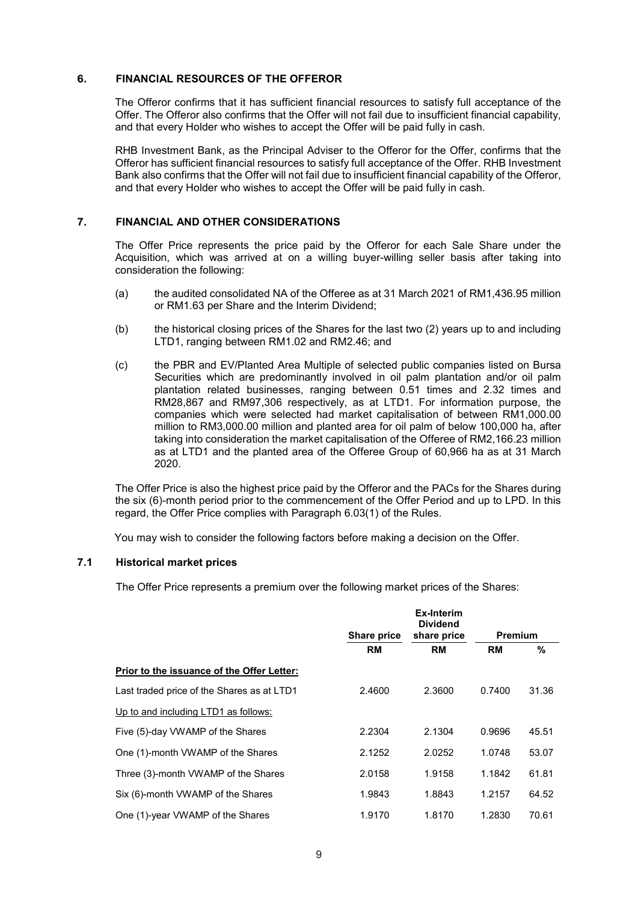### **6. FINANCIAL RESOURCES OF THE OFFEROR**

 The Offeror confirms that it has sufficient financial resources to satisfy full acceptance of the Offer. The Offeror also confirms that the Offer will not fail due to insufficient financial capability, and that every Holder who wishes to accept the Offer will be paid fully in cash.

RHB Investment Bank, as the Principal Adviser to the Offeror for the Offer, confirms that the Offeror has sufficient financial resources to satisfy full acceptance of the Offer. RHB Investment Bank also confirms that the Offer will not fail due to insufficient financial capability of the Offeror, and that every Holder who wishes to accept the Offer will be paid fully in cash.

### **7. FINANCIAL AND OTHER CONSIDERATIONS**

The Offer Price represents the price paid by the Offeror for each Sale Share under the Acquisition, which was arrived at on a willing buyer-willing seller basis after taking into consideration the following:

- (a) the audited consolidated NA of the Offeree as at 31 March 2021 of RM1,436.95 million or RM1.63 per Share and the Interim Dividend;
- (b) the historical closing prices of the Shares for the last two (2) years up to and including LTD1, ranging between RM1.02 and RM2.46; and
- (c) the PBR and EV/Planted Area Multiple of selected public companies listed on Bursa Securities which are predominantly involved in oil palm plantation and/or oil palm plantation related businesses, ranging between 0.51 times and 2.32 times and RM28,867 and RM97,306 respectively, as at LTD1. For information purpose, the companies which were selected had market capitalisation of between RM1,000.00 million to RM3,000.00 million and planted area for oil palm of below 100,000 ha, after taking into consideration the market capitalisation of the Offeree of RM2,166.23 million as at LTD1 and the planted area of the Offeree Group of 60,966 ha as at 31 March 2020.

The Offer Price is also the highest price paid by the Offeror and the PACs for the Shares during the six (6)-month period prior to the commencement of the Offer Period and up to LPD. In this regard, the Offer Price complies with Paragraph 6.03(1) of the Rules.

You may wish to consider the following factors before making a decision on the Offer.

### **7.1 Historical market prices**

The Offer Price represents a premium over the following market prices of the Shares:

|                                            |                    | <b>Ex-Interim</b><br><b>Dividend</b> |                |       |
|--------------------------------------------|--------------------|--------------------------------------|----------------|-------|
|                                            | <b>Share price</b> | share price                          | <b>Premium</b> |       |
|                                            | <b>RM</b>          | <b>RM</b>                            | <b>RM</b>      | %     |
| Prior to the issuance of the Offer Letter: |                    |                                      |                |       |
| Last traded price of the Shares as at LTD1 | 2.4600             | 2.3600                               | 0.7400         | 31.36 |
| Up to and including LTD1 as follows:       |                    |                                      |                |       |
| Five (5)-day VWAMP of the Shares           | 2.2304             | 2.1304                               | 0.9696         | 45.51 |
| One (1)-month VWAMP of the Shares          | 2.1252             | 2.0252                               | 1.0748         | 53.07 |
| Three (3)-month VWAMP of the Shares        | 2.0158             | 1.9158                               | 1.1842         | 61.81 |
| Six (6)-month VWAMP of the Shares          | 1.9843             | 1.8843                               | 1.2157         | 64.52 |
| One (1)-year VWAMP of the Shares           | 1.9170             | 1.8170                               | 1.2830         | 70.61 |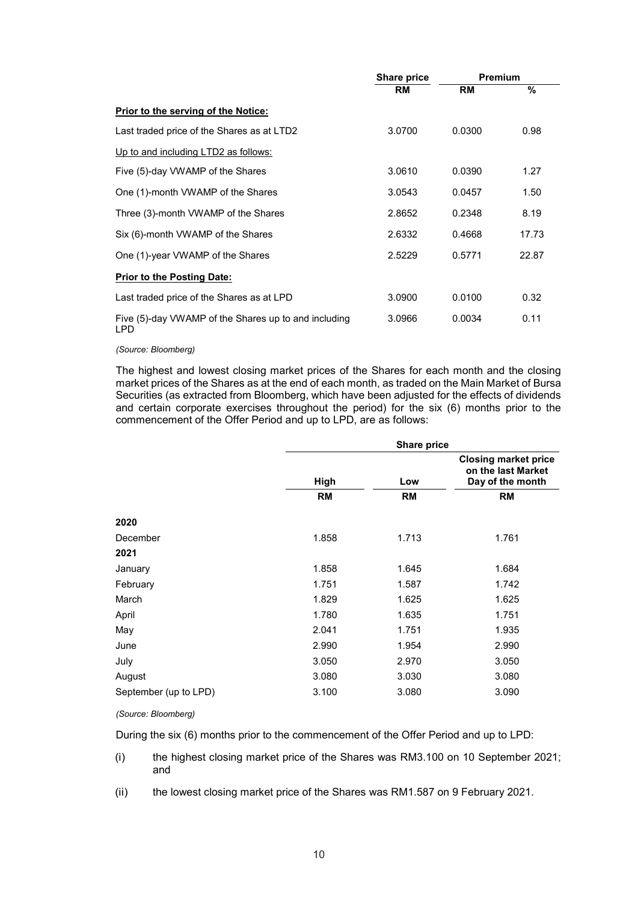|                                                                    | Share price | <b>Premium</b> |       |
|--------------------------------------------------------------------|-------------|----------------|-------|
|                                                                    | <b>RM</b>   | <b>RM</b>      | %     |
| <b>Prior to the serving of the Notice:</b>                         |             |                |       |
| Last traded price of the Shares as at LTD2                         | 3.0700      | 0.0300         | 0.98  |
| Up to and including LTD2 as follows:                               |             |                |       |
| Five (5)-day VWAMP of the Shares                                   | 3.0610      | 0.0390         | 1.27  |
| One (1)-month VWAMP of the Shares                                  | 3.0543      | 0.0457         | 1.50  |
| Three (3)-month VWAMP of the Shares                                | 2.8652      | 0.2348         | 8.19  |
| Six (6)-month VWAMP of the Shares                                  | 2.6332      | 0.4668         | 17.73 |
| One (1)-year VWAMP of the Shares                                   | 2.5229      | 0.5771         | 22.87 |
| <b>Prior to the Posting Date:</b>                                  |             |                |       |
| Last traded price of the Shares as at LPD                          | 3.0900      | 0.0100         | 0.32  |
| Five (5)-day VWAMP of the Shares up to and including<br><b>LPD</b> | 3.0966      | 0.0034         | 0.11  |

 *(Source: Bloomberg)*

The highest and lowest closing market prices of the Shares for each month and the closing market prices of the Shares as at the end of each month, as traded on the Main Market of Bursa Securities (as extracted from Bloomberg, which have been adjusted for the effects of dividends and certain corporate exercises throughout the period) for the six (6) months prior to the commencement of the Offer Period and up to LPD, are as follows:

| <b>Share price</b>                                                    |  |  |  |
|-----------------------------------------------------------------------|--|--|--|
| <b>Closing market price</b><br>on the last Market<br>Day of the month |  |  |  |
|                                                                       |  |  |  |
|                                                                       |  |  |  |
|                                                                       |  |  |  |
|                                                                       |  |  |  |
|                                                                       |  |  |  |
|                                                                       |  |  |  |
|                                                                       |  |  |  |
|                                                                       |  |  |  |
|                                                                       |  |  |  |
|                                                                       |  |  |  |
|                                                                       |  |  |  |
|                                                                       |  |  |  |
|                                                                       |  |  |  |
|                                                                       |  |  |  |

### *(Source: Bloomberg)*

During the six (6) months prior to the commencement of the Offer Period and up to LPD:

- (i) the highest closing market price of the Shares was RM3.100 on 10 September 2021; and
- (ii) the lowest closing market price of the Shares was RM1.587 on 9 February 2021.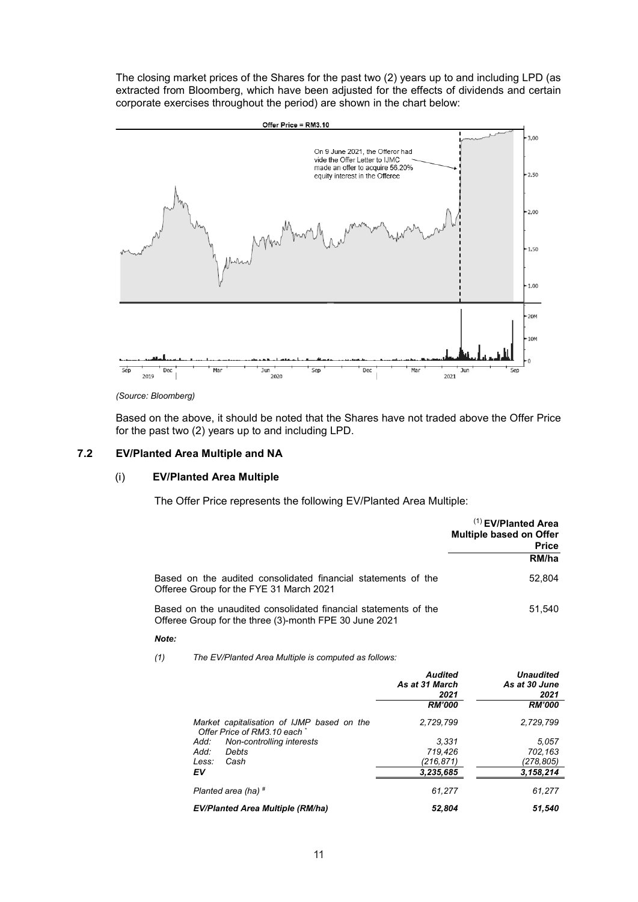The closing market prices of the Shares for the past two (2) years up to and including LPD (as extracted from Bloomberg, which have been adjusted for the effects of dividends and certain corporate exercises throughout the period) are shown in the chart below:



*(Source: Bloomberg)* 

Based on the above, it should be noted that the Shares have not traded above the Offer Price for the past two (2) years up to and including LPD.

### **7.2 EV/Planted Area Multiple and NA**

### (i) **EV/Planted Area Multiple**

The Offer Price represents the following EV/Planted Area Multiple:

|                                                                                                                           | $(1)$ EV/Planted Area<br><b>Multiple based on Offer</b><br><b>Price</b> |
|---------------------------------------------------------------------------------------------------------------------------|-------------------------------------------------------------------------|
|                                                                                                                           | RM/ha                                                                   |
| Based on the audited consolidated financial statements of the<br>Offeree Group for the FYE 31 March 2021                  | 52.804                                                                  |
| Based on the unaudited consolidated financial statements of the<br>Offeree Group for the three (3)-month FPE 30 June 2021 | 51.540                                                                  |

### *Note:*

*(1) The EV/Planted Area Multiple is computed as follows:* 

|                                                                            | <b>Audited</b><br>As at 31 March<br>2021 | <b>Unaudited</b><br>As at 30 June<br>2021 |
|----------------------------------------------------------------------------|------------------------------------------|-------------------------------------------|
|                                                                            | <b>RM'000</b>                            | <b>RM'000</b>                             |
| Market capitalisation of IJMP based on the<br>Offer Price of RM3.10 each * | 2.729.799                                | 2.729.799                                 |
| Non-controlling interests<br>Add:                                          | 3.331                                    | 5.057                                     |
| Add:<br>Debts                                                              | 719.426                                  | 702.163                                   |
| Less:<br>Cash                                                              | (216,871)                                | (278,805)                                 |
| EV                                                                         | 3,235,685                                | 3,158,214                                 |
| Planted area (ha) #                                                        | 61.277                                   | 61,277                                    |
| <b>EV/Planted Area Multiple (RM/ha)</b>                                    | 52.804                                   | 51.540                                    |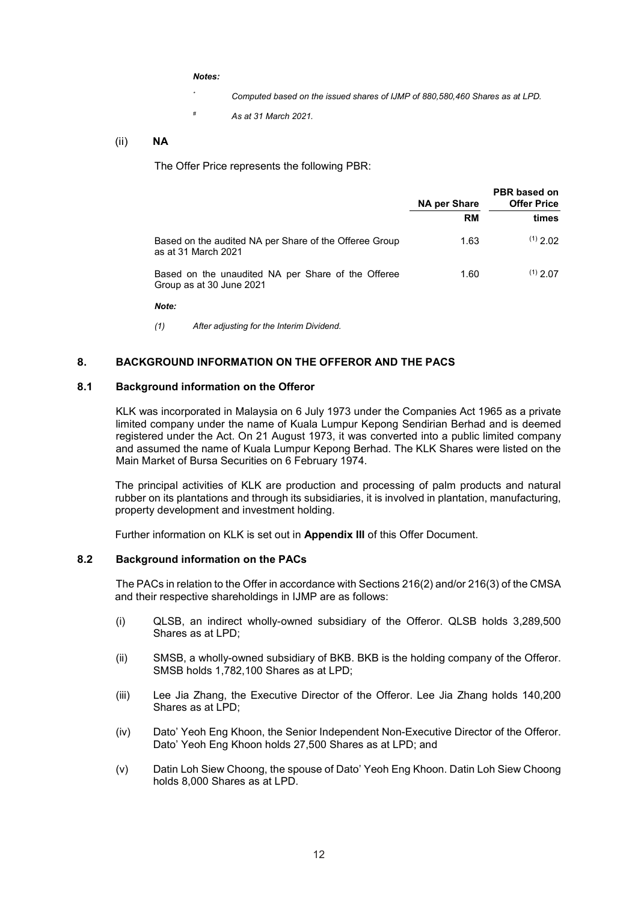*Notes:* 

- *\* Computed based on the issued shares of IJMP of 880,580,460 Shares as at LPD.*
- *# As at 31 March 2021.*

### (ii) **NA**

The Offer Price represents the following PBR:

|                                                                                | <b>NA per Share</b> | PBR based on<br><b>Offer Price</b> |  |
|--------------------------------------------------------------------------------|---------------------|------------------------------------|--|
|                                                                                | RM                  | times                              |  |
| Based on the audited NA per Share of the Offeree Group<br>as at 31 March 2021  | 1.63                | $(1)$ 2 02                         |  |
| Based on the unaudited NA per Share of the Offeree<br>Group as at 30 June 2021 | 1.60                | $(1)$ 2.07                         |  |

*Note:* 

*(1) After adjusting for the Interim Dividend.*

### **8. BACKGROUND INFORMATION ON THE OFFEROR AND THE PACS**

### **8.1 Background information on the Offeror**

KLK was incorporated in Malaysia on 6 July 1973 under the Companies Act 1965 as a private limited company under the name of Kuala Lumpur Kepong Sendirian Berhad and is deemed registered under the Act. On 21 August 1973, it was converted into a public limited company and assumed the name of Kuala Lumpur Kepong Berhad. The KLK Shares were listed on the Main Market of Bursa Securities on 6 February 1974.

The principal activities of KLK are production and processing of palm products and natural rubber on its plantations and through its subsidiaries, it is involved in plantation, manufacturing, property development and investment holding.

Further information on KLK is set out in **Appendix III** of this Offer Document.

### **8.2 Background information on the PACs**

The PACs in relation to the Offer in accordance with Sections 216(2) and/or 216(3) of the CMSA and their respective shareholdings in IJMP are as follows:

- (i) QLSB, an indirect wholly-owned subsidiary of the Offeror. QLSB holds 3,289,500 Shares as at LPD;
- (ii) SMSB, a wholly-owned subsidiary of BKB. BKB is the holding company of the Offeror. SMSB holds 1,782,100 Shares as at LPD;
- (iii) Lee Jia Zhang, the Executive Director of the Offeror. Lee Jia Zhang holds 140,200 Shares as at LPD;
- (iv) Dato' Yeoh Eng Khoon, the Senior Independent Non-Executive Director of the Offeror. Dato' Yeoh Eng Khoon holds 27,500 Shares as at LPD; and
- (v) Datin Loh Siew Choong, the spouse of Dato' Yeoh Eng Khoon. Datin Loh Siew Choong holds 8,000 Shares as at LPD.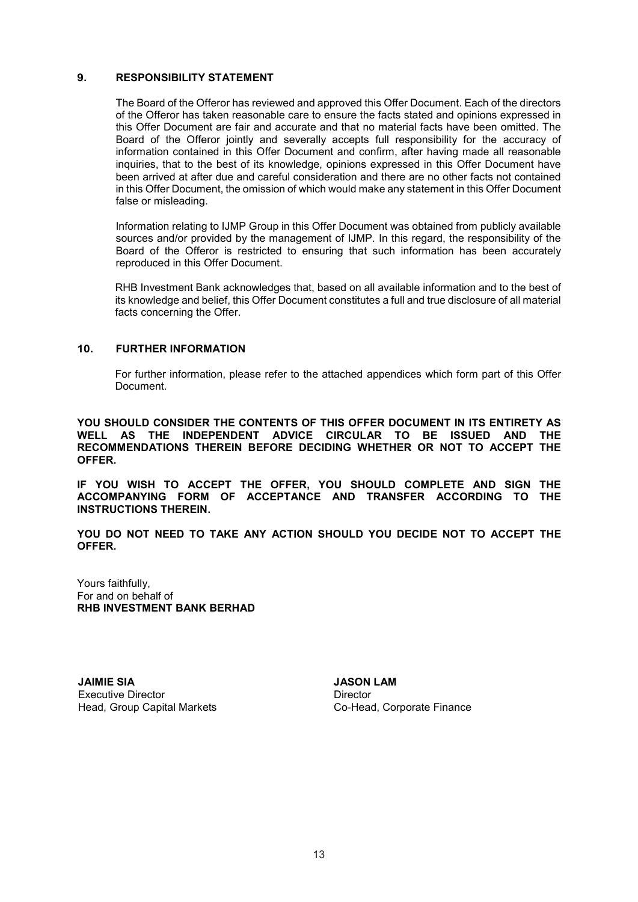### **9. RESPONSIBILITY STATEMENT**

The Board of the Offeror has reviewed and approved this Offer Document. Each of the directors of the Offeror has taken reasonable care to ensure the facts stated and opinions expressed in this Offer Document are fair and accurate and that no material facts have been omitted. The Board of the Offeror jointly and severally accepts full responsibility for the accuracy of information contained in this Offer Document and confirm, after having made all reasonable inquiries, that to the best of its knowledge, opinions expressed in this Offer Document have been arrived at after due and careful consideration and there are no other facts not contained in this Offer Document, the omission of which would make any statement in this Offer Document false or misleading.

Information relating to IJMP Group in this Offer Document was obtained from publicly available sources and/or provided by the management of IJMP. In this regard, the responsibility of the Board of the Offeror is restricted to ensuring that such information has been accurately reproduced in this Offer Document.

RHB Investment Bank acknowledges that, based on all available information and to the best of its knowledge and belief, this Offer Document constitutes a full and true disclosure of all material facts concerning the Offer.

### **10. FURTHER INFORMATION**

For further information, please refer to the attached appendices which form part of this Offer Document.

**YOU SHOULD CONSIDER THE CONTENTS OF THIS OFFER DOCUMENT IN ITS ENTIRETY AS WELL AS THE INDEPENDENT ADVICE CIRCULAR TO BE ISSUED AND THE RECOMMENDATIONS THEREIN BEFORE DECIDING WHETHER OR NOT TO ACCEPT THE OFFER.** 

**IF YOU WISH TO ACCEPT THE OFFER, YOU SHOULD COMPLETE AND SIGN THE ACCOMPANYING FORM OF ACCEPTANCE AND TRANSFER ACCORDING TO THE INSTRUCTIONS THEREIN.** 

**YOU DO NOT NEED TO TAKE ANY ACTION SHOULD YOU DECIDE NOT TO ACCEPT THE OFFER.** 

Yours faithfully, For and on behalf of **RHB INVESTMENT BANK BERHAD** 

**JAIMIE SIA JASON LAM** Executive Director **Director** Director Head, Group Capital Markets Co-Head, Corporate Finance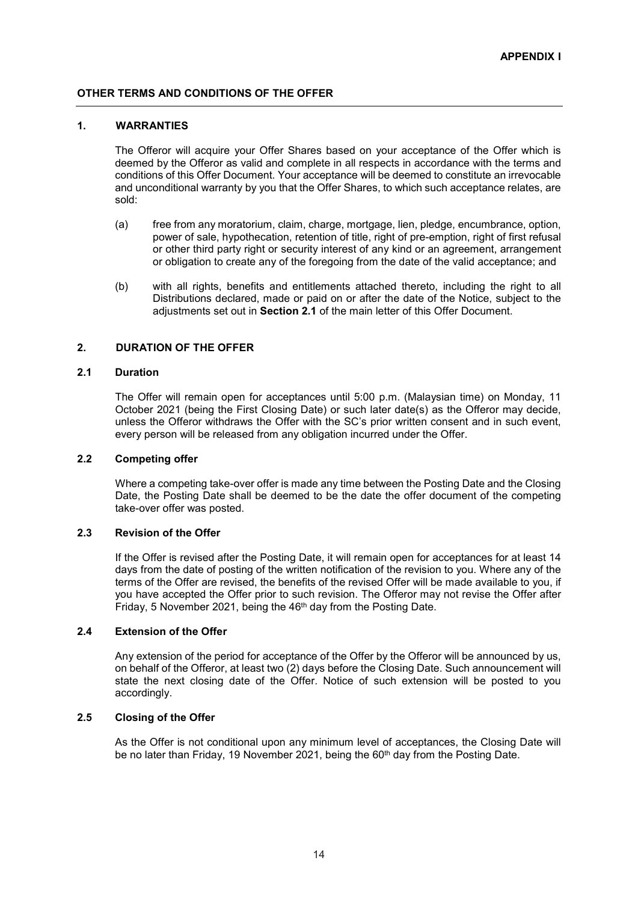### **OTHER TERMS AND CONDITIONS OF THE OFFER**

### **1. WARRANTIES**

The Offeror will acquire your Offer Shares based on your acceptance of the Offer which is deemed by the Offeror as valid and complete in all respects in accordance with the terms and conditions of this Offer Document. Your acceptance will be deemed to constitute an irrevocable and unconditional warranty by you that the Offer Shares, to which such acceptance relates, are sold:

- (a) free from any moratorium, claim, charge, mortgage, lien, pledge, encumbrance, option, power of sale, hypothecation, retention of title, right of pre-emption, right of first refusal or other third party right or security interest of any kind or an agreement, arrangement or obligation to create any of the foregoing from the date of the valid acceptance; and
- (b) with all rights, benefits and entitlements attached thereto, including the right to all Distributions declared, made or paid on or after the date of the Notice, subject to the adjustments set out in **Section 2.1** of the main letter of this Offer Document.

### **2. DURATION OF THE OFFER**

### **2.1 Duration**

The Offer will remain open for acceptances until 5:00 p.m. (Malaysian time) on Monday, 11 October 2021 (being the First Closing Date) or such later date(s) as the Offeror may decide, unless the Offeror withdraws the Offer with the SC's prior written consent and in such event, every person will be released from any obligation incurred under the Offer.

### **2.2 Competing offer**

 Where a competing take-over offer is made any time between the Posting Date and the Closing Date, the Posting Date shall be deemed to be the date the offer document of the competing take-over offer was posted.

### **2.3 Revision of the Offer**

If the Offer is revised after the Posting Date, it will remain open for acceptances for at least 14 days from the date of posting of the written notification of the revision to you. Where any of the terms of the Offer are revised, the benefits of the revised Offer will be made available to you, if you have accepted the Offer prior to such revision. The Offeror may not revise the Offer after Friday, 5 November 2021, being the 46<sup>th</sup> day from the Posting Date.

### **2.4 Extension of the Offer**

Any extension of the period for acceptance of the Offer by the Offeror will be announced by us, on behalf of the Offeror, at least two (2) days before the Closing Date. Such announcement will state the next closing date of the Offer. Notice of such extension will be posted to you accordingly.

### **2.5 Closing of the Offer**

As the Offer is not conditional upon any minimum level of acceptances, the Closing Date will be no later than Friday, 19 November 2021, being the 60<sup>th</sup> day from the Posting Date.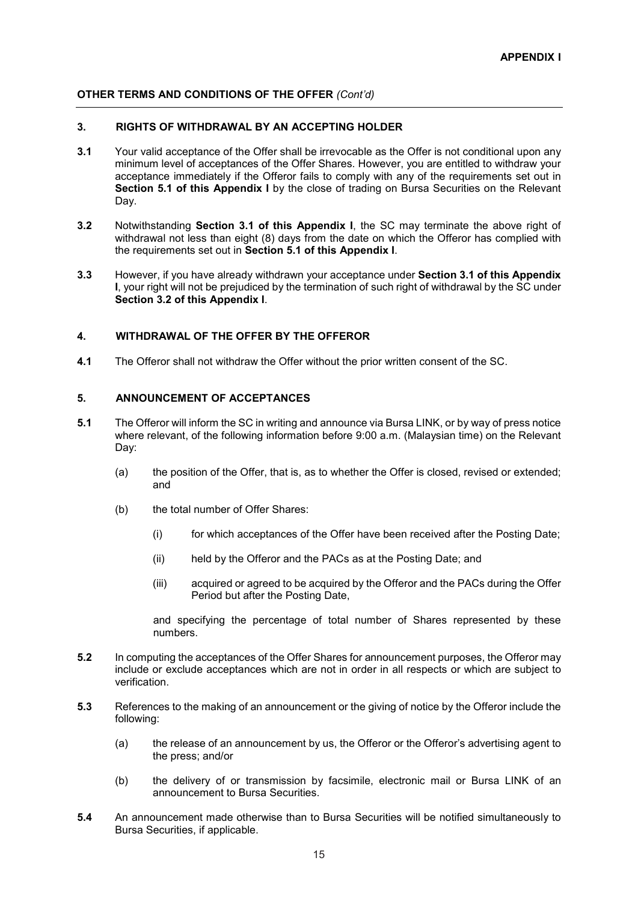### **OTHER TERMS AND CONDITIONS OF THE OFFER** *(Cont'd)*

### **3. RIGHTS OF WITHDRAWAL BY AN ACCEPTING HOLDER**

- **3.1** Your valid acceptance of the Offer shall be irrevocable as the Offer is not conditional upon any minimum level of acceptances of the Offer Shares. However, you are entitled to withdraw your acceptance immediately if the Offeror fails to comply with any of the requirements set out in **Section 5.1 of this Appendix I** by the close of trading on Bursa Securities on the Relevant Day.
- **3.2** Notwithstanding **Section 3.1 of this Appendix I**, the SC may terminate the above right of withdrawal not less than eight (8) days from the date on which the Offeror has complied with the requirements set out in **Section 5.1 of this Appendix I**.
- **3.3** However, if you have already withdrawn your acceptance under **Section 3.1 of this Appendix I**, your right will not be prejudiced by the termination of such right of withdrawal by the SC under **Section 3.2 of this Appendix I**.

### **4. WITHDRAWAL OF THE OFFER BY THE OFFEROR**

**4.1** The Offeror shall not withdraw the Offer without the prior written consent of the SC.

### **5. ANNOUNCEMENT OF ACCEPTANCES**

- **5.1** The Offeror will inform the SC in writing and announce via Bursa LINK, or by way of press notice where relevant, of the following information before 9:00 a.m. (Malaysian time) on the Relevant Day:
	- (a) the position of the Offer, that is, as to whether the Offer is closed, revised or extended; and
	- (b) the total number of Offer Shares:
		- (i) for which acceptances of the Offer have been received after the Posting Date;
		- (ii) held by the Offeror and the PACs as at the Posting Date; and
		- (iii) acquired or agreed to be acquired by the Offeror and the PACs during the Offer Period but after the Posting Date,

and specifying the percentage of total number of Shares represented by these numbers.

- **5.2** In computing the acceptances of the Offer Shares for announcement purposes, the Offeror may include or exclude acceptances which are not in order in all respects or which are subject to verification.
- **5.3** References to the making of an announcement or the giving of notice by the Offeror include the following:
	- (a) the release of an announcement by us, the Offeror or the Offeror's advertising agent to the press; and/or
	- (b) the delivery of or transmission by facsimile, electronic mail or Bursa LINK of an announcement to Bursa Securities.
- **5.4** An announcement made otherwise than to Bursa Securities will be notified simultaneously to Bursa Securities, if applicable.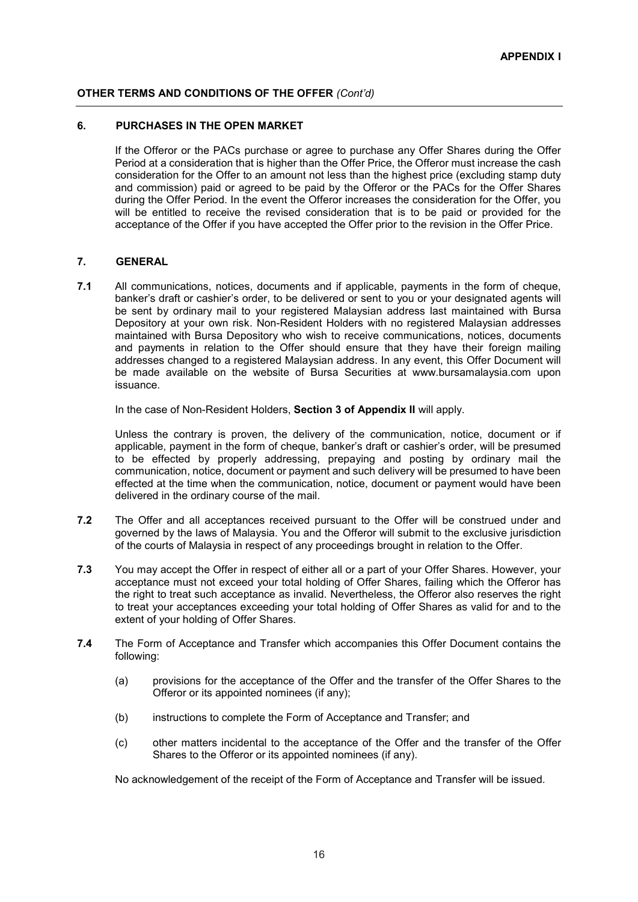### **OTHER TERMS AND CONDITIONS OF THE OFFER** *(Cont'd)*

### **6. PURCHASES IN THE OPEN MARKET**

If the Offeror or the PACs purchase or agree to purchase any Offer Shares during the Offer Period at a consideration that is higher than the Offer Price, the Offeror must increase the cash consideration for the Offer to an amount not less than the highest price (excluding stamp duty and commission) paid or agreed to be paid by the Offeror or the PACs for the Offer Shares during the Offer Period. In the event the Offeror increases the consideration for the Offer, you will be entitled to receive the revised consideration that is to be paid or provided for the acceptance of the Offer if you have accepted the Offer prior to the revision in the Offer Price.

### **7. GENERAL**

**7.1** All communications, notices, documents and if applicable, payments in the form of cheque, banker's draft or cashier's order, to be delivered or sent to you or your designated agents will be sent by ordinary mail to your registered Malaysian address last maintained with Bursa Depository at your own risk. Non-Resident Holders with no registered Malaysian addresses maintained with Bursa Depository who wish to receive communications, notices, documents and payments in relation to the Offer should ensure that they have their foreign mailing addresses changed to a registered Malaysian address. In any event, this Offer Document will be made available on the website of Bursa Securities at www.bursamalaysia.com upon issuance.

In the case of Non-Resident Holders, **Section 3 of Appendix II** will apply.

Unless the contrary is proven, the delivery of the communication, notice, document or if applicable, payment in the form of cheque, banker's draft or cashier's order, will be presumed to be effected by properly addressing, prepaying and posting by ordinary mail the communication, notice, document or payment and such delivery will be presumed to have been effected at the time when the communication, notice, document or payment would have been delivered in the ordinary course of the mail.

- **7.2** The Offer and all acceptances received pursuant to the Offer will be construed under and governed by the laws of Malaysia. You and the Offeror will submit to the exclusive jurisdiction of the courts of Malaysia in respect of any proceedings brought in relation to the Offer.
- **7.3** You may accept the Offer in respect of either all or a part of your Offer Shares. However, your acceptance must not exceed your total holding of Offer Shares, failing which the Offeror has the right to treat such acceptance as invalid. Nevertheless, the Offeror also reserves the right to treat your acceptances exceeding your total holding of Offer Shares as valid for and to the extent of your holding of Offer Shares.
- **7.4** The Form of Acceptance and Transfer which accompanies this Offer Document contains the following:
	- (a) provisions for the acceptance of the Offer and the transfer of the Offer Shares to the Offeror or its appointed nominees (if any);
	- (b) instructions to complete the Form of Acceptance and Transfer; and
	- (c) other matters incidental to the acceptance of the Offer and the transfer of the Offer Shares to the Offeror or its appointed nominees (if any).

No acknowledgement of the receipt of the Form of Acceptance and Transfer will be issued.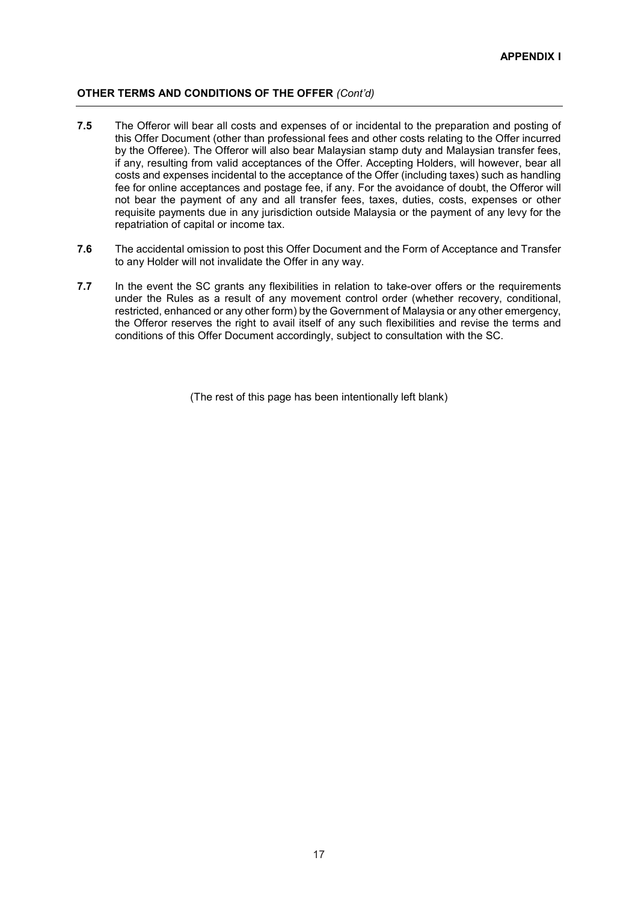### **OTHER TERMS AND CONDITIONS OF THE OFFER** *(Cont'd)*

- **7.5** The Offeror will bear all costs and expenses of or incidental to the preparation and posting of this Offer Document (other than professional fees and other costs relating to the Offer incurred by the Offeree). The Offeror will also bear Malaysian stamp duty and Malaysian transfer fees, if any, resulting from valid acceptances of the Offer. Accepting Holders, will however, bear all costs and expenses incidental to the acceptance of the Offer (including taxes) such as handling fee for online acceptances and postage fee, if any. For the avoidance of doubt, the Offeror will not bear the payment of any and all transfer fees, taxes, duties, costs, expenses or other requisite payments due in any jurisdiction outside Malaysia or the payment of any levy for the repatriation of capital or income tax.
- **7.6** The accidental omission to post this Offer Document and the Form of Acceptance and Transfer to any Holder will not invalidate the Offer in any way.
- **7.7** In the event the SC grants any flexibilities in relation to take-over offers or the requirements under the Rules as a result of any movement control order (whether recovery, conditional, restricted, enhanced or any other form) by the Government of Malaysia or any other emergency, the Offeror reserves the right to avail itself of any such flexibilities and revise the terms and conditions of this Offer Document accordingly, subject to consultation with the SC.

(The rest of this page has been intentionally left blank)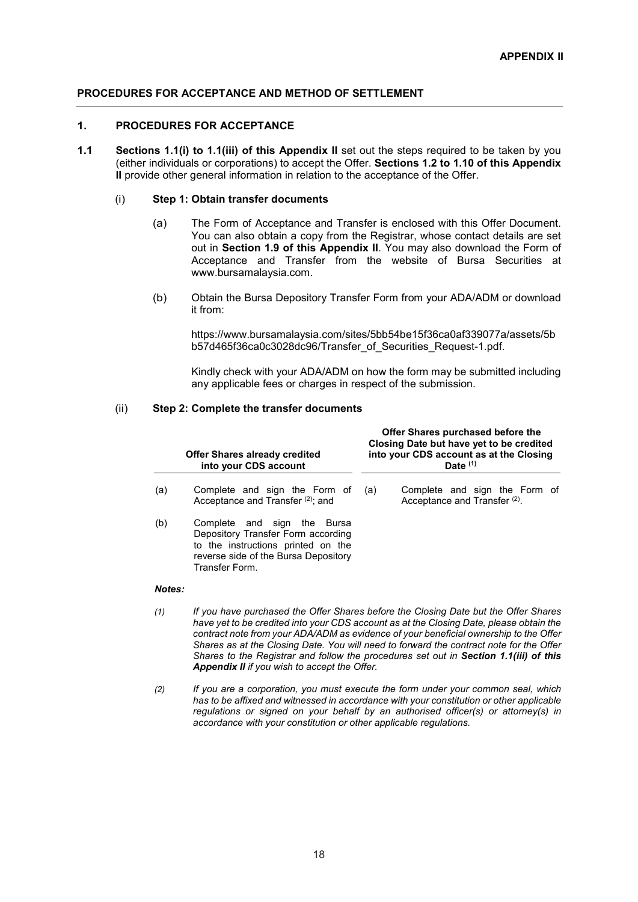### **1. PROCEDURES FOR ACCEPTANCE**

**1.1** Sections 1.1(i) to 1.1(iii) of this Appendix II set out the steps required to be taken by you (either individuals or corporations) to accept the Offer. **Sections 1.2 to 1.10 of this Appendix II** provide other general information in relation to the acceptance of the Offer.

### (i) **Step 1: Obtain transfer documents**

- (a) The Form of Acceptance and Transfer is enclosed with this Offer Document. You can also obtain a copy from the Registrar, whose contact details are set out in **Section 1.9 of this Appendix II**. You may also download the Form of Acceptance and Transfer from the website of Bursa Securities at www.bursamalaysia.com.
- (b) Obtain the Bursa Depository Transfer Form from your ADA/ADM or download it from:

https://www.bursamalaysia.com/sites/5bb54be15f36ca0af339077a/assets/5b b57d465f36ca0c3028dc96/Transfer\_of\_Securities\_Request-1.pdf.

Kindly check with your ADA/ADM on how the form may be submitted including any applicable fees or charges in respect of the submission.

### (ii) **Step 2: Complete the transfer documents**

|             | <b>Offer Shares already credited</b><br>into your CDS account                                                                                                     |     | Offer Shares purchased before the<br>Closing Date but have yet to be credited<br>into your CDS account as at the Closing<br>Date $(1)$ |
|-------------|-------------------------------------------------------------------------------------------------------------------------------------------------------------------|-----|----------------------------------------------------------------------------------------------------------------------------------------|
| (a)         | Complete and sign the Form of<br>Acceptance and Transfer $(2)$ ; and                                                                                              | (a) | Complete and sign the Form of<br>Acceptance and Transfer <sup>(2)</sup> .                                                              |
| (b)         | Complete and sign the Bursa<br>Depository Transfer Form according<br>to the instructions printed on the<br>reverse side of the Bursa Depository<br>Transfer Form. |     |                                                                                                                                        |
| $1 - 1 - 1$ |                                                                                                                                                                   |     |                                                                                                                                        |

### *Notes:*

- *(1) If you have purchased the Offer Shares before the Closing Date but the Offer Shares have yet to be credited into your CDS account as at the Closing Date, please obtain the contract note from your ADA/ADM as evidence of your beneficial ownership to the Offer Shares as at the Closing Date. You will need to forward the contract note for the Offer Shares to the Registrar and follow the procedures set out in Section 1.1(iii) of this Appendix II if you wish to accept the Offer.*
- *(2) If you are a corporation, you must execute the form under your common seal, which has to be affixed and witnessed in accordance with your constitution or other applicable regulations or signed on your behalf by an authorised officer(s) or attorney(s) in accordance with your constitution or other applicable regulations.*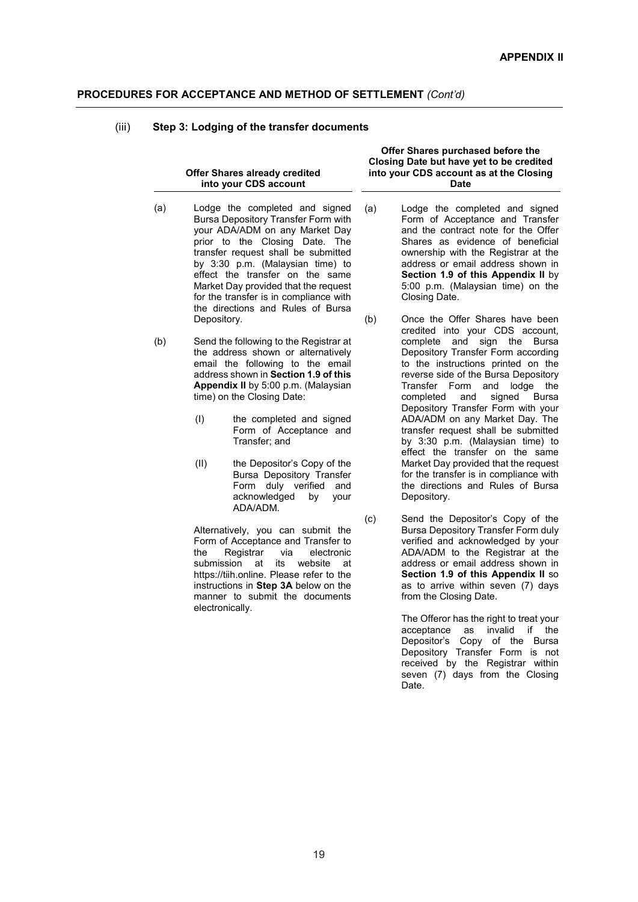### (iii) **Step 3: Lodging of the transfer documents**

### **Offer Shares already credited into your CDS account**

- (a) Lodge the completed and signed Bursa Depository Transfer Form with your ADA/ADM on any Market Day prior to the Closing Date. The transfer request shall be submitted by 3:30 p.m. (Malaysian time) to effect the transfer on the same Market Day provided that the request for the transfer is in compliance with the directions and Rules of Bursa Depository.
- (b) Send the following to the Registrar at the address shown or alternatively email the following to the email address shown in **Section 1.9 of this Appendix II** by 5:00 p.m. (Malaysian time) on the Closing Date:
	- (I) the completed and signed Form of Acceptance and Transfer; and
	- (II) the Depositor's Copy of the Bursa Depository Transfer Form duly verified and acknowledged by your ADA/ADM.

Alternatively, you can submit the Form of Acceptance and Transfer to the Registrar via electronic submission at its website at https://tiih.online. Please refer to the instructions in **Step 3A** below on the manner to submit the documents electronically.

**Offer Shares purchased before the Closing Date but have yet to be credited into your CDS account as at the Closing Date** 

- (a) Lodge the completed and signed Form of Acceptance and Transfer and the contract note for the Offer Shares as evidence of beneficial ownership with the Registrar at the address or email address shown in **Section 1.9 of this Appendix II** by 5:00 p.m. (Malaysian time) on the Closing Date.
- (b) Once the Offer Shares have been credited into your CDS account, complete and sign the Bursa Depository Transfer Form according to the instructions printed on the reverse side of the Bursa Depository Transfer Form and lodge the completed and signed Bursa Depository Transfer Form with your ADA/ADM on any Market Day. The transfer request shall be submitted by 3:30 p.m. (Malaysian time) to effect the transfer on the same Market Day provided that the request for the transfer is in compliance with the directions and Rules of Bursa Depository.
- (c) Send the Depositor's Copy of the Bursa Depository Transfer Form duly verified and acknowledged by your ADA/ADM to the Registrar at the address or email address shown in **Section 1.9 of this Appendix II** so as to arrive within seven (7) days from the Closing Date.

The Offeror has the right to treat your acceptance as invalid if the Depositor's Copy of the Bursa Depository Transfer Form is not received by the Registrar within seven (7) days from the Closing Date.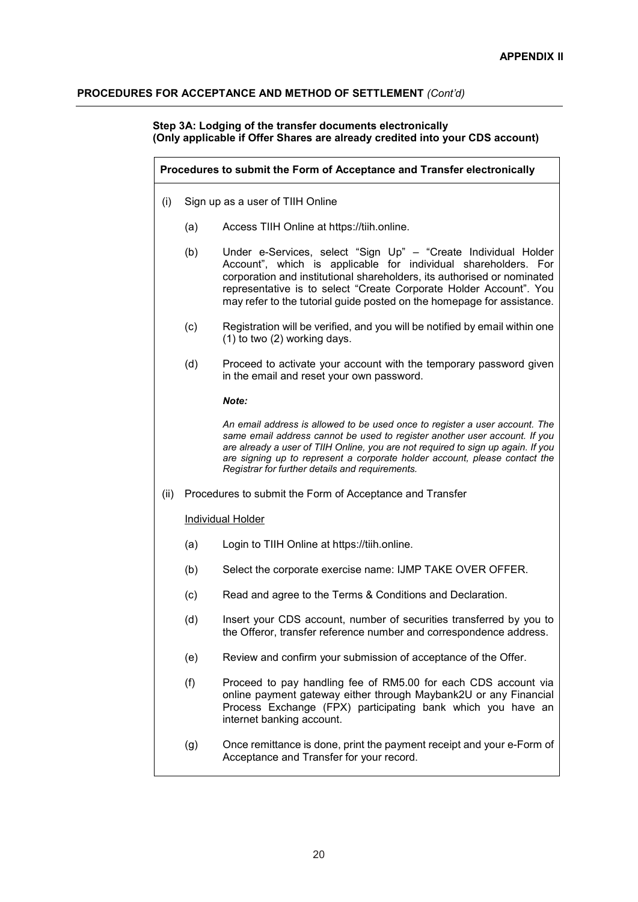### **Step 3A: Lodging of the transfer documents electronically (Only applicable if Offer Shares are already credited into your CDS account)**

|      | Procedures to submit the Form of Acceptance and Transfer electronically |                                                                                                                                                                                                                                                                                                                                                                                |  |  |  |
|------|-------------------------------------------------------------------------|--------------------------------------------------------------------------------------------------------------------------------------------------------------------------------------------------------------------------------------------------------------------------------------------------------------------------------------------------------------------------------|--|--|--|
| (i)  |                                                                         | Sign up as a user of TIIH Online                                                                                                                                                                                                                                                                                                                                               |  |  |  |
|      | (a)                                                                     | Access TIIH Online at https://tiih.online.                                                                                                                                                                                                                                                                                                                                     |  |  |  |
|      | (b)                                                                     | Under e-Services, select "Sign Up" - "Create Individual Holder<br>Account", which is applicable for individual shareholders. For<br>corporation and institutional shareholders, its authorised or nominated<br>representative is to select "Create Corporate Holder Account". You<br>may refer to the tutorial guide posted on the homepage for assistance.                    |  |  |  |
|      | (c)                                                                     | Registration will be verified, and you will be notified by email within one<br>(1) to two (2) working days.                                                                                                                                                                                                                                                                    |  |  |  |
|      | (d)                                                                     | Proceed to activate your account with the temporary password given<br>in the email and reset your own password.                                                                                                                                                                                                                                                                |  |  |  |
|      |                                                                         | Note:                                                                                                                                                                                                                                                                                                                                                                          |  |  |  |
|      |                                                                         | An email address is allowed to be used once to register a user account. The<br>same email address cannot be used to register another user account. If you<br>are already a user of TIIH Online, you are not required to sign up again. If you<br>are signing up to represent a corporate holder account, please contact the<br>Registrar for further details and requirements. |  |  |  |
| (ii) |                                                                         | Procedures to submit the Form of Acceptance and Transfer                                                                                                                                                                                                                                                                                                                       |  |  |  |
|      |                                                                         | <b>Individual Holder</b>                                                                                                                                                                                                                                                                                                                                                       |  |  |  |
|      | (a)                                                                     | Login to TIIH Online at https://tiih.online.                                                                                                                                                                                                                                                                                                                                   |  |  |  |
|      | (b)                                                                     | Select the corporate exercise name: IJMP TAKE OVER OFFER.                                                                                                                                                                                                                                                                                                                      |  |  |  |
|      | (c)                                                                     | Read and agree to the Terms & Conditions and Declaration.                                                                                                                                                                                                                                                                                                                      |  |  |  |
|      | (d)                                                                     | Insert your CDS account, number of securities transferred by you to<br>the Offeror, transfer reference number and correspondence address.                                                                                                                                                                                                                                      |  |  |  |
|      | (e)                                                                     | Review and confirm your submission of acceptance of the Offer.                                                                                                                                                                                                                                                                                                                 |  |  |  |
|      | (f)                                                                     | Proceed to pay handling fee of RM5.00 for each CDS account via<br>online payment gateway either through Maybank2U or any Financial<br>Process Exchange (FPX) participating bank which you have an<br>internet banking account.                                                                                                                                                 |  |  |  |
|      | (g)                                                                     | Once remittance is done, print the payment receipt and your e-Form of<br>Acceptance and Transfer for your record.                                                                                                                                                                                                                                                              |  |  |  |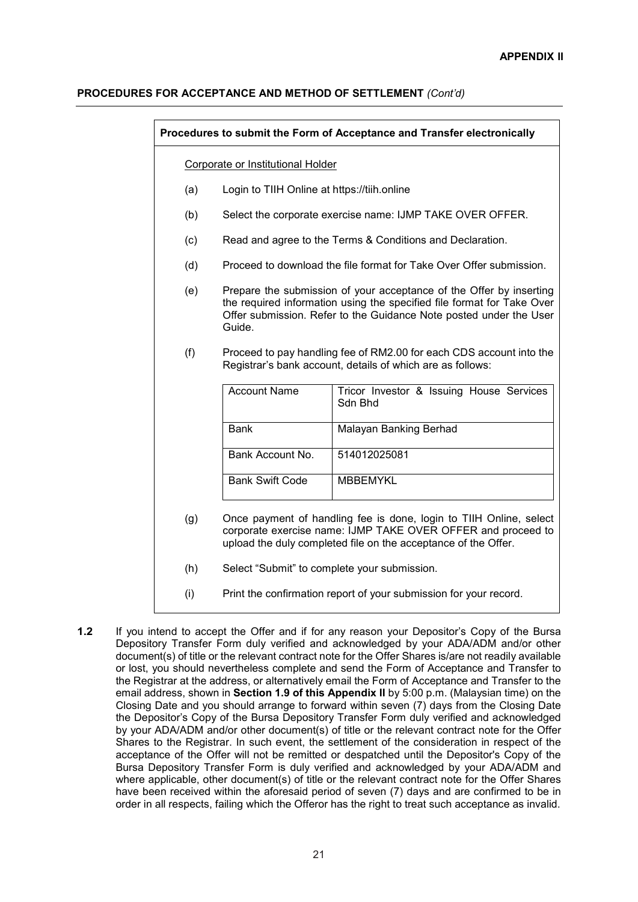|     | Procedures to submit the Form of Acceptance and Transfer electronically |                                                                                                                                                                                                                     |  |  |  |  |
|-----|-------------------------------------------------------------------------|---------------------------------------------------------------------------------------------------------------------------------------------------------------------------------------------------------------------|--|--|--|--|
|     | Corporate or Institutional Holder                                       |                                                                                                                                                                                                                     |  |  |  |  |
| (a) | Login to TIIH Online at https://tiih.online                             |                                                                                                                                                                                                                     |  |  |  |  |
| (b) |                                                                         | Select the corporate exercise name: IJMP TAKE OVER OFFER.                                                                                                                                                           |  |  |  |  |
| (c) |                                                                         | Read and agree to the Terms & Conditions and Declaration.                                                                                                                                                           |  |  |  |  |
| (d) |                                                                         | Proceed to download the file format for Take Over Offer submission.                                                                                                                                                 |  |  |  |  |
| (e) | Guide.                                                                  | Prepare the submission of your acceptance of the Offer by inserting<br>the required information using the specified file format for Take Over<br>Offer submission. Refer to the Guidance Note posted under the User |  |  |  |  |
| (f) |                                                                         | Proceed to pay handling fee of RM2.00 for each CDS account into the<br>Registrar's bank account, details of which are as follows:                                                                                   |  |  |  |  |
|     | <b>Account Name</b>                                                     | Tricor Investor & Issuing House Services<br>Sdn Bhd                                                                                                                                                                 |  |  |  |  |
|     | <b>Bank</b>                                                             | Malayan Banking Berhad                                                                                                                                                                                              |  |  |  |  |
|     | Bank Account No.                                                        | 514012025081                                                                                                                                                                                                        |  |  |  |  |
|     | <b>Bank Swift Code</b>                                                  | <b>MBBEMYKL</b>                                                                                                                                                                                                     |  |  |  |  |
| (g) |                                                                         | Once payment of handling fee is done, login to TIIH Online, select<br>corporate exercise name: IJMP TAKE OVER OFFER and proceed to<br>upload the duly completed file on the acceptance of the Offer.                |  |  |  |  |
| (h) |                                                                         | Select "Submit" to complete your submission.                                                                                                                                                                        |  |  |  |  |

- 
- (i) Print the confirmation report of your submission for your record.
- **1.2** If you intend to accept the Offer and if for any reason your Depositor's Copy of the Bursa Depository Transfer Form duly verified and acknowledged by your ADA/ADM and/or other document(s) of title or the relevant contract note for the Offer Shares is/are not readily available or lost, you should nevertheless complete and send the Form of Acceptance and Transfer to the Registrar at the address, or alternatively email the Form of Acceptance and Transfer to the email address, shown in **Section 1.9 of this Appendix II** by 5:00 p.m. (Malaysian time) on the Closing Date and you should arrange to forward within seven (7) days from the Closing Date the Depositor's Copy of the Bursa Depository Transfer Form duly verified and acknowledged by your ADA/ADM and/or other document(s) of title or the relevant contract note for the Offer Shares to the Registrar. In such event, the settlement of the consideration in respect of the acceptance of the Offer will not be remitted or despatched until the Depositor's Copy of the Bursa Depository Transfer Form is duly verified and acknowledged by your ADA/ADM and where applicable, other document(s) of title or the relevant contract note for the Offer Shares have been received within the aforesaid period of seven (7) days and are confirmed to be in order in all respects, failing which the Offeror has the right to treat such acceptance as invalid.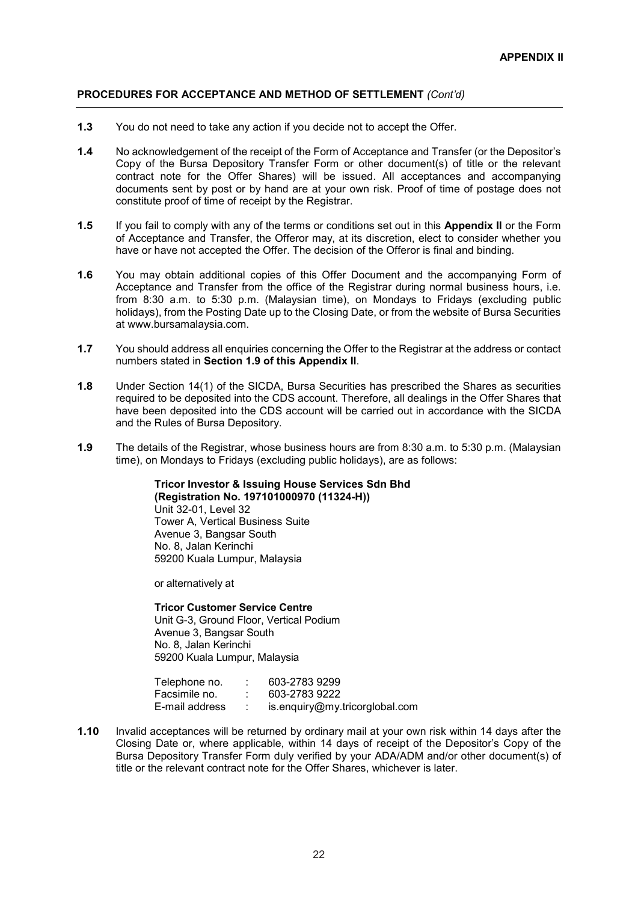- **1.3** You do not need to take any action if you decide not to accept the Offer.
- **1.4** No acknowledgement of the receipt of the Form of Acceptance and Transfer (or the Depositor's Copy of the Bursa Depository Transfer Form or other document(s) of title or the relevant contract note for the Offer Shares) will be issued. All acceptances and accompanying documents sent by post or by hand are at your own risk. Proof of time of postage does not constitute proof of time of receipt by the Registrar.
- **1.5** If you fail to comply with any of the terms or conditions set out in this **Appendix II** or the Form of Acceptance and Transfer, the Offeror may, at its discretion, elect to consider whether you have or have not accepted the Offer. The decision of the Offeror is final and binding.
- **1.6** You may obtain additional copies of this Offer Document and the accompanying Form of Acceptance and Transfer from the office of the Registrar during normal business hours, i.e. from 8:30 a.m. to 5:30 p.m. (Malaysian time), on Mondays to Fridays (excluding public holidays), from the Posting Date up to the Closing Date, or from the website of Bursa Securities at www.bursamalaysia.com.
- **1.7** You should address all enquiries concerning the Offer to the Registrar at the address or contact numbers stated in **Section 1.9 of this Appendix II**.
- **1.8** Under Section 14(1) of the SICDA, Bursa Securities has prescribed the Shares as securities required to be deposited into the CDS account. Therefore, all dealings in the Offer Shares that have been deposited into the CDS account will be carried out in accordance with the SICDA and the Rules of Bursa Depository.
- **1.9** The details of the Registrar, whose business hours are from 8:30 a.m. to 5:30 p.m. (Malaysian time), on Mondays to Fridays (excluding public holidays), are as follows:

**Tricor Investor & Issuing House Services Sdn Bhd (Registration No. 197101000970 (11324-H))**  Unit 32-01, Level 32 Tower A, Vertical Business Suite Avenue 3, Bangsar South No. 8, Jalan Kerinchi 59200 Kuala Lumpur, Malaysia

or alternatively at

**Tricor Customer Service Centre**  Unit G-3, Ground Floor, Vertical Podium Avenue 3, Bangsar South No. 8, Jalan Kerinchi 59200 Kuala Lumpur, Malaysia

| Telephone no.  | 603-2783 9299                  |
|----------------|--------------------------------|
| Facsimile no.  | 603-2783 9222                  |
| E-mail address | is.enquiry@my.tricorglobal.com |

**1.10** Invalid acceptances will be returned by ordinary mail at your own risk within 14 days after the Closing Date or, where applicable, within 14 days of receipt of the Depositor's Copy of the Bursa Depository Transfer Form duly verified by your ADA/ADM and/or other document(s) of title or the relevant contract note for the Offer Shares, whichever is later.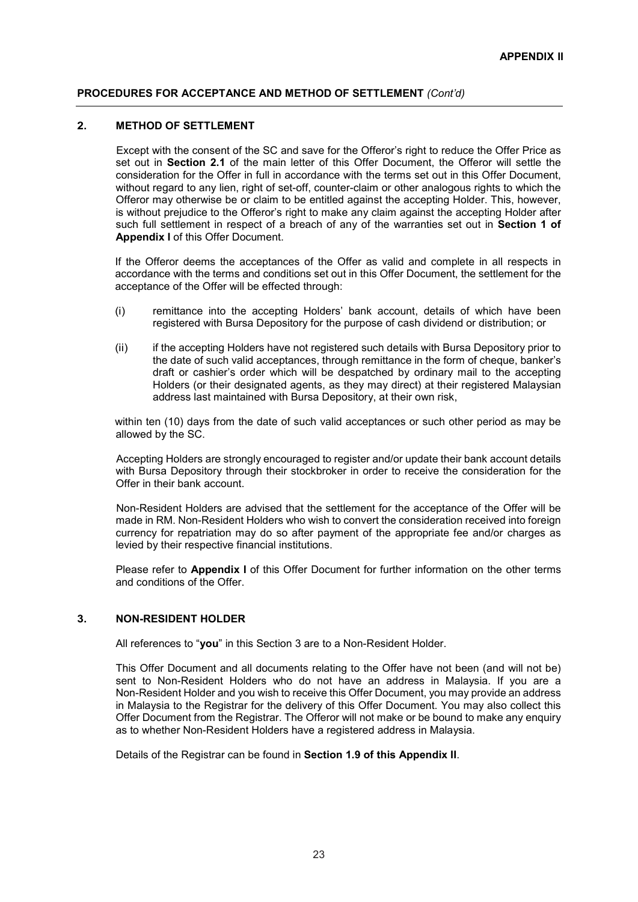### **2. METHOD OF SETTLEMENT**

Except with the consent of the SC and save for the Offeror's right to reduce the Offer Price as set out in **Section 2.1** of the main letter of this Offer Document, the Offeror will settle the consideration for the Offer in full in accordance with the terms set out in this Offer Document, without regard to any lien, right of set-off, counter-claim or other analogous rights to which the Offeror may otherwise be or claim to be entitled against the accepting Holder. This, however, is without prejudice to the Offeror's right to make any claim against the accepting Holder after such full settlement in respect of a breach of any of the warranties set out in **Section 1 of Appendix I** of this Offer Document.

If the Offeror deems the acceptances of the Offer as valid and complete in all respects in accordance with the terms and conditions set out in this Offer Document, the settlement for the acceptance of the Offer will be effected through:

- (i) remittance into the accepting Holders' bank account, details of which have been registered with Bursa Depository for the purpose of cash dividend or distribution; or
- (ii) if the accepting Holders have not registered such details with Bursa Depository prior to the date of such valid acceptances, through remittance in the form of cheque, banker's draft or cashier's order which will be despatched by ordinary mail to the accepting Holders (or their designated agents, as they may direct) at their registered Malaysian address last maintained with Bursa Depository, at their own risk,

within ten (10) days from the date of such valid acceptances or such other period as may be allowed by the SC.

Accepting Holders are strongly encouraged to register and/or update their bank account details with Bursa Depository through their stockbroker in order to receive the consideration for the Offer in their bank account.

Non-Resident Holders are advised that the settlement for the acceptance of the Offer will be made in RM. Non-Resident Holders who wish to convert the consideration received into foreign currency for repatriation may do so after payment of the appropriate fee and/or charges as levied by their respective financial institutions.

Please refer to **Appendix I** of this Offer Document for further information on the other terms and conditions of the Offer.

### **3. NON-RESIDENT HOLDER**

All references to "**you**" in this Section 3 are to a Non-Resident Holder.

This Offer Document and all documents relating to the Offer have not been (and will not be) sent to Non-Resident Holders who do not have an address in Malaysia. If you are a Non-Resident Holder and you wish to receive this Offer Document, you may provide an address in Malaysia to the Registrar for the delivery of this Offer Document. You may also collect this Offer Document from the Registrar. The Offeror will not make or be bound to make any enquiry as to whether Non-Resident Holders have a registered address in Malaysia.

Details of the Registrar can be found in **Section 1.9 of this Appendix II**.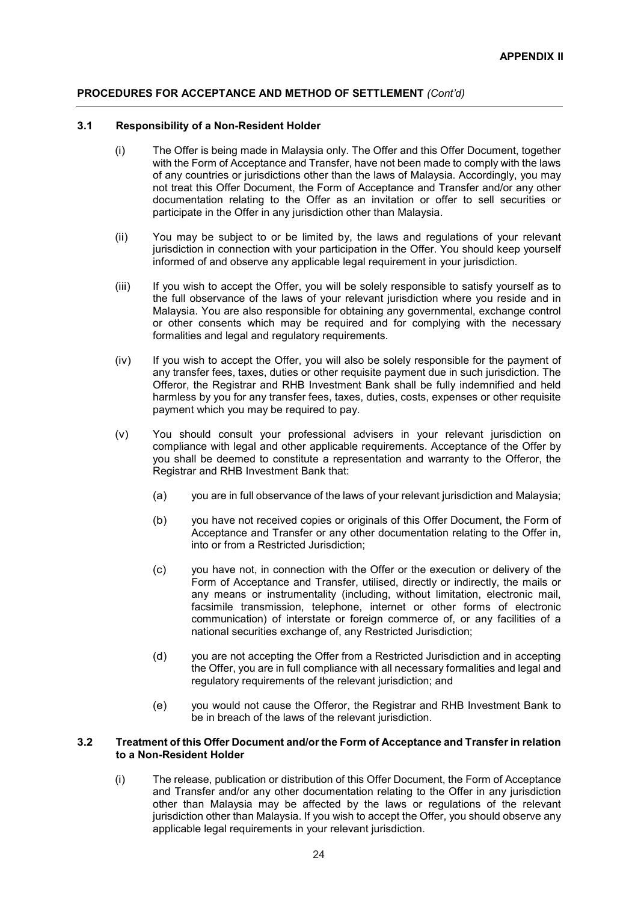### **3.1 Responsibility of a Non-Resident Holder**

- (i) The Offer is being made in Malaysia only. The Offer and this Offer Document, together with the Form of Acceptance and Transfer, have not been made to comply with the laws of any countries or jurisdictions other than the laws of Malaysia. Accordingly, you may not treat this Offer Document, the Form of Acceptance and Transfer and/or any other documentation relating to the Offer as an invitation or offer to sell securities or participate in the Offer in any jurisdiction other than Malaysia.
- (ii) You may be subject to or be limited by, the laws and regulations of your relevant jurisdiction in connection with your participation in the Offer. You should keep yourself informed of and observe any applicable legal requirement in your jurisdiction.
- (iii) If you wish to accept the Offer, you will be solely responsible to satisfy yourself as to the full observance of the laws of your relevant jurisdiction where you reside and in Malaysia. You are also responsible for obtaining any governmental, exchange control or other consents which may be required and for complying with the necessary formalities and legal and regulatory requirements.
- (iv) If you wish to accept the Offer, you will also be solely responsible for the payment of any transfer fees, taxes, duties or other requisite payment due in such jurisdiction. The Offeror, the Registrar and RHB Investment Bank shall be fully indemnified and held harmless by you for any transfer fees, taxes, duties, costs, expenses or other requisite payment which you may be required to pay.
- (v) You should consult your professional advisers in your relevant jurisdiction on compliance with legal and other applicable requirements. Acceptance of the Offer by you shall be deemed to constitute a representation and warranty to the Offeror, the Registrar and RHB Investment Bank that:
	- (a) you are in full observance of the laws of your relevant jurisdiction and Malaysia;
	- (b) you have not received copies or originals of this Offer Document, the Form of Acceptance and Transfer or any other documentation relating to the Offer in, into or from a Restricted Jurisdiction;
	- (c) you have not, in connection with the Offer or the execution or delivery of the Form of Acceptance and Transfer, utilised, directly or indirectly, the mails or any means or instrumentality (including, without limitation, electronic mail, facsimile transmission, telephone, internet or other forms of electronic communication) of interstate or foreign commerce of, or any facilities of a national securities exchange of, any Restricted Jurisdiction;
	- (d) you are not accepting the Offer from a Restricted Jurisdiction and in accepting the Offer, you are in full compliance with all necessary formalities and legal and regulatory requirements of the relevant jurisdiction; and
	- (e) you would not cause the Offeror, the Registrar and RHB Investment Bank to be in breach of the laws of the relevant jurisdiction.

### **3.2 Treatment of this Offer Document and/or the Form of Acceptance and Transfer in relation to a Non-Resident Holder**

(i) The release, publication or distribution of this Offer Document, the Form of Acceptance and Transfer and/or any other documentation relating to the Offer in any jurisdiction other than Malaysia may be affected by the laws or regulations of the relevant jurisdiction other than Malaysia. If you wish to accept the Offer, you should observe any applicable legal requirements in your relevant jurisdiction.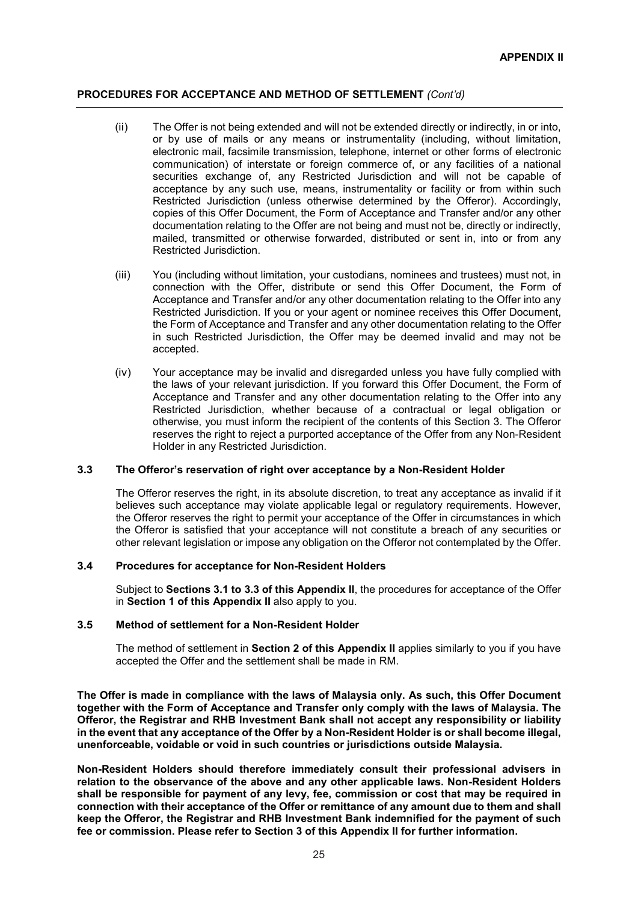- (ii) The Offer is not being extended and will not be extended directly or indirectly, in or into, or by use of mails or any means or instrumentality (including, without limitation, electronic mail, facsimile transmission, telephone, internet or other forms of electronic communication) of interstate or foreign commerce of, or any facilities of a national securities exchange of, any Restricted Jurisdiction and will not be capable of acceptance by any such use, means, instrumentality or facility or from within such Restricted Jurisdiction (unless otherwise determined by the Offeror). Accordingly, copies of this Offer Document, the Form of Acceptance and Transfer and/or any other documentation relating to the Offer are not being and must not be, directly or indirectly, mailed, transmitted or otherwise forwarded, distributed or sent in, into or from any Restricted Jurisdiction.
- (iii) You (including without limitation, your custodians, nominees and trustees) must not, in connection with the Offer, distribute or send this Offer Document, the Form of Acceptance and Transfer and/or any other documentation relating to the Offer into any Restricted Jurisdiction. If you or your agent or nominee receives this Offer Document, the Form of Acceptance and Transfer and any other documentation relating to the Offer in such Restricted Jurisdiction, the Offer may be deemed invalid and may not be accepted.
- (iv) Your acceptance may be invalid and disregarded unless you have fully complied with the laws of your relevant jurisdiction. If you forward this Offer Document, the Form of Acceptance and Transfer and any other documentation relating to the Offer into any Restricted Jurisdiction, whether because of a contractual or legal obligation or otherwise, you must inform the recipient of the contents of this Section 3. The Offeror reserves the right to reject a purported acceptance of the Offer from any Non-Resident Holder in any Restricted Jurisdiction.

### **3.3 The Offeror's reservation of right over acceptance by a Non-Resident Holder**

The Offeror reserves the right, in its absolute discretion, to treat any acceptance as invalid if it believes such acceptance may violate applicable legal or regulatory requirements. However, the Offeror reserves the right to permit your acceptance of the Offer in circumstances in which the Offeror is satisfied that your acceptance will not constitute a breach of any securities or other relevant legislation or impose any obligation on the Offeror not contemplated by the Offer.

### **3.4 Procedures for acceptance for Non-Resident Holders**

Subject to **Sections 3.1 to 3.3 of this Appendix II**, the procedures for acceptance of the Offer in **Section 1 of this Appendix II** also apply to you.

### **3.5 Method of settlement for a Non-Resident Holder**

The method of settlement in **Section 2 of this Appendix II** applies similarly to you if you have accepted the Offer and the settlement shall be made in RM.

**The Offer is made in compliance with the laws of Malaysia only. As such, this Offer Document together with the Form of Acceptance and Transfer only comply with the laws of Malaysia. The Offeror, the Registrar and RHB Investment Bank shall not accept any responsibility or liability in the event that any acceptance of the Offer by a Non-Resident Holder is or shall become illegal, unenforceable, voidable or void in such countries or jurisdictions outside Malaysia.** 

**Non-Resident Holders should therefore immediately consult their professional advisers in relation to the observance of the above and any other applicable laws. Non-Resident Holders shall be responsible for payment of any levy, fee, commission or cost that may be required in connection with their acceptance of the Offer or remittance of any amount due to them and shall keep the Offeror, the Registrar and RHB Investment Bank indemnified for the payment of such fee or commission. Please refer to Section 3 of this Appendix II for further information.**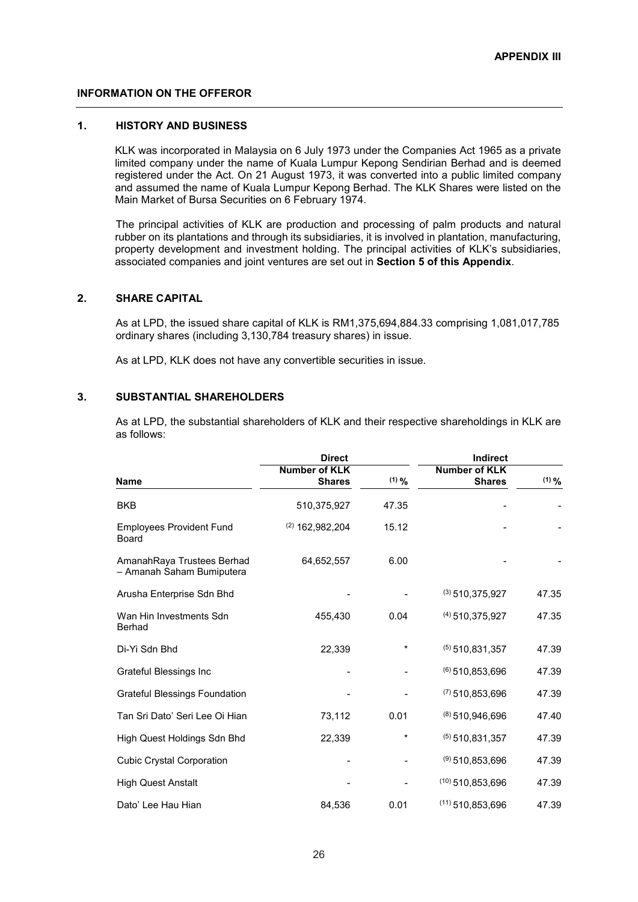### **INFORMATION ON THE OFFEROR**

### **1. HISTORY AND BUSINESS**

KLK was incorporated in Malaysia on 6 July 1973 under the Companies Act 1965 as a private limited company under the name of Kuala Lumpur Kepong Sendirian Berhad and is deemed registered under the Act. On 21 August 1973, it was converted into a public limited company and assumed the name of Kuala Lumpur Kepong Berhad. The KLK Shares were listed on the Main Market of Bursa Securities on 6 February 1974.

The principal activities of KLK are production and processing of palm products and natural rubber on its plantations and through its subsidiaries, it is involved in plantation, manufacturing, property development and investment holding. The principal activities of KLK's subsidiaries, associated companies and joint ventures are set out in **Section 5 of this Appendix**.

### **2. SHARE CAPITAL**

As at LPD, the issued share capital of KLK is RM1,375,694,884.33 comprising 1,081,017,785 ordinary shares (including 3,130,784 treasury shares) in issue.

As at LPD, KLK does not have any convertible securities in issue.

### **3. SUBSTANTIAL SHAREHOLDERS**

As at LPD, the substantial shareholders of KLK and their respective shareholdings in KLK are as follows:

|                                                         | <b>Direct</b>                         |         | <b>Indirect</b>                |         |  |
|---------------------------------------------------------|---------------------------------------|---------|--------------------------------|---------|--|
| Name                                                    | <b>Number of KLK</b><br><b>Shares</b> | $(1)$ % | Number of KLK<br><b>Shares</b> | $(1)$ % |  |
| <b>BKB</b>                                              | 510,375,927                           | 47.35   |                                |         |  |
| <b>Employees Provident Fund</b><br><b>Board</b>         | $(2)$ 162,982,204                     | 15.12   |                                |         |  |
| AmanahRaya Trustees Berhad<br>- Amanah Saham Bumiputera | 64,652,557                            | 6.00    |                                |         |  |
| Arusha Enterprise Sdn Bhd                               |                                       |         | $(3)$ 510, 375, 927            | 47.35   |  |
| Wan Hin Investments Sdn<br>Berhad                       | 455,430                               | 0.04    | $(4)$ 510, 375, 927            | 47.35   |  |
| Di-Yi Sdn Bhd                                           | 22,339                                | *       | $(5)$ 510.831.357              | 47.39   |  |
| Grateful Blessings Inc                                  |                                       |         | $(6)$ 510,853,696              | 47.39   |  |
| <b>Grateful Blessings Foundation</b>                    |                                       |         | $(7)$ 510,853,696              | 47.39   |  |
| Tan Sri Dato' Seri Lee Oi Hian                          | 73,112                                | 0.01    | $(8)$ 510,946,696              | 47.40   |  |
| High Quest Holdings Sdn Bhd                             | 22,339                                | *       | $(5)$ 510,831,357              | 47.39   |  |
| <b>Cubic Crystal Corporation</b>                        |                                       |         | $(9)$ 510,853,696              | 47.39   |  |
| <b>High Quest Anstalt</b>                               |                                       |         | $(10)$ 510.853.696             | 47.39   |  |
| Dato' Lee Hau Hian                                      | 84,536                                | 0.01    | $(11)$ 510,853,696             | 47.39   |  |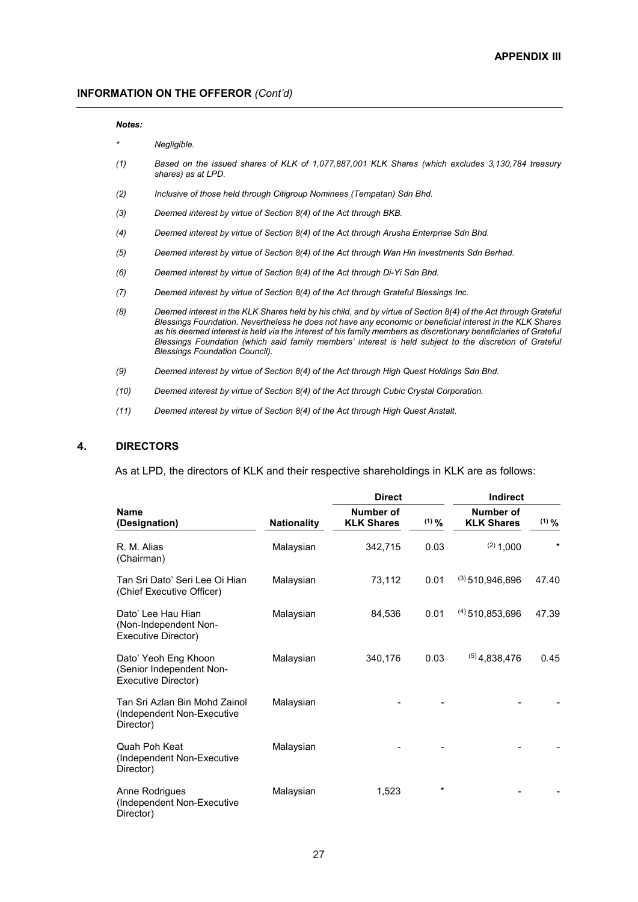#### *Notes:*

- *\* Negligible.*
- *(1) Based on the issued shares of KLK of 1,077,887,001 KLK Shares (which excludes 3,130,784 treasury shares) as at LPD.*
- *(2) Inclusive of those held through Citigroup Nominees (Tempatan) Sdn Bhd.*
- *(3) Deemed interest by virtue of Section 8(4) of the Act through BKB.*
- *(4) Deemed interest by virtue of Section 8(4) of the Act through Arusha Enterprise Sdn Bhd.*
- *(5) Deemed interest by virtue of Section 8(4) of the Act through Wan Hin Investments Sdn Berhad.*
- *(6) Deemed interest by virtue of Section 8(4) of the Act through Di-Yi Sdn Bhd.*
- *(7) Deemed interest by virtue of Section 8(4) of the Act through Grateful Blessings Inc.*
- *(8) Deemed interest in the KLK Shares held by his child, and by virtue of Section 8(4) of the Act through Grateful Blessings Foundation. Nevertheless he does not have any economic or beneficial interest in the KLK Shares as his deemed interest is held via the interest of his family members as discretionary beneficiaries of Grateful Blessings Foundation (which said family members' interest is held subject to the discretion of Grateful Blessings Foundation Council).*
- *(9) Deemed interest by virtue of Section 8(4) of the Act through High Quest Holdings Sdn Bhd.*
- *(10) Deemed interest by virtue of Section 8(4) of the Act through Cubic Crystal Corporation.*
- *(11) Deemed interest by virtue of Section 8(4) of the Act through High Quest Anstalt.*

### **4. DIRECTORS**

As at LPD, the directors of KLK and their respective shareholdings in KLK are as follows:

|                                                                          |                    | <b>Direct</b>                  |            | Indirect                       |          |
|--------------------------------------------------------------------------|--------------------|--------------------------------|------------|--------------------------------|----------|
| <b>Name</b><br>(Designation)                                             | <b>Nationality</b> | Number of<br><b>KLK Shares</b> | $(1)$ $\%$ | Number of<br><b>KLK Shares</b> | $(1)$ %  |
| R. M. Alias<br>(Chairman)                                                | Malaysian          | 342,715                        | 0.03       | $(2)$ 1,000                    | $^\star$ |
| Tan Sri Dato' Seri Lee Oi Hian<br>(Chief Executive Officer)              | Malaysian          | 73,112                         | 0.01       | $(3)$ 510,946,696              | 47.40    |
| Dato' Lee Hau Hian<br>(Non-Independent Non-<br>Executive Director)       | Malaysian          | 84,536                         | 0.01       | $(4)$ 510,853,696              | 47.39    |
| Dato' Yeoh Eng Khoon<br>(Senior Independent Non-<br>Executive Director)  | Malaysian          | 340.176                        | 0.03       | $(5)$ 4,838,476                | 0.45     |
| Tan Sri Azlan Bin Mohd Zainol<br>(Independent Non-Executive<br>Director) | Malaysian          |                                |            |                                |          |
| Quah Poh Keat<br>(Independent Non-Executive<br>Director)                 | Malaysian          |                                |            |                                |          |
| Anne Rodrigues<br>(Independent Non-Executive<br>Director)                | Malaysian          | 1,523                          | $\star$    |                                |          |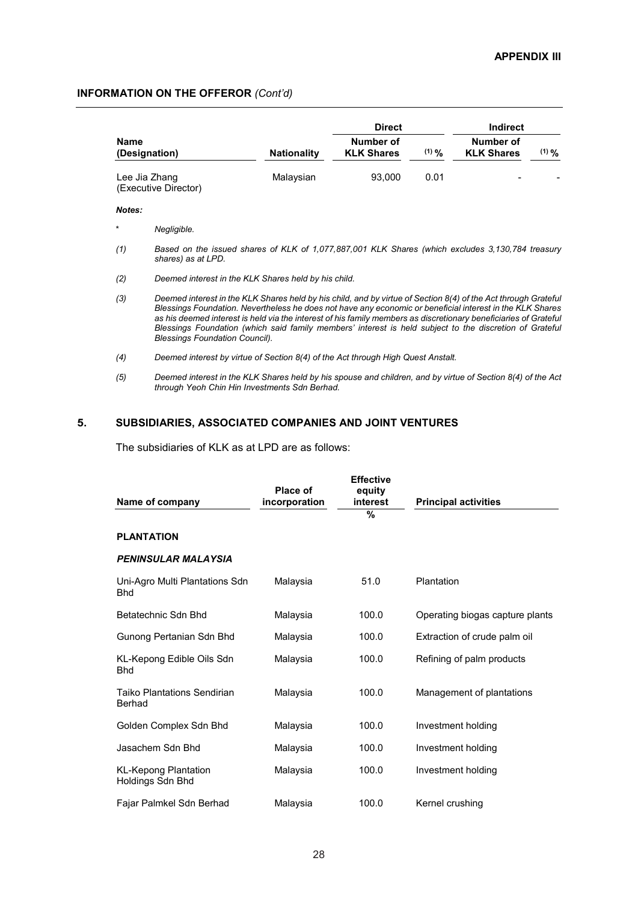|                              |                                                                                                                                                                                                                                                                                                                                                                                                                                                                                                     |                    | <b>Direct</b>                  |             | <b>Indirect</b>                |            |
|------------------------------|-----------------------------------------------------------------------------------------------------------------------------------------------------------------------------------------------------------------------------------------------------------------------------------------------------------------------------------------------------------------------------------------------------------------------------------------------------------------------------------------------------|--------------------|--------------------------------|-------------|--------------------------------|------------|
| <b>Name</b><br>(Designation) |                                                                                                                                                                                                                                                                                                                                                                                                                                                                                                     | <b>Nationality</b> | Number of<br><b>KLK Shares</b> | $(1)$ $9/2$ | Number of<br><b>KLK Shares</b> | $(1)$ $\%$ |
| Lee Jia Zhang                | (Executive Director)                                                                                                                                                                                                                                                                                                                                                                                                                                                                                | Malaysian          | 93,000                         | 0.01        |                                |            |
| Notes:                       |                                                                                                                                                                                                                                                                                                                                                                                                                                                                                                     |                    |                                |             |                                |            |
| $^\star$                     | Negligible.                                                                                                                                                                                                                                                                                                                                                                                                                                                                                         |                    |                                |             |                                |            |
| (1)                          | Based on the issued shares of KLK of 1,077,887,001 KLK Shares (which excludes 3,130,784 treasury<br>shares) as at LPD.                                                                                                                                                                                                                                                                                                                                                                              |                    |                                |             |                                |            |
| (2)                          | Deemed interest in the KLK Shares held by his child.                                                                                                                                                                                                                                                                                                                                                                                                                                                |                    |                                |             |                                |            |
| (3)                          | Deemed interest in the KLK Shares held by his child, and by virtue of Section 8(4) of the Act through Grateful<br>Blessings Foundation. Nevertheless he does not have any economic or beneficial interest in the KLK Shares<br>as his deemed interest is held via the interest of his family members as discretionary beneficiaries of Grateful<br>Blessings Foundation (which said family members' interest is held subject to the discretion of Grateful<br><b>Blessings Foundation Council).</b> |                    |                                |             |                                |            |
| (4)                          | Deemed interest by virtue of Section 8(4) of the Act through High Quest Anstalt.                                                                                                                                                                                                                                                                                                                                                                                                                    |                    |                                |             |                                |            |
| (5)                          | Deemed interest in the KLK Shares held by his spouse and children, and by virtue of Section 8(4) of the Act<br>through Yeoh Chin Hin Investments Sdn Berhad.                                                                                                                                                                                                                                                                                                                                        |                    |                                |             |                                |            |

### **5. SUBSIDIARIES, ASSOCIATED COMPANIES AND JOINT VENTURES**

The subsidiaries of KLK as at LPD are as follows:

| Name of company                                 | Place of<br>incorporation | <b>Effective</b><br>equity<br>interest | <b>Principal activities</b>     |
|-------------------------------------------------|---------------------------|----------------------------------------|---------------------------------|
|                                                 |                           | %                                      |                                 |
| <b>PLANTATION</b>                               |                           |                                        |                                 |
| <b>PENINSULAR MALAYSIA</b>                      |                           |                                        |                                 |
| Uni-Agro Multi Plantations Sdn<br><b>Bhd</b>    | Malaysia                  | 51.0                                   | Plantation                      |
| Betatechnic Sdn Bhd                             | Malaysia                  | 100.0                                  | Operating biogas capture plants |
| Gunong Pertanian Sdn Bhd                        | Malaysia                  | 100.0                                  | Extraction of crude palm oil    |
| KL-Kepong Edible Oils Sdn<br><b>Bhd</b>         | Malaysia                  | 100.0                                  | Refining of palm products       |
| Taiko Plantations Sendirian<br>Berhad           | Malaysia                  | 100.0                                  | Management of plantations       |
| Golden Complex Sdn Bhd                          | Malaysia                  | 100.0                                  | Investment holding              |
| Jasachem Sdn Bhd                                | Malaysia                  | 100.0                                  | Investment holding              |
| <b>KL-Kepong Plantation</b><br>Holdings Sdn Bhd | Malaysia                  | 100.0                                  | Investment holding              |
| Fajar Palmkel Sdn Berhad                        | Malaysia                  | 100.0                                  | Kernel crushing                 |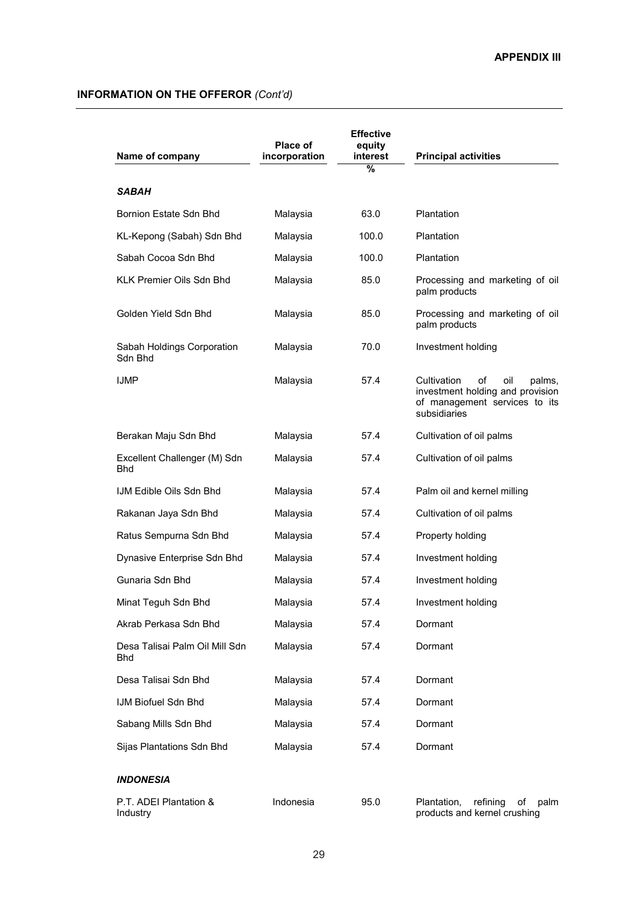| Name of company                       | Place of<br>incorporation | <b>Effective</b><br>equity<br>interest<br>% | <b>Principal activities</b>                                                                                             |
|---------------------------------------|---------------------------|---------------------------------------------|-------------------------------------------------------------------------------------------------------------------------|
| SABAH                                 |                           |                                             |                                                                                                                         |
| Bornion Estate Sdn Bhd                | Malaysia                  | 63.0                                        | Plantation                                                                                                              |
| KL-Kepong (Sabah) Sdn Bhd             | Malaysia                  | 100.0                                       | Plantation                                                                                                              |
| Sabah Cocoa Sdn Bhd                   | Malaysia                  | 100.0                                       | Plantation                                                                                                              |
| KLK Premier Oils Sdn Bhd              | Malaysia                  | 85.0                                        | Processing and marketing of oil<br>palm products                                                                        |
| Golden Yield Sdn Bhd                  | Malaysia                  | 85.0                                        | Processing and marketing of oil<br>palm products                                                                        |
| Sabah Holdings Corporation<br>Sdn Bhd | Malaysia                  | 70.0                                        | Investment holding                                                                                                      |
| <b>IJMP</b>                           | Malaysia                  | 57.4                                        | Cultivation<br>of<br>oil<br>palms,<br>investment holding and provision<br>of management services to its<br>subsidiaries |
| Berakan Maju Sdn Bhd                  | Malaysia                  | 57.4                                        | Cultivation of oil palms                                                                                                |
| Excellent Challenger (M) Sdn<br>Bhd   | Malaysia                  | 57.4                                        | Cultivation of oil palms                                                                                                |
| IJM Edible Oils Sdn Bhd               | Malaysia                  | 57.4                                        | Palm oil and kernel milling                                                                                             |
| Rakanan Jaya Sdn Bhd                  | Malaysia                  | 57.4                                        | Cultivation of oil palms                                                                                                |
| Ratus Sempurna Sdn Bhd                | Malaysia                  | 57.4                                        | Property holding                                                                                                        |
| Dynasive Enterprise Sdn Bhd           | Malaysia                  | 57.4                                        | Investment holding                                                                                                      |
| Gunaria Sdn Bhd                       | Malaysia                  | 57.4                                        | Investment holding                                                                                                      |
| Minat Teguh Sdn Bhd                   | Malaysia                  | 57.4                                        | Investment holding                                                                                                      |
| Akrab Perkasa Sdn Bhd                 | Malaysia                  | 57.4                                        | Dormant                                                                                                                 |
| Desa Talisai Palm Oil Mill Sdn<br>Bhd | Malaysia                  | 57.4                                        | Dormant                                                                                                                 |
| Desa Talisai Sdn Bhd                  | Malaysia                  | 57.4                                        | Dormant                                                                                                                 |
| IJM Biofuel Sdn Bhd                   | Malaysia                  | 57.4                                        | Dormant                                                                                                                 |
| Sabang Mills Sdn Bhd                  | Malaysia                  | 57.4                                        | Dormant                                                                                                                 |
| Sijas Plantations Sdn Bhd             | Malaysia                  | 57.4                                        | Dormant                                                                                                                 |
| <b>INDONESIA</b>                      |                           |                                             |                                                                                                                         |
| P.T. ADEI Plantation &<br>Industry    | Indonesia                 | 95.0                                        | Plantation,<br>refining<br>of<br>palm<br>products and kernel crushing                                                   |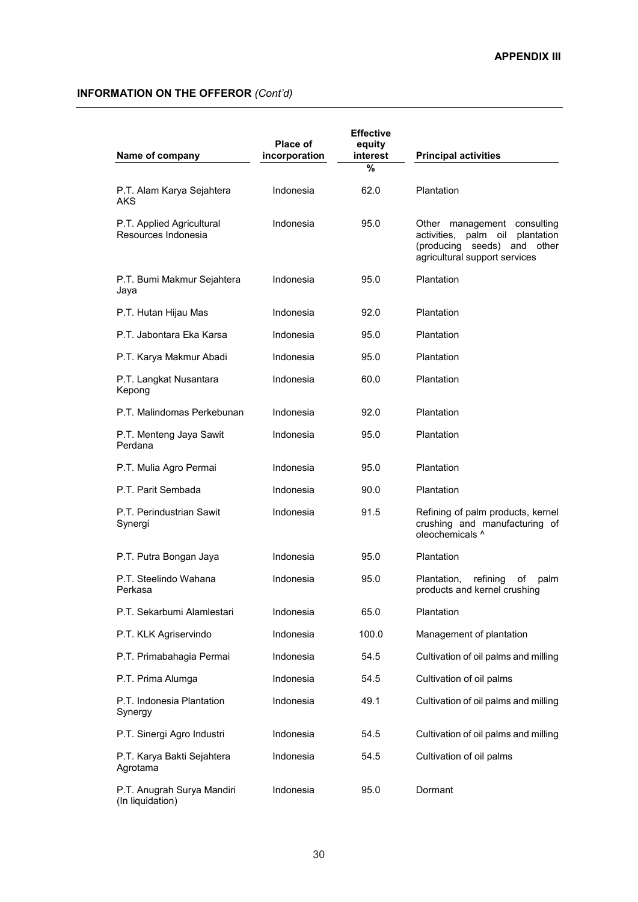| Name of company                                  | <b>Place of</b><br>incorporation | <b>Effective</b><br>equity<br>interest | <b>Principal activities</b>                                                                                                             |
|--------------------------------------------------|----------------------------------|----------------------------------------|-----------------------------------------------------------------------------------------------------------------------------------------|
|                                                  |                                  | $\frac{0}{0}$                          |                                                                                                                                         |
| P.T. Alam Karya Sejahtera<br>AKS                 | Indonesia                        | 62.0                                   | Plantation                                                                                                                              |
| P.T. Applied Agricultural<br>Resources Indonesia | Indonesia                        | 95.0                                   | Other management consulting<br>activities, palm oil<br>plantation<br>(producing<br>and other<br>seeds)<br>agricultural support services |
| P.T. Bumi Makmur Sejahtera<br>Jaya               | Indonesia                        | 95.0                                   | Plantation                                                                                                                              |
| P.T. Hutan Hijau Mas                             | Indonesia                        | 92.0                                   | Plantation                                                                                                                              |
| P.T. Jabontara Eka Karsa                         | Indonesia                        | 95.0                                   | Plantation                                                                                                                              |
| P.T. Karya Makmur Abadi                          | Indonesia                        | 95.0                                   | Plantation                                                                                                                              |
| P.T. Langkat Nusantara<br>Kepong                 | Indonesia                        | 60.0                                   | Plantation                                                                                                                              |
| P.T. Malindomas Perkebunan                       | Indonesia                        | 92.0                                   | Plantation                                                                                                                              |
| P.T. Menteng Jaya Sawit<br>Perdana               | Indonesia                        | 95.0                                   | Plantation                                                                                                                              |
| P.T. Mulia Agro Permai                           | Indonesia                        | 95.0                                   | Plantation                                                                                                                              |
| P.T. Parit Sembada                               | Indonesia                        | 90.0                                   | Plantation                                                                                                                              |
| P.T. Perindustrian Sawit<br>Synergi              | Indonesia                        | 91.5                                   | Refining of palm products, kernel<br>crushing and manufacturing of<br>oleochemicals ^                                                   |
| P.T. Putra Bongan Jaya                           | Indonesia                        | 95.0                                   | Plantation                                                                                                                              |
| P.T. Steelindo Wahana<br>Perkasa                 | Indonesia                        | 95.0                                   | Plantation,<br>refining<br>οf<br>palm<br>products and kernel crushing                                                                   |
| P.T. Sekarbumi Alamlestari                       | Indonesia                        | 65.0                                   | Plantation                                                                                                                              |
| P.T. KLK Agriservindo                            | Indonesia                        | 100.0                                  | Management of plantation                                                                                                                |
| P.T. Primabahagia Permai                         | Indonesia                        | 54.5                                   | Cultivation of oil palms and milling                                                                                                    |
| P.T. Prima Alumga                                | Indonesia                        | 54.5                                   | Cultivation of oil palms                                                                                                                |
| P.T. Indonesia Plantation<br>Synergy             | Indonesia                        | 49.1                                   | Cultivation of oil palms and milling                                                                                                    |
| P.T. Sinergi Agro Industri                       | Indonesia                        | 54.5                                   | Cultivation of oil palms and milling                                                                                                    |
| P.T. Karya Bakti Sejahtera<br>Agrotama           | Indonesia                        | 54.5                                   | Cultivation of oil palms                                                                                                                |
| P.T. Anugrah Surya Mandiri<br>(In liquidation)   | Indonesia                        | 95.0                                   | Dormant                                                                                                                                 |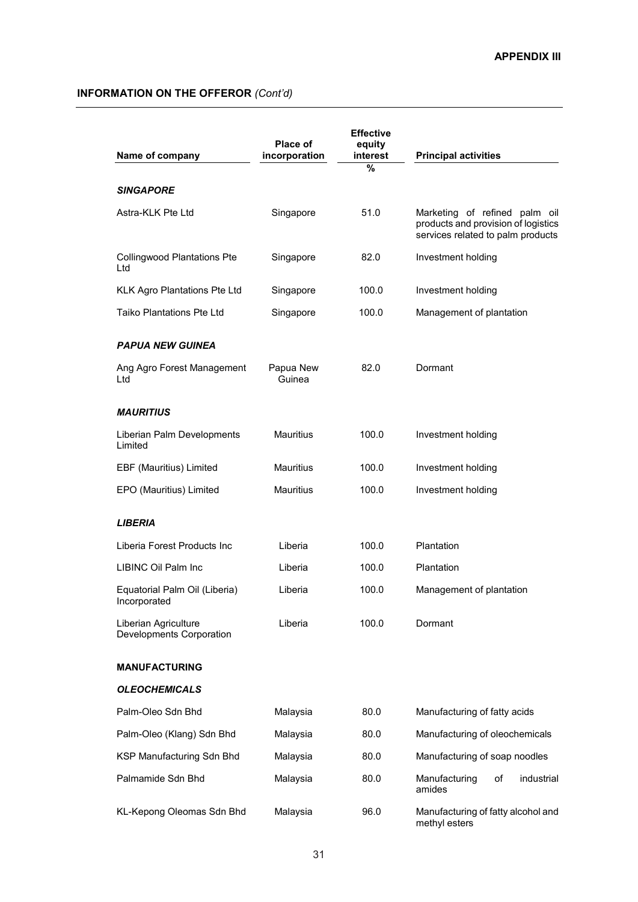| Name of company                                  | Place of<br>incorporation | <b>Effective</b><br>equity<br>interest | <b>Principal activities</b>                                                                               |
|--------------------------------------------------|---------------------------|----------------------------------------|-----------------------------------------------------------------------------------------------------------|
|                                                  |                           | %                                      |                                                                                                           |
| SINGAPORE                                        |                           |                                        |                                                                                                           |
| Astra-KLK Pte Ltd                                | Singapore                 | 51.0                                   | Marketing of refined palm oil<br>products and provision of logistics<br>services related to palm products |
| <b>Collingwood Plantations Pte</b><br>Ltd        | Singapore                 | 82.0                                   | Investment holding                                                                                        |
| <b>KLK Agro Plantations Pte Ltd</b>              | Singapore                 | 100.0                                  | Investment holding                                                                                        |
| <b>Taiko Plantations Pte Ltd</b>                 | Singapore                 | 100.0                                  | Management of plantation                                                                                  |
| <b>PAPUA NEW GUINEA</b>                          |                           |                                        |                                                                                                           |
| Ang Agro Forest Management<br>Ltd                | Papua New<br>Guinea       | 82.0                                   | Dormant                                                                                                   |
| <b>MAURITIUS</b>                                 |                           |                                        |                                                                                                           |
| Liberian Palm Developments<br>Limited            | <b>Mauritius</b>          | 100.0                                  | Investment holding                                                                                        |
| EBF (Mauritius) Limited                          | <b>Mauritius</b>          | 100.0                                  | Investment holding                                                                                        |
| EPO (Mauritius) Limited                          | <b>Mauritius</b>          | 100.0                                  | Investment holding                                                                                        |
| <i><b>LIBERIA</b></i>                            |                           |                                        |                                                                                                           |
| Liberia Forest Products Inc                      | Liberia                   | 100.0                                  | Plantation                                                                                                |
| LIBINC Oil Palm Inc                              | Liberia                   | 100.0                                  | Plantation                                                                                                |
| Equatorial Palm Oil (Liberia)<br>Incorporated    | Liberia                   | 100.0                                  | Management of plantation                                                                                  |
| Liberian Agriculture<br>Developments Corporation | Liberia                   | 100.0                                  | Dormant                                                                                                   |
| <b>MANUFACTURING</b>                             |                           |                                        |                                                                                                           |
| <b>OLEOCHEMICALS</b>                             |                           |                                        |                                                                                                           |
| Palm-Oleo Sdn Bhd                                | Malaysia                  | 80.0                                   | Manufacturing of fatty acids                                                                              |
| Palm-Oleo (Klang) Sdn Bhd                        | Malaysia                  | 80.0                                   | Manufacturing of oleochemicals                                                                            |
| KSP Manufacturing Sdn Bhd                        | Malaysia                  | 80.0                                   | Manufacturing of soap noodles                                                                             |
| Palmamide Sdn Bhd                                | Malaysia                  | 80.0                                   | Manufacturing<br>οf<br>industrial<br>amides                                                               |
| KL-Kepong Oleomas Sdn Bhd                        | Malaysia                  | 96.0                                   | Manufacturing of fatty alcohol and<br>methyl esters                                                       |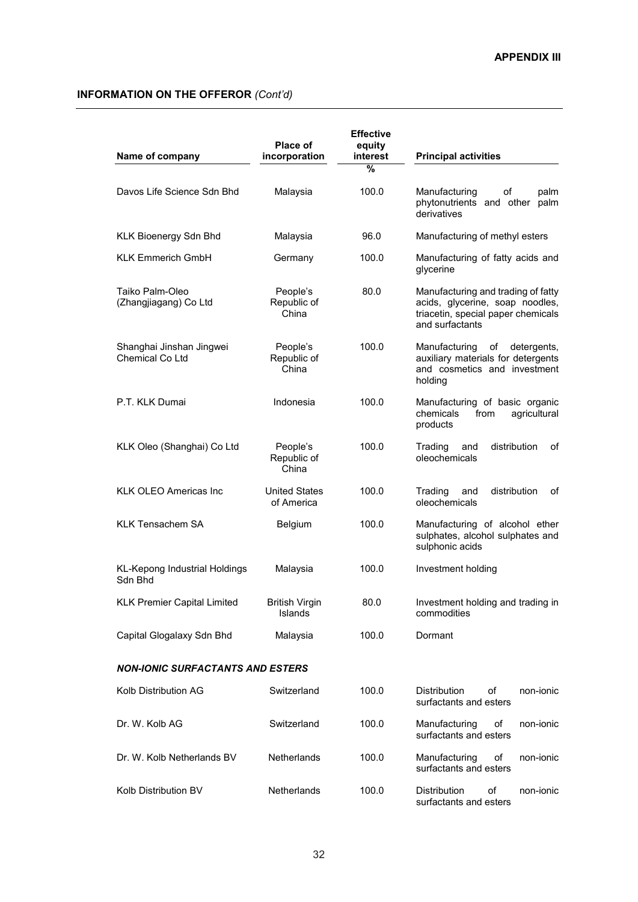| Name of company                             | <b>Place of</b><br>incorporation   | <b>Effective</b><br>equity<br>interest<br>% | <b>Principal activities</b>                                                                                                    |
|---------------------------------------------|------------------------------------|---------------------------------------------|--------------------------------------------------------------------------------------------------------------------------------|
| Davos Life Science Sdn Bhd                  | Malaysia                           | 100.0                                       | Manufacturing<br>of<br>palm<br>phytonutrients and other palm<br>derivatives                                                    |
| KLK Bioenergy Sdn Bhd                       | Malaysia                           | 96.0                                        | Manufacturing of methyl esters                                                                                                 |
| <b>KLK Emmerich GmbH</b>                    | Germany                            | 100.0                                       | Manufacturing of fatty acids and<br>glycerine                                                                                  |
| Taiko Palm-Oleo<br>(Zhangjiagang) Co Ltd    | People's<br>Republic of<br>China   | 80.0                                        | Manufacturing and trading of fatty<br>acids, glycerine, soap noodles,<br>triacetin, special paper chemicals<br>and surfactants |
| Shanghai Jinshan Jingwei<br>Chemical Co Ltd | People's<br>Republic of<br>China   | 100.0                                       | Manufacturing<br>detergents,<br>of<br>auxiliary materials for detergents<br>and cosmetics and investment<br>holding            |
| P.T. KLK Dumai                              | Indonesia                          | 100.0                                       | Manufacturing of basic organic<br>agricultural<br>chemicals<br>from<br>products                                                |
| KLK Oleo (Shanghai) Co Ltd                  | People's<br>Republic of<br>China   | 100.0                                       | distribution<br>Trading<br>and<br>οf<br>oleochemicals                                                                          |
| KLK OLEO Americas Inc                       | <b>United States</b><br>of America | 100.0                                       | Trading<br>and<br>distribution<br>οf<br>oleochemicals                                                                          |
| <b>KLK Tensachem SA</b>                     | Belgium                            | 100.0                                       | Manufacturing of alcohol ether<br>sulphates, alcohol sulphates and<br>sulphonic acids                                          |
| KL-Kepong Industrial Holdings<br>Sdn Bhd    | Malaysia                           | 100.0                                       | Investment holding                                                                                                             |
| <b>KLK Premier Capital Limited</b>          | <b>British Virgin</b><br>Islands   | 80.0                                        | Investment holding and trading in<br>commodities                                                                               |
| Capital Glogalaxy Sdn Bhd                   | Malaysia                           | 100.0                                       | Dormant                                                                                                                        |
| <b>NON-IONIC SURFACTANTS AND ESTERS</b>     |                                    |                                             |                                                                                                                                |
| Kolb Distribution AG                        | Switzerland                        | 100.0                                       | <b>Distribution</b><br>οf<br>non-ionic<br>surfactants and esters                                                               |
| Dr. W. Kolb AG                              | Switzerland                        | 100.0                                       | Manufacturing<br>of<br>non-ionic<br>surfactants and esters                                                                     |
| Dr. W. Kolb Netherlands BV                  | Netherlands                        | 100.0                                       | Manufacturing<br>οf<br>non-ionic<br>surfactants and esters                                                                     |
| Kolb Distribution BV                        | Netherlands                        | 100.0                                       | Distribution<br>non-ionic<br>οf<br>surfactants and esters                                                                      |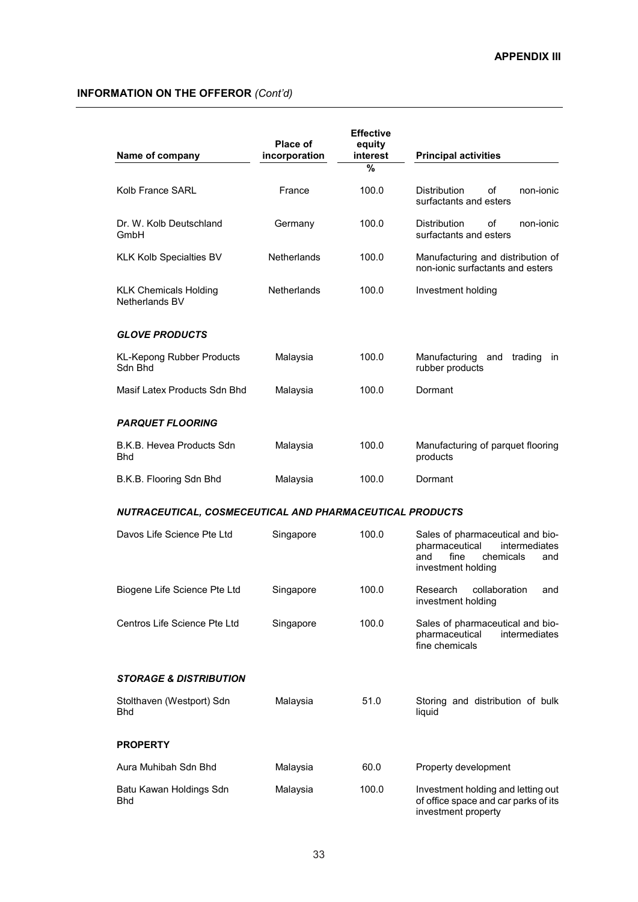| Name of company                                          | Place of<br>incorporation | <b>Effective</b><br>equity<br>interest<br>$\frac{0}{0}$ | <b>Principal activities</b>                                                                                                  |
|----------------------------------------------------------|---------------------------|---------------------------------------------------------|------------------------------------------------------------------------------------------------------------------------------|
|                                                          |                           |                                                         |                                                                                                                              |
| Kolb France SARL                                         | France                    | 100.0                                                   | <b>Distribution</b><br>οf<br>non-ionic<br>surfactants and esters                                                             |
| Dr. W. Kolb Deutschland<br>GmbH                          | Germany                   | 100.0                                                   | <b>Distribution</b><br>οf<br>non-ionic<br>surfactants and esters                                                             |
| <b>KLK Kolb Specialties BV</b>                           | <b>Netherlands</b>        | 100.0                                                   | Manufacturing and distribution of<br>non-ionic surfactants and esters                                                        |
| <b>KLK Chemicals Holding</b><br>Netherlands BV           | <b>Netherlands</b>        | 100.0                                                   | Investment holding                                                                                                           |
| <b>GLOVE PRODUCTS</b>                                    |                           |                                                         |                                                                                                                              |
| <b>KL-Kepong Rubber Products</b><br>Sdn Bhd              | Malaysia                  | 100.0                                                   | Manufacturing<br>trading<br>and<br>in<br>rubber products                                                                     |
| Masif Latex Products Sdn Bhd                             | Malaysia                  | 100.0                                                   | Dormant                                                                                                                      |
| <b>PARQUET FLOORING</b>                                  |                           |                                                         |                                                                                                                              |
| B.K.B. Hevea Products Sdn<br><b>Bhd</b>                  | Malaysia                  | 100.0                                                   | Manufacturing of parquet flooring<br>products                                                                                |
| B.K.B. Flooring Sdn Bhd                                  | Malaysia                  | 100.0                                                   | Dormant                                                                                                                      |
| NUTRACEUTICAL, COSMECEUTICAL AND PHARMACEUTICAL PRODUCTS |                           |                                                         |                                                                                                                              |
| Davos Life Science Pte Ltd                               | Singapore                 | 100.0                                                   | Sales of pharmaceutical and bio-<br>pharmaceutical<br>intermediates<br>fine<br>chemicals<br>and<br>and<br>investment holding |
| Biogene Life Science Pte Ltd                             | Singapore                 | 100.0                                                   | Research<br>collaboration<br>and<br>investment holding                                                                       |
| Centros Life Science Pte Ltd                             | Singapore                 | 100.0                                                   | Sales of pharmaceutical and bio-<br>pharmaceutical<br><i>intermediates</i><br>fine chemicals                                 |
| <b>STORAGE &amp; DISTRIBUTION</b>                        |                           |                                                         |                                                                                                                              |
| Stolthaven (Westport) Sdn<br>Bhd                         | Malaysia                  | 51.0                                                    | Storing and distribution of bulk<br>liquid                                                                                   |
| <b>PROPERTY</b>                                          |                           |                                                         |                                                                                                                              |
| Aura Muhibah Sdn Bhd                                     | Malaysia                  | 60.0                                                    | Property development                                                                                                         |
| Batu Kawan Holdings Sdn<br>Bhd                           | Malaysia                  | 100.0                                                   | Investment holding and letting out<br>of office space and car parks of its<br>investment property                            |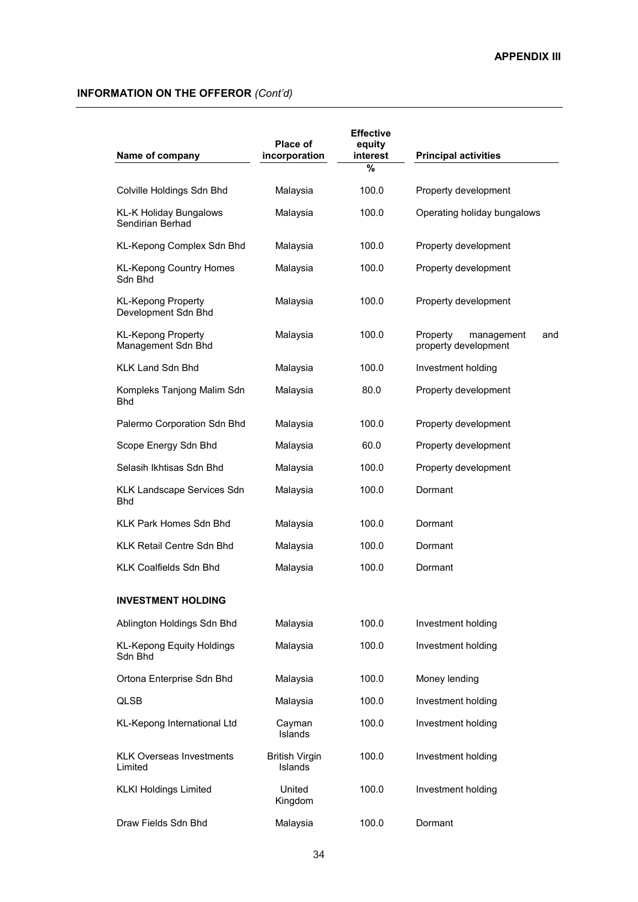| Name of company                                   | <b>Place of</b><br>incorporation | <b>Effective</b><br>equity<br>interest | <b>Principal activities</b>                           |
|---------------------------------------------------|----------------------------------|----------------------------------------|-------------------------------------------------------|
|                                                   |                                  | %                                      |                                                       |
| Colville Holdings Sdn Bhd                         | Malaysia                         | 100.0                                  | Property development                                  |
| <b>KL-K Holiday Bungalows</b><br>Sendirian Berhad | Malaysia                         | 100.0                                  | Operating holiday bungalows                           |
| KL-Kepong Complex Sdn Bhd                         | Malaysia                         | 100.0                                  | Property development                                  |
| <b>KL-Kepong Country Homes</b><br>Sdn Bhd         | Malaysia                         | 100.0                                  | Property development                                  |
| <b>KL-Kepong Property</b><br>Development Sdn Bhd  | Malaysia                         | 100.0                                  | Property development                                  |
| <b>KL-Kepong Property</b><br>Management Sdn Bhd   | Malaysia                         | 100.0                                  | Property<br>management<br>and<br>property development |
| <b>KLK Land Sdn Bhd</b>                           | Malaysia                         | 100.0                                  | Investment holding                                    |
| Kompleks Tanjong Malim Sdn<br>Bhd                 | Malaysia                         | 80.0                                   | Property development                                  |
| Palermo Corporation Sdn Bhd                       | Malaysia                         | 100.0                                  | Property development                                  |
| Scope Energy Sdn Bhd                              | Malaysia                         | 60.0                                   | Property development                                  |
| Selasih Ikhtisas Sdn Bhd                          | Malaysia                         | 100.0                                  | Property development                                  |
| KLK Landscape Services Sdn<br>Bhd                 | Malaysia                         | 100.0                                  | Dormant                                               |
| KLK Park Homes Sdn Bhd                            | Malaysia                         | 100.0                                  | Dormant                                               |
| <b>KLK Retail Centre Sdn Bhd</b>                  | Malaysia                         | 100.0                                  | Dormant                                               |
| <b>KLK Coalfields Sdn Bhd</b>                     | Malaysia                         | 100.0                                  | Dormant                                               |
| <b>INVESTMENT HOLDING</b>                         |                                  |                                        |                                                       |
| Ablington Holdings Sdn Bhd                        | Malaysia                         | 100.0                                  | Investment holding                                    |
| <b>KL-Kepong Equity Holdings</b><br>Sdn Bhd       | Malaysia                         | 100.0                                  | Investment holding                                    |
| Ortona Enterprise Sdn Bhd                         | Malaysia                         | 100.0                                  | Money lending                                         |
| <b>QLSB</b>                                       | Malaysia                         | 100.0                                  | Investment holding                                    |
| KL-Kepong International Ltd                       | Cayman<br>Islands                | 100.0                                  | Investment holding                                    |
| <b>KLK Overseas Investments</b><br>Limited        | <b>British Virgin</b><br>Islands | 100.0                                  | Investment holding                                    |
| <b>KLKI Holdings Limited</b>                      | United<br>Kingdom                | 100.0                                  | Investment holding                                    |
| Draw Fields Sdn Bhd                               | Malaysia                         | 100.0                                  | Dormant                                               |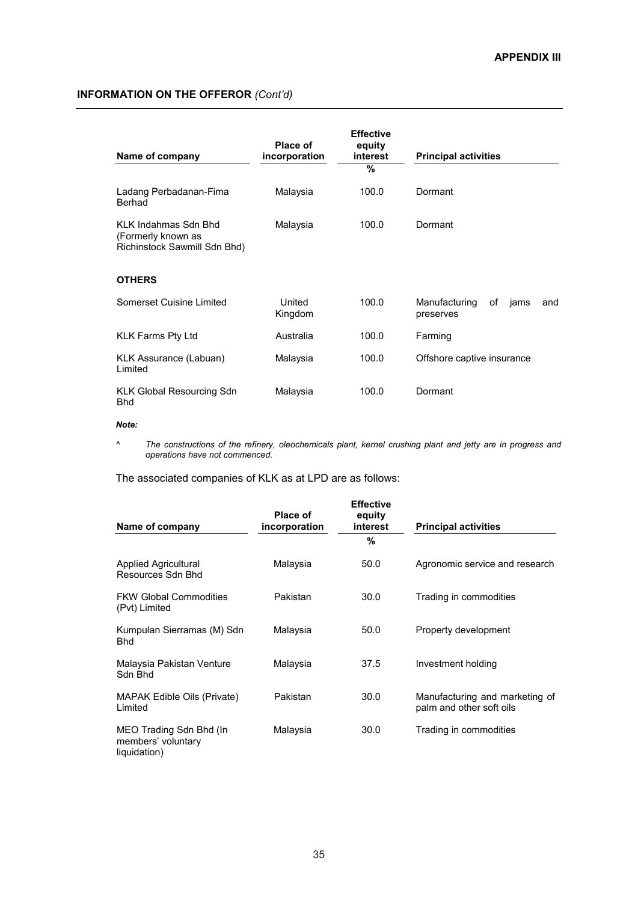| Name of company                                                             | Place of<br>incorporation | <b>Effective</b><br>equity<br>interest<br>% | <b>Principal activities</b>                     |
|-----------------------------------------------------------------------------|---------------------------|---------------------------------------------|-------------------------------------------------|
| Ladang Perbadanan-Fima<br>Berhad                                            | Malaysia                  | 100.0                                       | Dormant                                         |
| KI K Indahmas Sdn Bhd<br>(Formerly known as<br>Richinstock Sawmill Sdn Bhd) | Malaysia                  | 100.0                                       | Dormant                                         |
| <b>OTHERS</b>                                                               |                           |                                             |                                                 |
| Somerset Cuisine Limited                                                    | United<br>Kingdom         | 100.0                                       | Manufacturing<br>of<br>jams<br>and<br>preserves |
| <b>KLK Farms Pty Ltd</b>                                                    | Australia                 | 100.0                                       | Farming                                         |
| KLK Assurance (Labuan)<br>Limited                                           | Malaysia                  | 100.0                                       | Offshore captive insurance                      |
| <b>KLK Global Resourcing Sdn</b><br><b>Bhd</b>                              | Malaysia                  | 100.0                                       | Dormant                                         |

### *Note:*

*^ The constructions of the refinery, oleochemicals plant, kernel crushing plant and jetty are in progress and operations have not commenced.* 

The associated companies of KLK as at LPD are as follows:

| Name of company                                               | Place of<br>incorporation | <b>Effective</b><br>equity<br>interest | <b>Principal activities</b>                                |
|---------------------------------------------------------------|---------------------------|----------------------------------------|------------------------------------------------------------|
|                                                               |                           | %                                      |                                                            |
| <b>Applied Agricultural</b><br>Resources Sdn Bhd              | Malaysia                  | 50.0                                   | Agronomic service and research                             |
| <b>FKW Global Commodities</b><br>(Pvt) Limited                | Pakistan                  | 30.0                                   | Trading in commodities                                     |
| Kumpulan Sierramas (M) Sdn<br><b>Bhd</b>                      | Malaysia                  | 50.0                                   | Property development                                       |
| Malaysia Pakistan Venture<br>Sdn Bhd                          | Malaysia                  | 37.5                                   | Investment holding                                         |
| <b>MAPAK Edible Oils (Private)</b><br>Limited                 | Pakistan                  | 30.0                                   | Manufacturing and marketing of<br>palm and other soft oils |
| MEO Trading Sdn Bhd (In<br>members' voluntary<br>liquidation) | Malaysia                  | 30.0                                   | Trading in commodities                                     |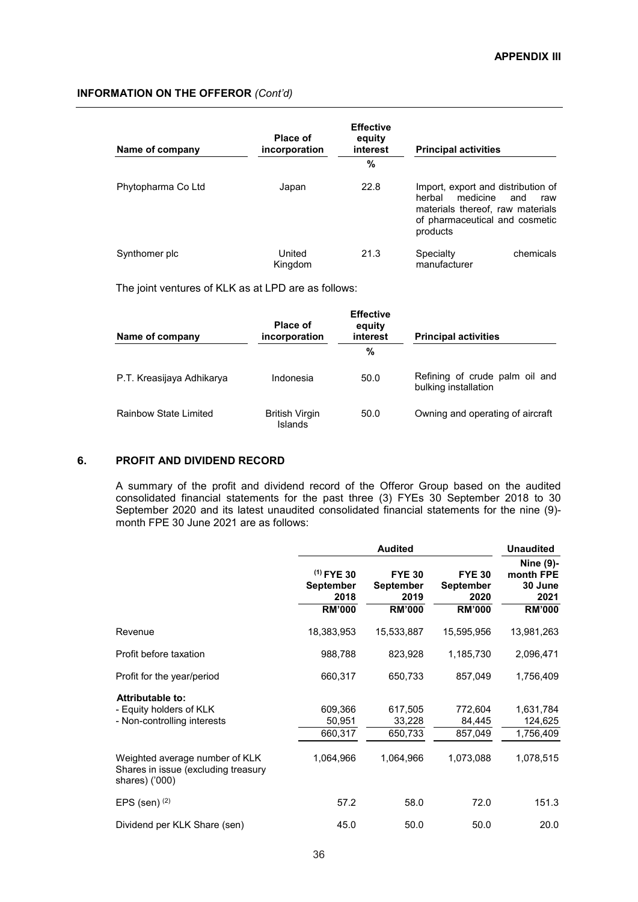| Name of company    | <b>Place of</b><br>incorporation | <b>Effective</b><br>equity<br>interest | <b>Principal activities</b>                                                                                                                |            |
|--------------------|----------------------------------|----------------------------------------|--------------------------------------------------------------------------------------------------------------------------------------------|------------|
|                    |                                  | %                                      |                                                                                                                                            |            |
| Phytopharma Co Ltd | Japan                            | 22.8                                   | Import, export and distribution of<br>medicine<br>herbal<br>materials thereof, raw materials<br>of pharmaceutical and cosmetic<br>products | and<br>raw |
| Synthomer plc      | United<br>Kingdom                | 21.3                                   | Specialty<br>manufacturer                                                                                                                  | chemicals  |

The joint ventures of KLK as at LPD are as follows:

| Name of company           | <b>Place of</b><br>incorporation | <b>Effective</b><br>equity<br>interest | <b>Principal activities</b>                            |
|---------------------------|----------------------------------|----------------------------------------|--------------------------------------------------------|
|                           |                                  | %                                      |                                                        |
| P.T. Kreasijaya Adhikarya | Indonesia                        | 50.0                                   | Refining of crude palm oil and<br>bulking installation |
| Rainbow State Limited     | <b>British Virgin</b><br>Islands | 50.0                                   | Owning and operating of aircraft                       |

### **6. PROFIT AND DIVIDEND RECORD**

A summary of the profit and dividend record of the Offeror Group based on the audited consolidated financial statements for the past three (3) FYEs 30 September 2018 to 30 September 2020 and its latest unaudited consolidated financial statements for the nine (9) month FPE 30 June 2021 are as follows:

|                                                                                         | <b>Audited</b>                                            |                                                            |                                                     | <b>Unaudited</b>                                           |
|-----------------------------------------------------------------------------------------|-----------------------------------------------------------|------------------------------------------------------------|-----------------------------------------------------|------------------------------------------------------------|
|                                                                                         | $(1)$ FYE 30<br><b>September</b><br>2018<br><b>RM'000</b> | <b>FYE 30</b><br><b>September</b><br>2019<br><b>RM'000</b> | <b>FYE 30</b><br>September<br>2020<br><b>RM'000</b> | Nine (9)-<br>month FPE<br>30 June<br>2021<br><b>RM'000</b> |
| Revenue                                                                                 | 18,383,953                                                | 15,533,887                                                 | 15,595,956                                          | 13,981,263                                                 |
| Profit before taxation                                                                  | 988,788                                                   | 823,928                                                    | 1,185,730                                           | 2,096,471                                                  |
| Profit for the year/period                                                              | 660,317                                                   | 650,733                                                    | 857,049                                             | 1,756,409                                                  |
| Attributable to:<br>- Equity holders of KLK<br>- Non-controlling interests              | 609.366<br>50,951<br>660,317                              | 617,505<br>33,228<br>650,733                               | 772.604<br>84,445<br>857,049                        | 1,631,784<br>124,625<br>1,756,409                          |
| Weighted average number of KLK<br>Shares in issue (excluding treasury<br>shares) ('000) | 1,064,966                                                 | 1,064,966                                                  | 1,073,088                                           | 1,078,515                                                  |
| EPS (sen) $(2)$                                                                         | 57.2                                                      | 58.0                                                       | 72.0                                                | 151.3                                                      |
| Dividend per KLK Share (sen)                                                            | 45.0                                                      | 50.0                                                       | 50.0                                                | 20.0                                                       |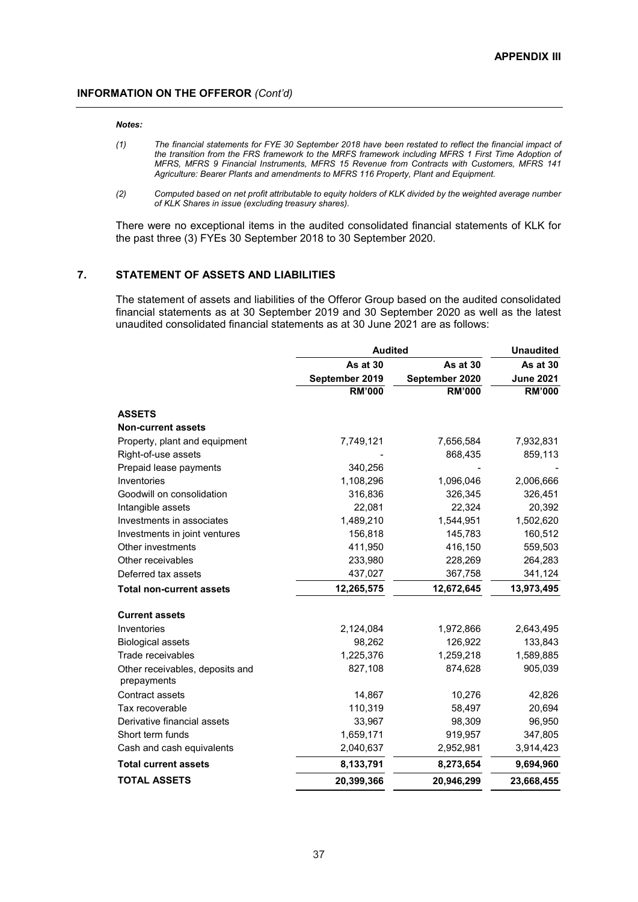### *Notes:*

- *(1) The financial statements for FYE 30 September 2018 have been restated to reflect the financial impact of the transition from the FRS framework to the MRFS framework including MFRS 1 First Time Adoption of MFRS, MFRS 9 Financial Instruments, MFRS 15 Revenue from Contracts with Customers, MFRS 141 Agriculture: Bearer Plants and amendments to MFRS 116 Property, Plant and Equipment.*
- *(2) Computed based on net profit attributable to equity holders of KLK divided by the weighted average number of KLK Shares in issue (excluding treasury shares).*

There were no exceptional items in the audited consolidated financial statements of KLK for the past three (3) FYEs 30 September 2018 to 30 September 2020.

### **7. STATEMENT OF ASSETS AND LIABILITIES**

The statement of assets and liabilities of the Offeror Group based on the audited consolidated financial statements as at 30 September 2019 and 30 September 2020 as well as the latest unaudited consolidated financial statements as at 30 June 2021 are as follows:

|                                                | <b>Audited</b> | <b>Unaudited</b> |                  |
|------------------------------------------------|----------------|------------------|------------------|
|                                                | As at 30       | As at 30         | As at 30         |
|                                                | September 2019 | September 2020   | <b>June 2021</b> |
|                                                | <b>RM'000</b>  | <b>RM'000</b>    | <b>RM'000</b>    |
| <b>ASSETS</b>                                  |                |                  |                  |
| <b>Non-current assets</b>                      |                |                  |                  |
| Property, plant and equipment                  | 7,749,121      | 7,656,584        | 7,932,831        |
| Right-of-use assets                            |                | 868,435          | 859,113          |
| Prepaid lease payments                         | 340,256        |                  |                  |
| Inventories                                    | 1,108,296      | 1,096,046        | 2,006,666        |
| Goodwill on consolidation                      | 316,836        | 326,345          | 326,451          |
| Intangible assets                              | 22,081         | 22,324           | 20,392           |
| Investments in associates                      | 1,489,210      | 1,544,951        | 1,502,620        |
| Investments in joint ventures                  | 156,818        | 145,783          | 160,512          |
| Other investments                              | 411,950        | 416,150          | 559,503          |
| Other receivables                              | 233,980        | 228,269          | 264,283          |
| Deferred tax assets                            | 437,027        | 367,758          | 341,124          |
| <b>Total non-current assets</b>                | 12,265,575     | 12,672,645       | 13,973,495       |
| <b>Current assets</b>                          |                |                  |                  |
| Inventories                                    | 2,124,084      | 1,972,866        | 2,643,495        |
| <b>Biological assets</b>                       | 98,262         | 126,922          | 133,843          |
| Trade receivables                              | 1,225,376      | 1,259,218        | 1,589,885        |
| Other receivables, deposits and<br>prepayments | 827,108        | 874,628          | 905,039          |
| Contract assets                                | 14,867         | 10,276           | 42,826           |
| Tax recoverable                                | 110,319        | 58,497           | 20,694           |
| Derivative financial assets                    | 33,967         | 98,309           | 96,950           |
| Short term funds                               | 1,659,171      | 919,957          | 347,805          |
| Cash and cash equivalents                      | 2,040,637      | 2,952,981        | 3,914,423        |
| <b>Total current assets</b>                    | 8,133,791      | 8,273,654        | 9,694,960        |
| <b>TOTAL ASSETS</b>                            | 20,399,366     | 20,946,299       | 23,668,455       |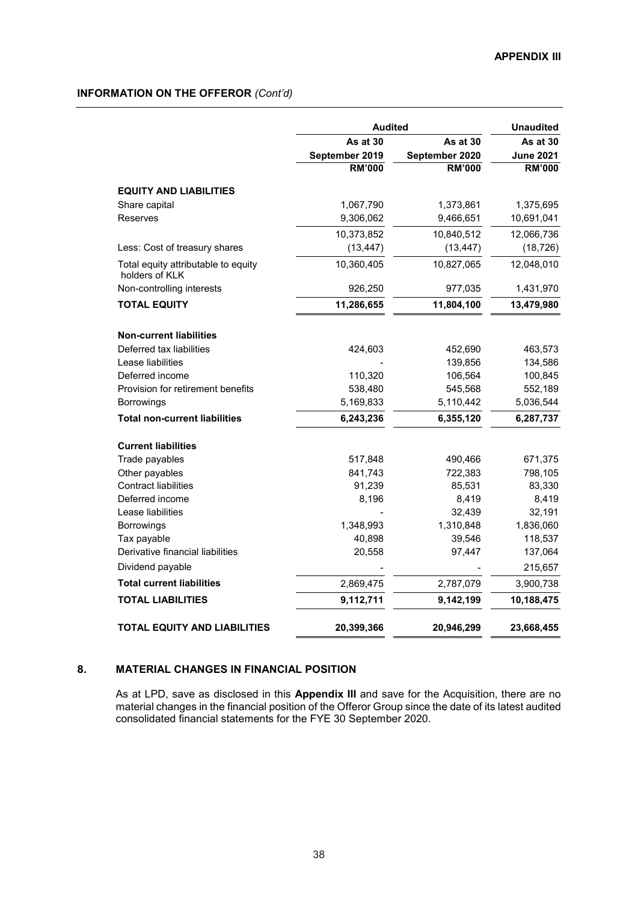|                                                       | <b>Audited</b> | <b>Unaudited</b> |                  |
|-------------------------------------------------------|----------------|------------------|------------------|
|                                                       | As at 30       | As at 30         | As at 30         |
|                                                       | September 2019 | September 2020   | <b>June 2021</b> |
|                                                       | <b>RM'000</b>  | <b>RM'000</b>    | <b>RM'000</b>    |
| <b>EQUITY AND LIABILITIES</b>                         |                |                  |                  |
| Share capital                                         | 1,067,790      | 1,373,861        | 1,375,695        |
| Reserves                                              | 9,306,062      | 9,466,651        | 10,691,041       |
|                                                       | 10,373,852     | 10,840,512       | 12,066,736       |
| Less: Cost of treasury shares                         | (13, 447)      | (13, 447)        | (18, 726)        |
| Total equity attributable to equity<br>holders of KLK | 10,360,405     | 10,827,065       | 12,048,010       |
| Non-controlling interests                             | 926,250        | 977,035          | 1,431,970        |
| <b>TOTAL EQUITY</b>                                   | 11,286,655     | 11,804,100       | 13,479,980       |
| <b>Non-current liabilities</b>                        |                |                  |                  |
| Deferred tax liabilities                              | 424,603        | 452,690          | 463,573          |
| Lease liabilities                                     |                | 139,856          | 134,586          |
| Deferred income                                       | 110,320        | 106,564          | 100,845          |
| Provision for retirement benefits                     | 538,480        | 545,568          | 552,189          |
| <b>Borrowings</b>                                     | 5,169,833      | 5,110,442        | 5,036,544        |
| <b>Total non-current liabilities</b>                  | 6,243,236      | 6,355,120        | 6,287,737        |
| <b>Current liabilities</b>                            |                |                  |                  |
| Trade payables                                        | 517,848        | 490,466          | 671,375          |
| Other payables                                        | 841,743        | 722,383          | 798,105          |
| <b>Contract liabilities</b>                           | 91,239         | 85,531           | 83,330           |
| Deferred income                                       | 8,196          | 8,419            | 8,419            |
| Lease liabilities                                     |                | 32,439           | 32,191           |
| Borrowings                                            | 1,348,993      | 1,310,848        | 1,836,060        |
| Tax payable                                           | 40,898         | 39,546           | 118,537          |
| Derivative financial liabilities                      | 20,558         | 97,447           | 137,064          |
| Dividend payable                                      |                |                  | 215,657          |
| <b>Total current liabilities</b>                      | 2,869,475      | 2,787,079        | 3,900,738        |
| <b>TOTAL LIABILITIES</b>                              | 9,112,711      | 9,142,199        | 10,188,475       |
| <b>TOTAL EQUITY AND LIABILITIES</b>                   | 20,399,366     | 20,946,299       | 23,668,455       |

### **8. MATERIAL CHANGES IN FINANCIAL POSITION**

As at LPD, save as disclosed in this **Appendix III** and save for the Acquisition, there are no material changes in the financial position of the Offeror Group since the date of its latest audited consolidated financial statements for the FYE 30 September 2020.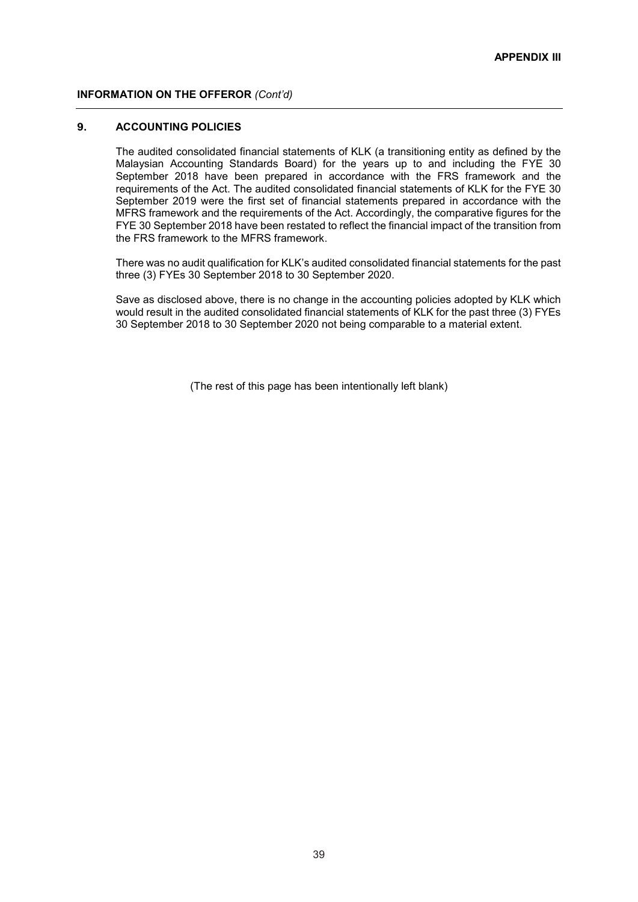### **9. ACCOUNTING POLICIES**

The audited consolidated financial statements of KLK (a transitioning entity as defined by the Malaysian Accounting Standards Board) for the years up to and including the FYE 30 September 2018 have been prepared in accordance with the FRS framework and the requirements of the Act. The audited consolidated financial statements of KLK for the FYE 30 September 2019 were the first set of financial statements prepared in accordance with the MFRS framework and the requirements of the Act. Accordingly, the comparative figures for the FYE 30 September 2018 have been restated to reflect the financial impact of the transition from the FRS framework to the MFRS framework.

There was no audit qualification for KLK's audited consolidated financial statements for the past three (3) FYEs 30 September 2018 to 30 September 2020.

Save as disclosed above, there is no change in the accounting policies adopted by KLK which would result in the audited consolidated financial statements of KLK for the past three (3) FYEs 30 September 2018 to 30 September 2020 not being comparable to a material extent.

(The rest of this page has been intentionally left blank)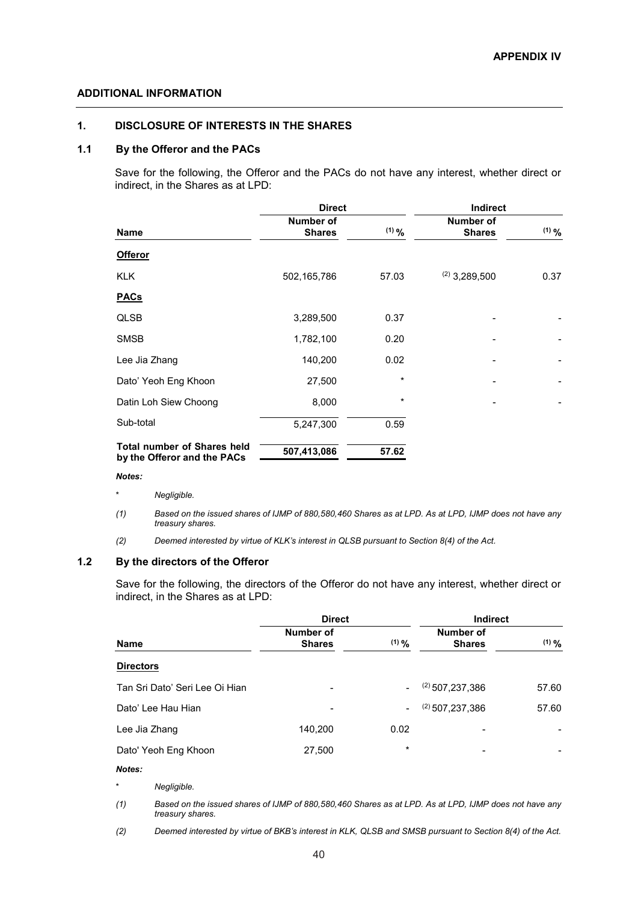### **ADDITIONAL INFORMATION**

### **1. DISCLOSURE OF INTERESTS IN THE SHARES**

### **1.1 By the Offeror and the PACs**

Save for the following, the Offeror and the PACs do not have any interest, whether direct or indirect, in the Shares as at LPD:

|                                                                   | <b>Direct</b>              |             | Indirect                   |            |
|-------------------------------------------------------------------|----------------------------|-------------|----------------------------|------------|
| <b>Name</b>                                                       | Number of<br><b>Shares</b> | $(1)$ $9/6$ | Number of<br><b>Shares</b> | $(1)$ $\%$ |
| <b>Offeror</b>                                                    |                            |             |                            |            |
| <b>KLK</b>                                                        | 502,165,786                | 57.03       | $(2)$ 3,289,500            | 0.37       |
| <b>PACs</b>                                                       |                            |             |                            |            |
| <b>QLSB</b>                                                       | 3,289,500                  | 0.37        |                            |            |
| <b>SMSB</b>                                                       | 1,782,100                  | 0.20        |                            |            |
| Lee Jia Zhang                                                     | 140,200                    | 0.02        |                            |            |
| Dato' Yeoh Eng Khoon                                              | 27,500                     | $\star$     |                            |            |
| Datin Loh Siew Choong                                             | 8,000                      | $^\star$    |                            |            |
| Sub-total                                                         | 5,247,300                  | 0.59        |                            |            |
| <b>Total number of Shares held</b><br>by the Offeror and the PACs | 507,413,086                | 57.62       |                            |            |

#### *Notes:*

- *\* Negligible.*
- *(1) Based on the issued shares of IJMP of 880,580,460 Shares as at LPD. As at LPD, IJMP does not have any treasury shares.*
- *(2) Deemed interested by virtue of KLK's interest in QLSB pursuant to Section 8(4) of the Act.*

### **1.2 By the directors of the Offeror**

Save for the following, the directors of the Offeror do not have any interest, whether direct or indirect, in the Shares as at LPD:

|                                | <b>Direct</b>              |                          | <b>Indirect</b>            |            |
|--------------------------------|----------------------------|--------------------------|----------------------------|------------|
| <b>Name</b>                    | Number of<br><b>Shares</b> | (1) $9/6$                | Number of<br><b>Shares</b> | $(1)$ $\%$ |
| <b>Directors</b>               |                            |                          |                            |            |
| Tan Sri Dato' Seri Lee Oi Hian | -                          | $\blacksquare$           | $(2)$ 507.237.386          | 57.60      |
| Dato' Lee Hau Hian             |                            | $\overline{\phantom{0}}$ | $(2)$ 507, 237, 386        | 57.60      |
| Lee Jia Zhang                  | 140,200                    | 0.02                     |                            |            |
| Dato' Yeoh Eng Khoon           | 27,500                     | $\star$                  | -                          |            |
| Notes:                         |                            |                          |                            |            |
| $\star$<br>Negligible.         |                            |                          |                            |            |
|                                |                            |                          |                            |            |

*(1) Based on the issued shares of IJMP of 880,580,460 Shares as at LPD. As at LPD, IJMP does not have any treasury shares.*

*(2) Deemed interested by virtue of BKB's interest in KLK, QLSB and SMSB pursuant to Section 8(4) of the Act.*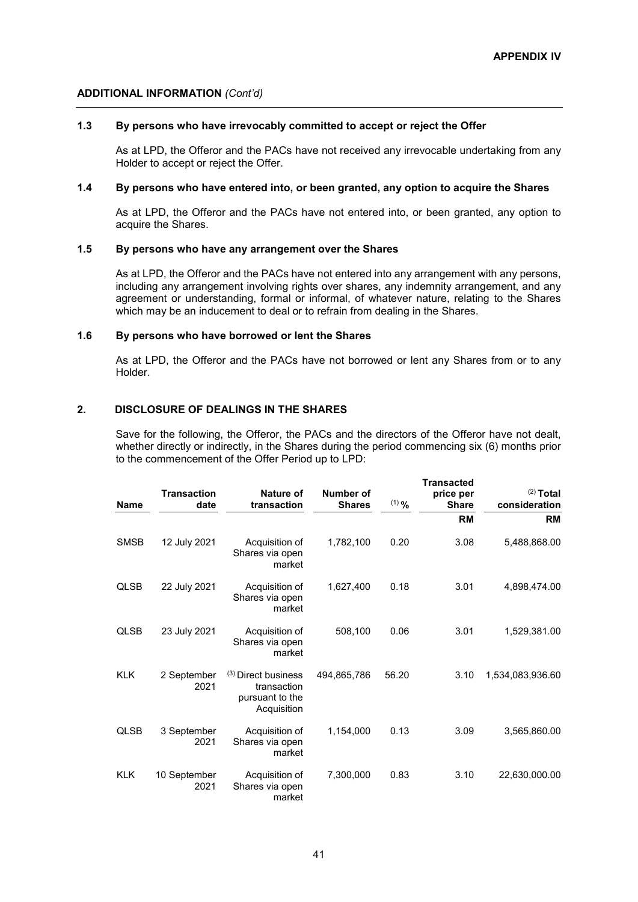### **ADDITIONAL INFORMATION** *(Cont'd)*

### **1.3 By persons who have irrevocably committed to accept or reject the Offer**

As at LPD, the Offeror and the PACs have not received any irrevocable undertaking from any Holder to accept or reject the Offer.

### **1.4 By persons who have entered into, or been granted, any option to acquire the Shares**

As at LPD, the Offeror and the PACs have not entered into, or been granted, any option to acquire the Shares.

### **1.5 By persons who have any arrangement over the Shares**

As at LPD, the Offeror and the PACs have not entered into any arrangement with any persons, including any arrangement involving rights over shares, any indemnity arrangement, and any agreement or understanding, formal or informal, of whatever nature, relating to the Shares which may be an inducement to deal or to refrain from dealing in the Shares.

### **1.6 By persons who have borrowed or lent the Shares**

As at LPD, the Offeror and the PACs have not borrowed or lent any Shares from or to any Holder.

### **2. DISCLOSURE OF DEALINGS IN THE SHARES**

Save for the following, the Offeror, the PACs and the directors of the Offeror have not dealt, whether directly or indirectly, in the Shares during the period commencing six (6) months prior to the commencement of the Offer Period up to LPD:

**Transacted** 

| <b>Name</b> | <b>Transaction</b><br>date | Nature of<br>transaction                                             | <b>Number of</b><br><b>Shares</b> | $(1)$ % | Transacieu<br>price per<br><b>Share</b> | $(2)$ Total<br>consideration |
|-------------|----------------------------|----------------------------------------------------------------------|-----------------------------------|---------|-----------------------------------------|------------------------------|
|             |                            |                                                                      |                                   |         | <b>RM</b>                               | <b>RM</b>                    |
| <b>SMSB</b> | 12 July 2021               | Acquisition of<br>Shares via open<br>market                          | 1,782,100                         | 0.20    | 3.08                                    | 5,488,868.00                 |
| <b>QLSB</b> | 22 July 2021               | Acquisition of<br>Shares via open<br>market                          | 1,627,400                         | 0.18    | 3.01                                    | 4,898,474.00                 |
| <b>QLSB</b> | 23 July 2021               | Acquisition of<br>Shares via open<br>market                          | 508,100                           | 0.06    | 3.01                                    | 1,529,381.00                 |
| <b>KLK</b>  | 2 September<br>2021        | (3) Direct business<br>transaction<br>pursuant to the<br>Acquisition | 494,865,786                       | 56.20   | 3.10                                    | 1,534,083,936.60             |
| <b>QLSB</b> | 3 September<br>2021        | Acquisition of<br>Shares via open<br>market                          | 1,154,000                         | 0.13    | 3.09                                    | 3,565,860.00                 |
| <b>KLK</b>  | 10 September<br>2021       | Acquisition of<br>Shares via open<br>market                          | 7,300,000                         | 0.83    | 3.10                                    | 22,630,000.00                |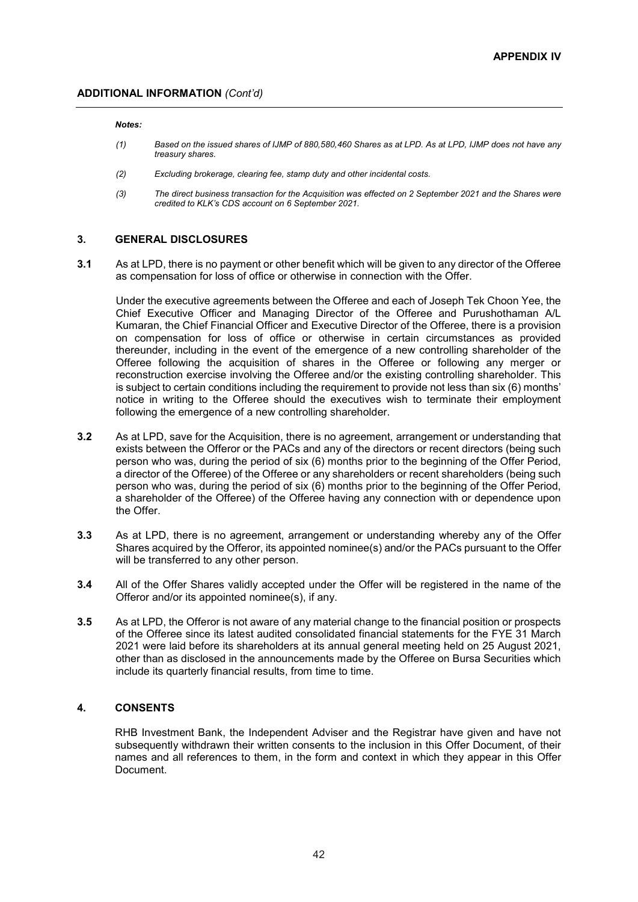#### *Notes:*

- *(1) Based on the issued shares of IJMP of 880,580,460 Shares as at LPD. As at LPD, IJMP does not have any treasury shares.*
- *(2) Excluding brokerage, clearing fee, stamp duty and other incidental costs.*
- *(3) The direct business transaction for the Acquisition was effected on 2 September 2021 and the Shares were credited to KLK's CDS account on 6 September 2021.*

### **3. GENERAL DISCLOSURES**

**3.1** As at LPD, there is no payment or other benefit which will be given to any director of the Offeree as compensation for loss of office or otherwise in connection with the Offer.

Under the executive agreements between the Offeree and each of Joseph Tek Choon Yee, the Chief Executive Officer and Managing Director of the Offeree and Purushothaman A/L Kumaran, the Chief Financial Officer and Executive Director of the Offeree, there is a provision on compensation for loss of office or otherwise in certain circumstances as provided thereunder, including in the event of the emergence of a new controlling shareholder of the Offeree following the acquisition of shares in the Offeree or following any merger or reconstruction exercise involving the Offeree and/or the existing controlling shareholder. This is subject to certain conditions including the requirement to provide not less than six (6) months' notice in writing to the Offeree should the executives wish to terminate their employment following the emergence of a new controlling shareholder.

- **3.2** As at LPD, save for the Acquisition, there is no agreement, arrangement or understanding that exists between the Offeror or the PACs and any of the directors or recent directors (being such person who was, during the period of six (6) months prior to the beginning of the Offer Period, a director of the Offeree) of the Offeree or any shareholders or recent shareholders (being such person who was, during the period of six (6) months prior to the beginning of the Offer Period, a shareholder of the Offeree) of the Offeree having any connection with or dependence upon the Offer.
- **3.3** As at LPD, there is no agreement, arrangement or understanding whereby any of the Offer Shares acquired by the Offeror, its appointed nominee(s) and/or the PACs pursuant to the Offer will be transferred to any other person.
- **3.4** All of the Offer Shares validly accepted under the Offer will be registered in the name of the Offeror and/or its appointed nominee(s), if any.
- **3.5** As at LPD, the Offeror is not aware of any material change to the financial position or prospects of the Offeree since its latest audited consolidated financial statements for the FYE 31 March 2021 were laid before its shareholders at its annual general meeting held on 25 August 2021, other than as disclosed in the announcements made by the Offeree on Bursa Securities which include its quarterly financial results, from time to time.

### **4. CONSENTS**

RHB Investment Bank, the Independent Adviser and the Registrar have given and have not subsequently withdrawn their written consents to the inclusion in this Offer Document, of their names and all references to them, in the form and context in which they appear in this Offer Document.